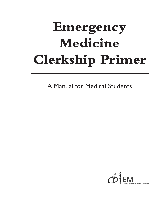# **Emergency Medicine Clerkship Primer**

A Manual for Medical Students

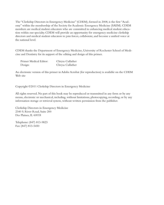The "Clerkship Directors in Emergency Medicine" (CDEM), formed in 2008, is the first "Academy" within the membership of the Society for Academic Emergency Medicine (SAEM). CDEM members are medical student educators who are committed to enhancing medical student education within our specialty. CDEM will provide an opportunity for emergency medicine clerkship directors and medical student educators to join forces, collaborate, and become a unified voice at the national level.

CDEM thanks the Department of Emergency Medicine, University of Rochester School of Medicine and Dentistry for its support of the editing and design of this primer.

| Primer Medical Editor: | Chrysa Cullather |
|------------------------|------------------|
| Design:                | Chrysa Cullather |

An electronic version of this primer in Adobe Acrobat (for reproduction) is available on the CDEM Web site

Copyright ©2011 Clerkship Directors in Emergency Medicine

All rights reserved. No part of this book may be reproduced or transmitted in any form or by any means, electronic or mechanical, including, without limitations, photocopying, recording, or by any information storage or retrieval system, without written permission from the publisher.

Clerkship Directors in Emergency Medicine 2340 S. River Road, Suite 200 Des Plaines, IL 60018

Telephone: (847) 813-9823 Fax: (847) 813-5450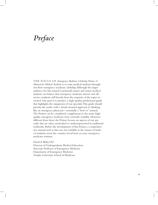### *Preface*

THE FOCUS OF *Emergency Medicine Clerkship Primer: A Manual for Medical Students* is to assist medical students throughout their emergency medicine clerkship. Although the target audience for this manual is primarily junior and senior medical students, we believe that emergency medicine interns and offservice residents will benefit from the majority of the topics reviewed. Our goal is to produce a high-quality, professional guide that highlights the uniqueness of our specialty. This guide should provide the reader with a detail-oriented approach to thinking like an emergency physician—essentially a "how to" manual. The Primer can be considered a supplement to the many highquality emergency medicine texts currently available. However, different from these, the Primer focuses on aspects of our specialty that are often overlooked or underrepresented in traditional textbooks. Before the development of this Primer, a comprehensive manual such as this was not available to the masses of medical students across the country. Good luck on your emergency medicine rotation.

David A. Wald, DO

Director of Undergraduate Medical Education Associate Professor of Emergency Medicine Department of Emergency Medicine Temple University School of Medicine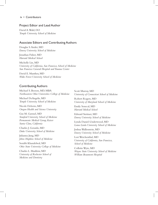#### iv • Contributors

#### Project Editor and Lead Author

David A. Wald, DO *Temple University School of Medicine*

#### Associate Editors and Contributing Authors

Douglas S. Ander, MD *Emory University School of Medicine*

Jonathan Fisher, MD *Harvard Medical School*

Michelle Lin, MD *University of California, San Francisco, School of Medicine San Francisco General Hospital and Trauma Center*

David E. Manthey, MD *Wake Forest University School of Medicine*

#### Contributing Authors

Michael S. Beeson, MD, MBA *Northeastern Ohio Universities College of Medicine*

Michael DeAngelis, MD *Temple University School of Medicine*

Nicole DeIorio, MD *Oregon Health and Science University*

Gus M. Garmel, MD *Stanford University School of Medicine Permanente Medical Group, Kaiser Santa Clara, California*

Charles J. Gerardo, MD *Duke University School of Medicine*

Julianna Jung, MD *Johns Hopkins School of Medicine*

Sorabh Khandelwal, MD *Ohio State University College of Medicine*

Charles L. Maddow, MD *University of Rochester School of Medicine and Dentistry*

Scott Murray, MD *University of Connecticut School of Medicine*

Robert Rogers, MD *University of Maryland School of Medicine*

Emily Senecal, MD *Harvard Medical School*

Edward Stettner, MD *Emory University School of Medicine*

Lynda Daniel-Underwood, MD *Loma Linda University School of Medicine*

Joshua Wallenstein, MD *Emory University School of Medicine*

Lori Weichenthal, MD *University of California, San Francisco, School of Medicine*

Collette Wyte, MD *Wayne State University School of Medicine William Beaumont Hospital*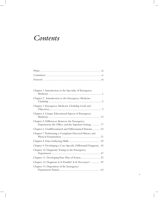### *Contents*

 $\overline{\phantom{a}}$  |

| Chapter 1. Introduction to the Specialty of Emergency                                                |
|------------------------------------------------------------------------------------------------------|
| Chapter 2. Introduction to the Emergency Medicine                                                    |
| Chapter 3. Emergency Medicine Clerkship Goals and                                                    |
| Chapter 4. Unique Educational Aspects of Emergency                                                   |
| Chapter 5. Differences Between the Emergency<br>Department, the Office, and the Inpatient Setting 17 |
| Chapter 6. Undifferentiated and Differentiated Patients  23                                          |
| Chapter 7. Performing a Complaint-Directed History and                                               |
|                                                                                                      |
| Chapter 9. Developing a Case-Specific Differential Diagnosis 43                                      |
| Chapter 10. Diagnostic Testing in the Emergency                                                      |
| Chapter 11. Developing Your Plan of Action  53                                                       |
| Chapter 12. Diagnosis: Is It Possible? Is It Necessary? 59                                           |
| Chapter 13. Disposition of the Emergency                                                             |

v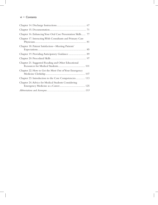#### vi • Contents

 $\overline{\phantom{a}}$ 

| Chapter 16. Enhancing Your Oral Case Presentation Skills 77 |
|-------------------------------------------------------------|
| Chapter 17. Interacting With Consultants and Primary Care   |
| Chapter 18. Patient Satisfaction—Meeting Patients'          |
|                                                             |
|                                                             |
| Chapter 21. Suggested Reading and Other Educational         |
| Chapter 22. How to Get the Most Out of Your Emergency       |
| Chapter 23. Introduction to the Core Competencies 113       |
| Chapter 24. Advice for Medical Students Considering         |
|                                                             |

 $\overline{\phantom{a}}$ 

 $\overline{a}$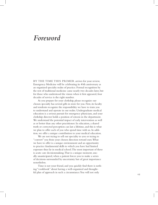### *Foreword*

BY THE TIME THIS PRIMER arrives for your review, Emergency Medicine will be celebrating its 40th anniversary as an organized specialty realm of practice. Formal recognition by the rest of traditional medicine came nearly two decades later, but for those who understood the vision when it first appeared, four decades of service is the right number.

As you prepare for your clerkship, please recognize our chosen specialty has several gifts in store for you. First, its faculty and residents recognize the responsibility we have to train you to understand and operate in our realm. Undergraduate medical education is a serious pursuit for emergency physicians, and your clerkship director holds a position of esteem in the department. We understand the potential impact of early intervention as well as or better than any other practitioner. In education, a shared truth or corrected perception can last a lifetime, and this is what we plan to offer each of you who spend time with us. In addition, we offer a unique contribution to your medical education.

We are not trying to sell our specialty to you or trying to "convert" you from your chosen direction toward ours. What we have to offer is a unique environment and an opportunity to practice fundamental skills to which you have had limited exposure thus far in medical school. The most important of these is acute care decisionmaking. That is a unique moment, usually unanticipated, when a patient forces you to make a series of decisions surrounded by uncertainty but of great importance nonetheless.

Time is not your friend, and you quickly find there is nothing "cookbook" about having a well-organized and thoughtful plan of approach in such a circumstance. You will not only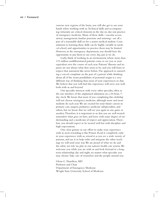exercise new regions of the brain, you will also get to use your hands when working with us. Technical skills and accompanying virtuosity are critical elements in the day-in, day-out practice of emergency medicine. Many of these skills—vascular access, airway management, lumbar puncture and suturing—are all a part of a reasonable skill set for a senior medical student. Commitment to learning these skills can be highly variable in medical school, and opportunities to practice them may be limited. However, in the emergency department, you should have the opportunity to put them to use every day, just as we do.

Lastly, think of working in an environment where more than 115 million undifferentiated patients come to see you or your equivalent over the course of each year. Patients' illnesses and injuries are not always what they seem to be, and you will learn to respect that statement like never before. The approach to unraveling a voiced complaint on the part of a patient while thinking about all of the worst possibilities of potential origin is a very different way of thinking than most of your experiences to date. We believe that you will find this experience will serve you well, both with us and beyond.

Our specialty interacts with every other specialty, often at the raw interface of the unplanned admission on a 24-hour, 7 day clock. We know that most of you completing this clerkship will not choose emergency medicine, although more and more students do each year. We are excited for your future careers in primary care, surgery, pediatrics, medicine subspecialties, and others, but we know that we will see you again in one guise or another. Therefore, it is important to us that you are well treated, remember what goes on here, and leave with some degree of understanding and a modicum of respect and appreciation. Therefore, you should expect to be treated well but with discipline and high expectations.

One clear gesture in our effort to make your experience with us most rewarding is this Primer. Read it completely early in your experience with us, reread it as you see a wide variety of patients, and use it to help order and integrate the other teachings we will send your way. We are proud of what we do and the safety net role we play in our nation's health care system. We welcome you while you are with us and look forward to a longterm relationship, day and night, no matter what specialty you may choose. Take care of yourselves and the people around you.

Glenn C. Hamilton, MD Professor and Chair Department of Emergency Medicine Wright State University School of Medicine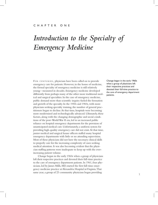### *Introduction to the Specialty of Emergency Medicine*

FOR CENTURIES, physicians have been called on to provide emergency care for patients. However, in the house of medicine, the formal specialty of emergency medicine is still relatively young—measured in decades. Emergency medicine developed differently from perhaps many of the other more traditional medical and surgical specialties. In the case of emergency medicine, public demand more than scientific inquiry fueled the formation and growth of the specialty. In the 1950s and 1960s, with more physicians seeking specialty training, the number of general practitioners began to decline. At that time, hospitals were becoming more modernized and technologically advanced. Ultimately, these factors, along with the changing demographic and social conditions of the post–World War II era, led to an increased public reliance on hospital emergency departments for the provision of unanticipated medical care. Unfortunately, a uniform system for providing high-quality emergency care did not exist. At that time, junior medical and surgical house officers staffed many hospital emergency departments with little or no attending supervision. Most of these physicians did not have the necessary clinical skills to properly care for the increasing complexity of cases seeking medical attention. It was also becoming evident that the physician staffing patterns were inadequate to keep up with the everincreasing patient volume.

Change began in the early 1960s when a group of physicians left their respective practices and devoted their full-time practice to the care of emergency department patients. In 1961, four physicians, led by James Mills, MD, started the first full-time emergency medicine practice at Alexandria Hospital in Virginia. That same year, a group of 23 community physicians began providing

Change began in the early 1960s when a group of physicians left their respective practices and devoted their full-time practice to the care of emergency department patients.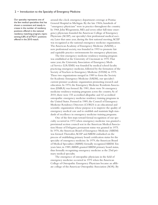Our specialty represents one of the few medical specialties that has shown a consistent and steady increase in the number of residency positions offered in the national residency matching program, representing 6.8% of all PGY-1 positions offered in the 2010 match.

around-the-clock emergency department coverage at Pontiac General Hospital in Michigan. By the late 1960s, hundreds of "emergency physicians" were in practice throughout the country. In 1968, John Wiegenstein, MD, and seven other full-time emergency physicians founded the American College of Emergency Physicians (ACEP), our specialty's first professional medical society. Later that same year, during the first national meeting, ACEP was recognized as the national emergency medicine organization. The American Academy of Emergency Medicine (AAEM), a new professional society, was founded in 1993 to promote fair and equitable practice environments for emergency physicians.

The first emergency medicine residency-training program was established at the University of Cincinnati in 1970. That same year, the University Association of Emergency Medical Service (UA/EMS) was founded by medical school faculty practicing emergency medicine, followed by the formation of the Society of Teachers in Emergency Medicine (STEM) in 1975. These two organizations merged in 1989 to form the Society for Academic Emergency Medicine (SAEM), our specialty's current premier academic organization promoting research and education. In 1974, the Emergency Medicine Residents Association (EMRA) was formed. By 1981, there were 56 emergency medicine residency-training programs across the country. As of 2010, there were 155 accredited allopathic and 42 accredited osteopathic emergency medicine residency training programs in the United States. Formed in 1989, the Council of Emergency Medicine Residency Directors (CORD) is an educational and scientific organization whose purpose is to improve the quality of emergency medical care and to establish and maintain high standards of excellence in emergency medicine training programs.

One of the first steps toward formal recognition of our specialty occurred in 1973 when emergency medicine was granted a provisional section council seat in the American Medical Association House of Delegates; permanent status was granted in 1975. In 1976, the American Board of Emergency Medicine (ABEM) was formed. Thereafter, ACEP and ABEM embarked on the process of establishing primary board certification status for the specialty of emergency medicine. In 1979, the American Board of Medical Specialties (ABMS) formally recognized ABEM. Ten years later, in 1989, ABMS granted ABEM primary board status, thus formally recognizing emergency medicine as the 23rd primary medical specialty.

The emergence of osteopathic physicians in the field of emergency medicine occurred in 1975 when the American College of Osteopathic Emergency Physicians became an affiliate college of the American Osteopathic Association (AOA). By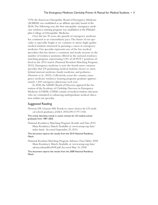1978, the American Osteopathic Board of Emergency Medicine (AOBEM) was established as an affiliate specialty board of the AOA. The following year, the first osteopathic emergency medicine residency-training program was established at the Philadelphia College of Osteopathic Medicine.

Over the last 30 years, the growth of emergency medicine has continued at an extraordinary pace. The future of our specialty is especially bright as we continue to attract high-quality medical students interested in pursuing a career in emergency medicine. Our specialty represents one of the few medical specialties that has shown a consistent and steady increase in the number of residency positions offered in the national residency matching program, representing 6.8% of all PGY-1 positions offered in the 2010 match (National Resident Matching Program, 2010). Emergency medicine is now the fourth most common specialty that US graduating medical students choose to enter, behind internal medicine, family medicine, and pediatrics (Newton et al., 2003). Collectively, across the country, emergency medicine residency-training programs graduate approximately 1,500 emergency physicians each year.

In 2008, the SAEM's Board of Directors approved the formation of the Academy of Clerkship Directors in Emergency Medicine (CDEM). CDEM consists of medical student educators who are committed to enhancing undergraduate medical education within our specialty.

#### Suggested Reading

Newton DA, Grayson MS. Trends in career choices by US medical school graduates. *JAMA.* 2003;290:1179–1182.

This article describes trends in career choices for US medical school graduates from 1987–2002.

National Residency Matching Program. Results and Data 2010 Main Residency Match. Available at: www.nrmp.org/data/ index.html. Accessed September 23, 2010.

This document reports the results from the 2010 National Residency Match.

National Resident Matching Program. Advance Data Tables: 2008 Main Residency Match. Available at: www.nrmp.org/data/ advancedatatables2008.pdf. Accessed May 16, 2008.

This document reports the results from the 2008 National Residency Match.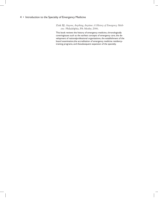#### 4 • Introduction to the Specialty of Emergency Medicine

Zink BJ. *Anyone, Anything, Anytime: A History of Emergency Medicine.* Philadelphia, PA: Mosby; 2006.

This book reviews the history of emergency medicine, chronologically coveringissues such as the earliest concepts of emergency care, the development of nationalprofessional organizations, the establishment of the board examination,the accreditation of emergency medicine residencytraining programs, and thesubsequent expansion of the specialty.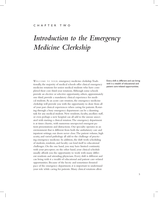#### CHAPTER TWO

### *Introduction to the Emergency Medicine Clerkship*

WELCOME TO YOUR emergency medicine clerkship. Traditionally, the majority of medical schools offer clinical emergency medicine rotations for senior medical students who have completed their core third-year rotations. Although some schools provide an elective or selective opportunity, others, approximately one third, provide a mandatory clinical experience for medical students. As an acute care rotation, the emergency medicine clerkship will provide you with the opportunity to draw from all of your past clinical experiences when caring for patients. Rotating through a busy emergency department can be a daunting task for any medical student. New residents, faculty, ancillary staff, or even perhaps a new hospital can all add to the unease associated with starting a clinical rotation. The emergency department is at times chaotic, with numerous unexpected emergent patient presentations and distractions. Our specialty operates in an environment that is different from both the ambulatory care and inpatient settings; our doors never close. The patient volume, high acuity, and varied pathology all add to the challenge of practicing emergency medicine. In addition, the shift work scheduling of students, residents, and faculty can lend itself to educational challenges. On the one hand, you may have limited continuity with your preceptor; on the other hand, your clinical schedule usually affords you the opportunity to work with many different residents and attending physicians. Every shift is different and can bring with it a wealth of educational and patient care–related opportunities. Because of the hectic and sometimes frenzied pace of the emergency department, it is important to understand your role while caring for patients. Many clinical rotations allow

Every shift is different and can bring with it a wealth of educational and patient care-related opportunities.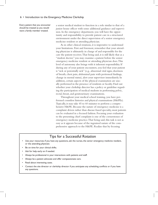#### 6 • Introduction to the Emergency Medicine Clerkship

Every patient that you encounter should be treated as you would want a family member treated.

a senior medical student to function in a role similar to that of a junior house officer with some additional guidance and supervision. In the emergency department, you will have the opportunity and responsibility to provide patient care in a structured environment under the direct supervision of a senior emergency medicine resident or attending physician.

As in other clinical rotations, it is imperative to understand your limitations. First and foremost, remember that your attending physician is ultimately in charge of and responsible for the care the patient receives. That being said, it is still likely that as a "student doctor," you may examine a patient before the senior emergency medicine resident or attending physician does. This level of autonomy also brings with it inherent responsibility. If during any of your patient encounters, you feel that your patient is "sick or potentially sick" (e.g., abnormal vital signs, shortness of breath, chest pain, abdominal pain with peritoneal findings, change in mental status), alert your supervisor immediately. In addition, certain aspects of the physical examination are usually performed in the presence of residents or faculty. Find out whether your clerkship director has a policy or guideline regarding the participation of medical students in performing pelvic, rectal, breast, and genitourinary examinations.

Throughout your medical school training, you have performed countless histories and physical examinations (H&PEs). Typically, it may take 45 to 60 minutes to perform a comprehensive H&PE. Because the nature of emergency medicine is a complaint driven rather than disease-based specialty, most patients can be evaluated in a focused fashion. Focusing your evaluation to the presenting chief complaint is one of the cornerstones of emergency medicine practice. That being said, this task is not as easy as it appears because of the ingrained nature of the comprehensive approach to the H&PE. Realize that by focusing

#### Tips for a Successful Rotation

- Use your resources; if you have any questions, ask the nurses, the senior emergency medicine resident, or the attending physician.
- Be on time for your clinical shifts.
- Ask for help early on if needed.
- Always be professional in your interactions with patients and staff.
- Always be a patient advocate and offer compassionate care.
- Read about interesting cases.
- Contact the site director or clerkship director if you anticipate any scheduling conflicts or if you have any questions.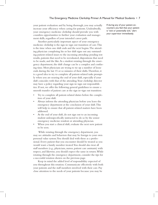#### The Emergency Medicine Clerkship Primer: A Manual for Medical Students • 7

your patient evaluation and by being thorough, you may actually increase your efficiency when caring for patients. Undoubtedly, your emergency medicine clerkship should provide you with countless opportunities to further your evaluation and management skills, regardless of your intended career path.

Another particularly important aspect of your emergency medicine clerkship is the sign in–sign out transition of care. This is the time when one shift ends and the next begins. The attending physician completing his or her shift signs out any outstanding patient-related issues to the incoming attending: pending test results, patients that need to be reevaluated, dispositions that need to be made, and the like. As a student rotating through the emergency department, the shift change can be a complex and confusing time. Most physicians are trying to tie up a number of loose ends during the last 15 or so minutes of their shifts. Therefore, it is a good idea to try to complete all patient-related tasks promptly when you are nearing the end of your shift, especially if your shift coincides with that of the attending. Your clerkship director may have a policy regarding your sign in–sign out responsibilities. If not, we offer the following general guidelines to ensure a smooth transfer of patient care at the sign in–sign out transition:

- Try to complete all patient-related duties before the completion of your shift.
- Always inform the attending physician before you leave the emergency department at the conclusion of your shift. This will help to ensure that all patient-related matters have been addressed.
- At the end of your shift, do not sign out to an incoming student unlessspecifically instructed to do so by the senior emergency medicine resident or attending physician.
- When you start a clinical shift, evaluate the next new patient to be seen.

 While rotating through the emergency department, you may see attitudes and behaviors that may be foreign to your own personal value system. You should deal with these as a professional. Every patient that you encounter should be treated as you would want a family member treated. You should also treat all staff members (e.g., physicians, nurses, patient care assistants) with respect, and likewise, you should expect the same in return. While rotating through the emergency department, consider the tips for a successful rotation shown on the previous page.

Keep in mind the added level of responsibility expected of you throughout this rotation. Communicate effectively with both your patients and the staff members involved with their care. Pay close attention to the needs of your patients because you may be

If during any of your patient encounters you feel that your patient is "sick or potentially sick," alert your supervisor immediately.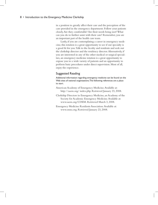#### 8 • Introduction to the Emergency Medicine Clerkship

in a position to greatly affect their care and the perception of the care provided in the emergency department. Follow your patients closely. Are they comfortable? Are their needs being met? What can you do to further assist with their care? Remember, you are an important part of the health care team.

Lastly, if you are contemplating a career in emergency medicine, this rotation is a great opportunity to see if our specialty is a good fit for you. Talk to the faculty and residents and seek out the clerkship director and the residency director. Alternatively, if you are interested in any of the other medical or surgical specialties, an emergency medicine rotation is a great opportunity to expose you to a wide variety of patients and an opportunity to perform basic procedures under direct supervision. Most of all, enjoy the experience.

#### Suggested Reading

Additional information regarding emergency medicine can be found on the Web sites of national organizations. The following references are a place to start.

- American Academy of Emergency Medicine. Available at: http://aaem.org/ index.php. Retrieved January 23, 2008.
- Clerkship Directors in Emergency Medicine, an Academy of the Society for Academic Emergency Medicine. Available at: www.saem.org/CDEM. Retrieved March 3, 2008.

Emergency Medicine Residents Association. Available at: www.emra.org. Retrieved January 23, 2008.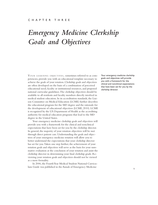### *Emergency Medicine Clerkship Goals and Objectives*

YOUR LEARNING OBJECTIVES, sometimes referred to as competencies, provide you with an educational template necessary to achieve the goals of your rotation. Clerkship goals and objectives are often developed on the basis of a combination of perceived educational need, faculty or institutional resources, and proposed national curricular guidelines. The clerkship objectives should be available to all residents and faculty members directly involved in medical student education. In its accreditation standards, the Liaison Committee on Medical Education (LCME) further describes the educational program for the MD degree and the rationale for the development of educational objectives (LCME, 2010). LCME is recognized by the US Department of Health as the accrediting authority for medical education programs that lead to the MD degree in the United States.

Your emergency medicine clerkship goals and objectives will provide you with a framework for the clinical and nonclinical expectations that have been set for you by the clerkship director. In general, the majority of your rotation objectives will be met through direct patient care. Understanding the goals and objectives of your emergency medicine rotation will allow you to better understand the expectations that your clerkship director has set for you. Taken one step further, the achievement of your rotation goals and objectives will serve as the basis for your summative evaluation at the conclusion of your rotation and assist the clerkship director in determining your final clerkship grade. Reviewing your rotation goals and objectives should not be viewed as a mere formality.

In 2006, the Fourth Year Medical Student National Curriculum Guide was published in the Annals of Emergency Medicine

Your emergency medicine clerkship goals and objectives will provide you with a framework for the clinical and nonclinical expectations that have been set for you by the clerkship director.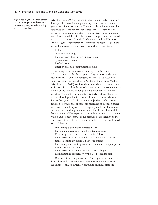#### 10 • Emergency Medicine Clerkship Goals and Objectives

Regardless of your intended career path, an emergency medicine rotation can expose you to interesting and diverse pathology.

(Manthey et al., 2006). This comprehensive curricular guide was developed by a task force representing the six national emergency medicine organizations. The curricular guide outlines the objectives and core educational topics that are central to our specialty. The rotation objectives are presented in a competencybased format modeled after the six core competencies developed by the Accreditation Council for Graduate Medical Education (ACGME), the organization that oversees and regulates graduate medical education training programs in the United States:

- Patient care
- Medical knowledge
- Practice-based learning and improvement
- Systems-based practice
- Professionalism
- Interpersonal and communication skills

Although some objectives could logically fall under multiple competencies, for the purpose of organization and clarity, each is placed in only one category. In 2010, an updated curricular revision was published in Academic Emergency Medicine (Manthey et al., 2010). An introduction to the core competencies is discussed in detail in the introduction to the core competencies section of the Primer. Although the national task force recommendations are not requirements, it is likely that the objectives of your clerkship will reflect some of these recommendations. Remember, your clerkship goals and objectives are by nature designed to ensure that all students, regardless of intended career path, have a broad exposure to emergency medicine. Common clerkship goals and objectives include a list of core clinical skills that a student will be expected to complete or in which a student will be able to demonstrate some measure of proficiency by the conclusion of the rotation. These can include, but are not limited to, the following:

- Performing a complaint-directed H&PE
- Developing a case-specific differential diagnosis
- Presenting cases in a clear and concise fashion
- Demonstrating an understanding of the use and interpretation of commonly ordered diagnostic studies
- Developing and assisting with implementation of appropriate case management plans
- Demonstrating an adequate fund of knowledge
- Demonstrating proficiency with basic procedural skills

Because of the unique nature of emergency medicine, additional specialty- specific objectives may include evaluating the undifferentiated patient, recognizing an immediate life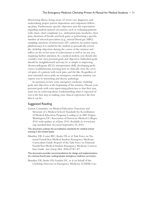threatening illness, being aware of worst-case diagnoses, and undertaking proper patient disposition and outpatient followup plans. Furthermore, specific objectives may list expectations regarding student–patient encounters, such as evaluating patients with classic chief complaints (i.e., abdominal pain, headache, chest pain, shortness of breath, and back pain) or performing a specific number of selected procedures [e.g., arterial blood gas (ABG) sampling, insertion of intravenous (IV) catheters, laceration repair, phlebotomy]. It is useful for the student to periodically review the clerkship objectives during the course of the rotation and reflect on his or her areas of achievement as well as on any area requiring further attention. As a medical student, you should also consider your own personal goals and objectives. Individual goals should be straightforward and may be as simple as improving electrocardiogram (ECG) interpretation skills, developing proficiency in phlebotomy, learning how to clinically clear the cervical spine of a patient with neck pain, and the like. Regardless of your intended career path, an emergency medicine rotation can expose you to interesting and diverse pathology.

In summary, review your emergency medicine clerkship goals and objectives at the beginning of the rotation. Discuss your personal goals with your supervising physicians so that they may assist you in achieving them. Understanding what is expected of you is the first step in making your clinical experience the best that it can be.

#### Suggested Reading

Liaison Committee on Medical Education. Functions and Structure of a Medical School: Standards for Accreditation of Medical Education Programs Leading to an MD Degree. Washington, DC: Association of American Medical Colleges; 2010 with updates as of June 2010. Available at: www.lcme. org/standard.htm. Accessed September 23, 2010.

This document outlines the accreditation standards for medical school training in the United States.

Manthey DE, Coates WC, Ander DS, et al. Task Force on National Fourth Year Medical Student Emergency Medicine Curriculum Guide. Report of the Task Force on National Fourth Year Medical Student Emergency Medicine Curriculum Guide. *Ann Emerg Med.* 2006;47:E1–E7.

#### This document provides recommendations for design and implementation of a national fourth-year undergraduate emergency medicine curriculum.

Manthey DE, Ander DS, Gordon DC, et al on behalf of the Clerkship Directors in Emergency Medicine (CDEM) Cur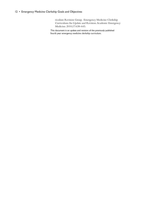riculum Revision Group. Emergency Medicine Clerkship Curriculum: An Update and Revision. Academic Emergency Medicine. 2010;17:638–643.

This document is an update and revision of the previously published fourth year emergency medicine clerkship curriculum.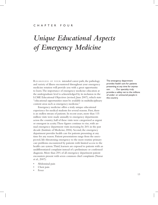#### CHAPTER FOUR

# *Unique Educational Aspects of Emergency Medicine*

REGARDLESS OF YOUR intended career path, the pathology and variety of illness encountered throughout your emergency medicine rotation will provide you with a great opportunity to learn. The importance of emergency medicine education at the undergraduate level is acknowledged by its inclusion in the LCME Educational Objectives (revised, June 2007), which state "educational opportunities must be available in multidisciplinary content areas such as emergency medicine."

Emergency medicine offers a truly unique educational experience for medical students for several reasons. First, there is an endless stream of patients. In recent years, more than 115 million visits were made annually to emergency departments across the country; half of these visits were categorized as urgent or emergent in acuity. These figures continue to rise, with annual emergency department visits increasing by 26% in the past decade (Institute of Medicine, 2006). Second, the emergency department provides health care for patients presenting at any time for any reason. Patient presentations range from the unexpected, life-threatening emergency to the more routine primary care problems encountered by patients with limited access to the health care system. Third, learners are exposed to patients with an undifferentiated complaint instead of a preliminary or confirmed diagnosis. More than 25% of all emergency department patient encounters present with seven common chief complaints (Nawar et al., 2007):

- Abdominal pain
- Chest pain
- Fever

The emergency department provides health care for patients presenting at any time for anyreason . . . . Our specialty truly provides a safety net to the millions of under- or uninsured people in this country.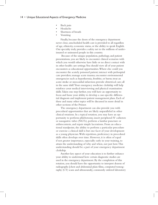#### 14 • Unique Educational Aspects of Emergency Medicine

- Back pain
- Headache
- Shortness of breath
- Vomiting

Finally, because the doors of the emergency department never close, unscheduled health care is provided to all regardless of age, ethnicity, economic status, or the ability to speak English. Our specialty truly provides a safety net to the millions of underinsured or uninsured people in this country.

 Because of the unique population, pathology, and patient presentations, you are likely to encounter clinical scenarios with which you would otherwise have little or no direct contact with in other health care settings. You should view all of your patient encounters as educational opportunities. Where else could you encounter the acutely poisoned patient; interact with prehospital care providers; manage acute trauma; encounter environmental emergencies such as hypothermia, frostbite, or burns; treat an acute stroke or myocardial infarction; provide obstetrical care; all in the same shift? Your emergency medicine clerkship will help reinforce your medical interviewing and physical examination skills. Taken one step further, you will have an opportunity to focus and hone your ability to develop a case-specific differential diagnosis and implement patient management plans. Each of these and many other topics will be discussed in more detail in other sections of the Primer.

The emergency department can also provide you with procedural opportunities that are likely unparalleled in other clinical rotations. In a typical rotation, you may have an opportunity to perform phlebotomy, insert peripheral IV catheters or nasogastric tubes (NGTs), perform a lumbar puncture or arthrocentesis, and repair simple lacerations. From an educational standpoint, the ability to perform a particular procedure or exercise a clinical skill is but one facet of your development as a young physician. With repetition, proficiency in procedural skills often develops over time. However, it is often of equal if not greater importance, especially early in your training, to attain the understanding of why and when, not just how. This understanding should be a part of your emergency department clerkship.

Another key aspect of your education is to further enhance your ability to understand how certain diagnostic studies are used in the emergency department. By the completion of this rotation, you should have the opportunity to interpret dozens of radiographs [chest and abdominal plain films, computed tomography (CT) scans and ultrasounds], commonly ordered laboratory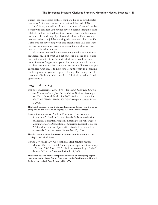studies (basic metabolic profiles, complete blood counts, hepatic functions, ABGs, and cardiac enzymes), and 12-lead ECGs.

In addition, you will work with a number of medical professionals who can help you further develop certain intangible clinical skills, such as multitasking, time management, conflict resolution, and role modeling of professional behavior. These skills are best learned on the job by working with seasoned clinicians. This is also true for developing your case presentation skills and learning how to best interact with your consultants and other members of the health care team.

No matter how well your emergency medicine rotation is organized, much of what you get out of it is going to be based on what you put into it. Set individual goals based on your career interests. Supplement your clinical experience by reading about common chief complaints or certain illnesses that you encounter. Our goal is to help you along the path to becoming the best physician you are capable of being. The emergency department affords you with a wealth of clinical and educational opportunities.

#### Suggested Reading

Institute of Medicine. *The Future of Emergency Care: Key Findings and Recommendations from the Institute of Medicine.* Washington, DC: National Academies; 2006. Available at: www.iom. edu/CMS/3809/16107/35007/35040.aspx. Accessed March 6, 2008.

This fact sheet reports key findings and recommendations from the series of reports on the future of emergency care in the United States.

Liaison Committee on Medical Education. Functions and Structure of a Medical School: Standards for Accreditation of Medical Education Programs Leading to an MD Degree. Washington, DC: Association of American Medical Colleges; 2010 with updates as of June 2010. Available at: www.lcme. org/standard.htm. Accessed September 23, 2010.

This document outlines the accreditation standards for medical school training in the United States.

Nawar EW, Niska RW, Xu J. National Hospital Ambulatory Medical Care Survey: 2005 emergency department summary. *Adv Data.* 2007;386:1–32. Available at: www.cdc.gov/nchs/ data/ad/ad386.pdf. Accessed March 25, 2008.

This article reviews nationally representative data on emergency department care in the United States. Data are from the 2005 National Hospital Ambulatory Medical Care Survey (NHAMCS).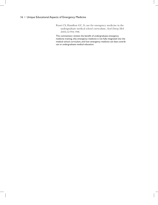#### 16 • Unique Educational Aspects of Emergency Medicine

Russi CS, Hamilton GC. A case for emergency medicine in the undergraduate medical school curriculum. *Acad Emerg Med.*  2005;12:994–998.

This commentary reviews the benefit of undergraduate emergency medicine training, why emergency medicine is not fully integrated into the medical school curriculum, and how emergency medicine can best contribute to undergraduate medical education.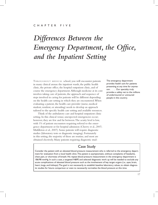# *Differences Between the Emergency Department, the Office, and the Inpatient Setting*

THROUGHOUT MEDICAL school, you will encounter patients in many clinical arenas: the inpatient wards, the public health clinic, the private office, the hospital outpatient clinic, and of course the emergency department. Although medicine at its core involves taking care of patients, the approach and sequence of steps involved in caring for patients will be different depending on the health care setting in which they are encountered. When evaluating a patient, the health care provider (nurse, medical student, resident, or attending) needs to develop an approach tailored to the specific health care setting and available resources.

Think of the ambulatory care and hospital outpatient clinic setting. In this clinical venue, unexpected emergencies occur; however, they are few and far between. The acuity level is low, with 1% of patient encounters requiring referral to the emergency department or for hospital admission (Cherry et al., 2007; Middleton et al., 2007). Some patients will require diagnostic studies (laboratory tests or diagnostic imaging). Fortunately in this setting, the majority of these are routine, and most are obtained electively. Many patients requiring diagnostic stud-

#### Case Study

Consider the patient with an elevated blood pressure measurement who is referred to the emergency department for evaluation from a local health clinic. The patient is asymptomatic, without complaints of headache, chest pain, or shortness of breath. His repeat blood pressure measurement in the emergency department is 186/98 mmHg. In such a case, a targeted H&PE and selected diagnostic work up will be needed to exclude any acute complications of elevated blood pressure such as the involvement of key target organs (i.e., eyes, brain, heart, lungs, and kidneys). The goal is not necessarily to establish baseline laboratory values, to obtain diagnostic studies for future comparison or even to necessarily normalize the blood pressure at this time.

The emergency department provides health care for patients presenting at any time for anyreason . . . . Our specialty truly provides a safety net to the millions of underinsured or uninsured people in this country.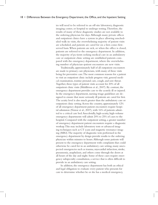#### 18 • Differences Between the Emergency Department, the Office, and the Inpatient Setting

ies will need to be referred to an off-site laboratory, diagnostic imaging center, or hospital to undergo testing. Therefore, the results of many of these diagnostic studies are not available to the ordering physician for days. Although many private offices and outpatient clinics have a system in place allowing unscheduled walk-in visits, the overwhelming majority of patient visits are scheduled, and patients are cared for on a first-come-firstserved basis. When patients are sick, or when the office is closed, patients are referred to the emergency department. In addition, the majority of pa tients seeking medical care in an ambulatory care or outpatient clinic setting are established patients compared with the emergency department, where the overwhelming number of physician–patient encounters are new visits.

Traditionally, approximately half of all outpatient encounters are made to primary care physicians, with many of these visits being for preventive care. The most common reasons for a patient to visit an outpatient clinic include progress visit, general medical examination, routine prenatal care, cough, and sore throat. Together, these types of patient visits account for 20% of all outpatient clinic visits (Middleton et al., 2007). By contrast, the emergency department provides care to the acutely ill or injured. In the emergency department, nursing triage guidelines are designed to ensure that more seriously ill patients are cared for first. The acuity level is also much greater than the ambulatory care or outpatient clinic setting. Across the country, approximately 12% of all emergency department patient encounters require hospital admission (Nawar et al., 2007), with 16% of patients admitted to a critical care bed. Anecdotally, high-acuity, high-volume emergency departments will admit 20% to 25% of cases to the hospital. Compared with the outpatient setting, a greater number of emergency department patient encounters require a diagnostic workup. This may include laboratory tests or advanced imaging techniques such as CT scans and magnetic resonance imaging (MRI). The majority of diagnostic tests performed in the emergency department by design provide results to the ordering physician within minutes to hours. Although some patients will present to the emergency department with complaints that could otherwise be cared for in an ambulatory care setting, many unexpected emergencies such as trauma, myocardial infarction, stroke, pneumonia, anaphylaxis, and others come through the doors at all hours of the day and night. Some of these cases require emergency subspecialty consultation, a service that is often difficult to provide in an ambulatory care setting.

In addition, the emergency department has both an ethical and legal obligation to evaluate every patient who presents for care to determine whether he or she has a medical emergency,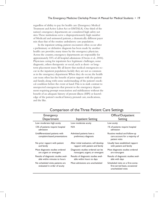#### The Emergency Medicine Clerkship Primer: A Manual for Medical Students • 19

regardless of ability to pay for health care (Emergency Medical Treatment and Active Labor Act or EMTALA). One third of the nation's emergency departments are considered high safety net sites. These institutions serve a disproportionately high number of Medicaid and uninsured patients, a dramatically different payer mix than that of the routine ambulatory care population.

In the inpatient setting, patient encounters often occur after a preliminary or definitive diagnosis has been made by another health care provider, many times by the emergency physician. Across the country, emergency departments are responsible for approximately 55% of all hospital admissions (Owens et al., 2006). Physicians caring for inpatients face legitimate challenges, some diagnostic, others therapeutic or social, such as short- or longterm placement issues. We all know that medical emergencies occur in the inpatient population; luckily they are not as common as in the emergency department. When they do occur, the health care team often has the benefit of prior rapport with the patient and family, along with some understanding of the patient's medical condition before the event at hand. This is in stark contrast to unexpected emergencies that present to the emergency department requiring prompt resuscitation and stabilization without the benefit of an adequate history of present illness (HPI) or knowledge of the patient's medical history, prenatal care, medications, and the like.

| Emergency<br>Department                                              | <b>Inpatient Setting</b>                                                  | Office/Outpatient<br>Setting                                                              |
|----------------------------------------------------------------------|---------------------------------------------------------------------------|-------------------------------------------------------------------------------------------|
| Low-moderate-high acuity                                             | Low-moderate acuity                                                       | Low acuity                                                                                |
| 12% of patients require hospital<br>admission                        | N/A                                                                       | 1% of patients require hospital<br>admission                                              |
| Undifferentiated patients with<br>complaint-based presentations      | Admitted patients have a<br>preliminary diagnosis                         | Routine medical and follow-up<br>care account for a majority of<br>patient visits         |
| No prior rapport with patient<br>and family                          | After initial evaluation, will develop<br>rapport with patient and family | Usually have established rapport<br>with patient and family                               |
| Most diagnostic studies ordered<br>are urgent or emergent            | Diagnostic studies ordered can be<br>nonurgent, urgent, or emergent       | Most diagnostic studies ordered<br>are nonurgent                                          |
| Results of diagnostic studies avail-<br>able within minutes to hours | Results of diagnostic studies avail-<br>able within hours to days         | Results of diagnostic studies avail-<br>able with days                                    |
| No scheduled visits; patients are<br>evaluated in order of acuity    | Most admissions are unscheduled                                           | Scheduled visits on a first-come-<br>first-served basis, occasional<br>unscheduled visits |

#### Comparison of the Three Patient Care Settings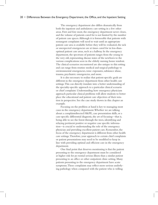#### 20 • Differences Between the Emergency Department, the Office, and the Inpatient Setting

The emergency department also differs dramatically from both the inpatient and ambulatory care setting in a few other areas. First and fore most, the emergency department never closes, and the volume of patients cared for is not limited by the number of patient care spaces. Although it is foreseeable that patients with nonurgent complaints will need to wait until an appropriate patient care area is available before they will be evaluated, the sick or unexpected emergencies are at times cared for in less-thanoptimal patient care areas, such as a hallway. In the emergency department, the spectrum of patients ranges from the young to the very old, representing disease states of the newborn to the various complications seen in the elderly nursing home resident. The clinical scenarios encountered are also unique to this setting and can range from routine medical and surgical pathology to environmental emergencies, toxic exposures, substance abuse, trauma, psychiatric emergencies, and more.

It is also necessary to realize that patient-specific goals are different in the emergency department from other health care settings. This can directly translate into a better understanding of the specialty-specific approach to a particular clinical scenario or chief complaint. Understanding how emergency physicians approach particular clinical problems will allow students to better place the educational and patient care objectives of their rotation in perspective. See the case study shown in this chapter an example.

Focusing on the problem at hand is key to managing most cases in the emergency department. Whether we are talking about a complaintdirected H&PE, case presentation skills, or a case-specific differential diagnosis, the art of focusing—that is, being able to see the forest through the trees, identifying and relaying pertinent positive or negative case specific information—is crucial to understanding the role of the emergency physician and providing excellent patient care. Remember, the focus of the emergency department is different from other health care settings. Therefore, your approach to certain chief complaints or patient presentations may need to be modified to keep in line with providing optimal and efficient care in the emergency department.

One final point that deserves mentioning is that the patient presenting to the emergency department must be considered at higher risk for po tential serious illness than a similar patient presenting to an office or other outpatient clinic setting. Many patients presenting to the emergency department have acute symptoms. These complaints may reflect more serious underlying pathology when compared with the patient who is willing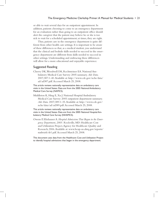#### The Emergency Medicine Clerkship Primer: A Manual for Medical Students • 21

or able to wait several days for an outpatient appointment. In addition, patients choosing to come to an emergency department for an evaluation rather than going to an outpatient office should alert the caregiver that the patient may believe he or she is too sick to wait for a scheduled appointment; at times, they are right.

Thus, patient care in the emergency department is quite different from other health care settings. It is important to be aware of these differences so that, as a medical student, you understand that the clinical and bedside skills needed to succeed in the emergency department are different from skills needed to succeed in other settings. Understanding and embracing these differences will allow for a more educational and enjoyable experience.

#### Suggested Reading

Cherry DK, Woodwell DA, Rechtsteiner EA. National Ambulatory Medical Care Survey: 2005 summary. *Adv Data.* 2007;387:1–40. Available at: http://www.cdc.gov/nchs/data/ ad/ad387.pdf. Accessed March 25, 2008.

This article reviews nationally representative data on ambulatory care visits in the United States. Data are from the 2005 National Ambulatory Medical Care Survey (NAMCS).

Middleton K, Hing E, Xu J. National Hospital Ambulatory Medical Care Survey: 2005 outpatient department summary. *Adv Data.* 2007;389:1–35. Available at: http://www.cdc.gov/ nchs/data/ad/ad389.pdf. Accessed March 25, 2008.

This article reviews nationally representative data on ambulatory care visits in the United States. Data are from the 2005 National Hospital Ambulatory Medical Care Survey (NHAMCS).

Owens P, Elixhauser A. *Hospital Admissions That Began in the Emergency Department, 2003.* Rockville, MD: Healthcare Cost and Utilization Project, Agency for Healthcare Quality and Research; 2006. Available at: www.hcup-us.ahrq.gov/reports/ statbriefs/sb1.pdf. Accessed March 25, 2008.

This document uses data from the Healthcare Cost and Utilization Project to identify hospital admissions that began in the emergency department.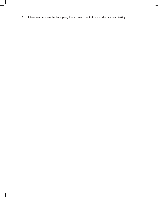22 • Differences Between the Emergency Department, the Office, and the Inpatient Setting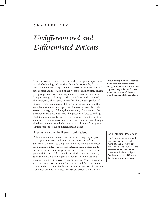#### CHAPTER SIX

# *Undifferentiated and Differentiated Patients*

THE CLINICAL ENVIRONMENT of the emergency department is both challenging and exciting. Open 24 hours a day, 7 days a week, the emergency department can serve as both the point of first contact and the bastion of last resort for an incredibly diverse group of patients with differing and unexpected medical needs. Unique among medical specialties, the mission and charge of the emergency physician is to care for all patients regardless of financial resources, severity of illness, or even the nature of the complaint. Whereas other specialists focus on a particular body system or category of illness, the emergency physician must be prepared to treat patients across the spectrum of disease and age. Each patient represents a mystery, an unknown quantity for the clinician. It is the unwavering fact that anyone can come through the doors at any time, which presents us with one of our greatest clinical challenges: the undifferentiated patient.

#### Approach to the Undifferentiated Patient

When you first encounter a patient in the emergency department, you must make an instantaneous assessment of both the severity of the threat to the patient's life and limb and the need for immediate intervention. This determination is often made within a few moments of your patient encounter; that is, is the patient sick or not sick? Sometimes this decision may be easy, such as the patient with a gun shot wound to the chest or a patient presenting in severe respiratory distress. Many times, however, the distinction between "sick and not sick" may be much more subtle. Consider the following cases: an 80 year-old nursing home resident with a fever; a 40 year-old patient with a history

Unique among medical specialties, the mission and charge of the emergency physician is to care for all patients regardless of financial resources, severity of illness, or even the nature of the complaint.

#### Be a Medical Pessimist

Don't make assumptions until you have ruled out all high morbidity and mortality conditions. The classic example is the pregnant young woman who presents with abdominal pain. On the top of your differential list should always be ectopic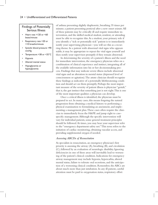#### 24 • Undifferentiated and Differentiated Patients

#### Findings of Potentially Serious Illness

- Heart rate >120 or <60 beats/minute
- Respiratory rate >20 or <10 breaths/minute
- Systolic blood pressure <90 mmHg
- Temperature > 38 or < 35°C
- **Hypoxia**
- Altered mental status
- Hypoglycemia or
- hyperglycemia

of asthma presenting slightly diaphoretic, breathing 35 times per minute; a patient presenting postictal after a new onset seizure. All of these patients may be critically ill and require immediate intervention, and the skilled medical student, resident, or attending must be able to recognize this. As a student, your primary role if you identify a "sick or potentially sick" patient is to immediately notify your supervising physician—you will see this as a recurring theme. In a patient with abnormal vital signs who appears stable, it may be appropriate to repeat the vital signs yourself and then notify your supervisor promptly if they remain abnormal.

In determining the severity of a patient's illness and the need for immediate intervention, the emergency physician relies on a combination of clinical experience and instinct, integrating all of the available information into his or her decisionmaking process. Findings that may indicate severe illness include abnormal vital signs and an alteration in mental status (depressed level of consciousness or agitation). The astute clinician should recognize these findings as indicative of a potentially lifethreatening condition and should act on them promptly. Perhaps the most important measure of the severity of patient illness is physician "gestalt," that is, the gut instinct that something just is not right. This is one of the most important qualities a physician can develop.

Once a critical illness is identified, the physician must be prepared to act. In many cases, this means forgoing the natural progression from obtaining a medical history to performing a physical examination to formulating an assessment, and implementing a management plan. These cases often require the clinician to immediately focus the H&PE and jump right to casespecific management. Although the specific intervention will vary for individual patients, some general treatment principles should be followed. At times, you may hear your supervisor refer to the "emergency department safety net." This term refers to the initiation of cardiac monitoring, obtaining vascular access, and providing supplemental oxygen if needed.

#### *Assessing ABCDs of Resuscitation*

As specialists in resuscitation, an emergency physician's first priority is assessing the airway (A), breathing (B), and circulation (C), followed by an evaluation of neurologic disability. Ignoring deficiencies in one of these areas will inevitably lead to worsening of the patient's clinical condition. Indications for emergency airway management may include hypoxia, hypercarbia, altered mental status, failure to tolerate oral secretions, and the anticipation of a worsening clinical condition. Remember, the ABCs are about much more than just intubation. In any ill patient, careful attention must be paid to oxygenation status, respiratory effort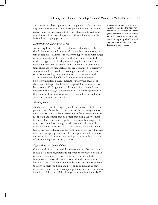and pattern, and blood pressure and the presence of any neurologic deficit. In addition to evaluating disability, the "D" should always stand for measurement of serum glucose followed by administration of dextrose if a patient with an altered mental status is found to be hypoglycemic.

#### *Addressing Abnormal Vital Signs*

At the very least, if a patient has abnormal vital signs, vitals should be repeated and monitored closely. As a general rule, certain conditions (i.e., hypotension, severe hypertension with target organ damage, hyperthermia, hypothermia, bradycardia, tachycardia, tachypnea, and bradypnea) will require intervention and stabilizing measures initiated early in the course of their evaluation. These actions may include, but are not limited to, cardioversion of unstable tachyarrhythmias, supplemental oxygen, passive or active rewarming, or administration of intravenous fluids.

As a corollary, the effect of such interventions needs to be closely monitored. Remember, the underlying cause of all abnormal vital signs should be investigated. This axiom can not be overstated. Vital sign abnormalities are often the result, not necessarily the cause, of a systemic insult. The investigation into the etiology of the abnormal vital signs should be delayed until stabilizing measures are initiated.

#### *Treating Pain*

An absolute tenet of emergency medicine practice is to treat the patients' pain. Pain-related complaints are far and away the most common reason for patients presenting to the emergency department, with abdominal pain and chest pain being the two most frequent chief complaints. Together, these complaints represent more than 13 million emergency department visits annually across the country (Nawar, 2007). Not only is it morally imperative to provide analgesia, it is the right thing to do. Providing pain relief with an appropriate dose of an analgesic should not interfere with physical examination findings of peritonitis or accuracy of selected diagnostic imaging studies.

#### *Approaching the Stable Patient*

Once the clinician is assured that the patient is stable, he or she should use a focused, systematic approach to evaluation and management. Paramount to this is obtaining an accurate history. It is important to allow the patient to provide the history in his or her own words. The use of open-ended questions allows patients to describe their condition and presenting complaints as they experience them. Examples of appropriate open-ended questions include the following: "What brings you to the hospital today?"

In determining the severity of a patient's illness and the need for immediate intervention, the emergency physician relies on a combination of clinical experience and instinct, integrating all of the available information into his or her decisionmaking process.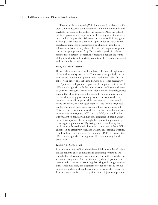#### 26 • Undifferentiated and Differentiated Patients

or "How can I help you today?" Patients should be allowed sufficient time to describe their symptoms, while the clinician listens carefully for clues to the underlying diagnosis. After the patient has been given time to explain his or her complaints, the caregiver should ask appropriate follow-up questions to fill in any gaps. Although these questions are often open ended as well, a more directed inquiry may be necessary. The clinician should seek information that can help clarify the patient's diagnosis or point toward an appropriate workup. Be a medical pessimist. Never assume that a patient's complaint represents a benign issue until all high morbidity and mortality conditions have been considered and sufficiently excluded.

#### *Being a Medical Pessimist*

Don't make assumptions until you have ruled out all high morbidity and mortality conditions. The classic example is the pregnant young woman who presents with abdominal pain. On the top of your differential list should always be ectopic pregnancy.

Approach each patient, regardless of complaint, with a broad differential diagnosis, with the most serious conditions at the top of your list, that is, the "worst first" mentality. For example, always assume that chest pain could be caused by one of many potential life-threatening processes (e.g., acute coronary syndrome, pulmonary embolism, pericarditis, pneumothorax, pneumonia, aortic dissection, or esophageal rupture). Less serious diagnoses can be considered once these processes have been eliminated. This, of course, does not mean that every patient with chest pain requires cardiac enzymes, a CT scan, an ECG, and the like, but it is prudent to consider all high-risk diagnoses in each patient rather than rejecting them outright because of the patient's age or an atypical presentation. By taking an accurate history and performing a focused physical examination, many of these differentials can be effectively excluded without an extensive workup. The healthcare provider can use the initial H&PE to narrow the differential diagnosis, focusing in on likely causes to guide the evaluation.

#### *Keeping an Open Mind*

It is important not to limit the differential diagnoses based solely on the patient's chief complaint and presenting symptoms. Although this information is vital, limiting your differential diagnosis can be dangerous. Consider the elderly diabetic patient who presents with nausea and vomiting. Focusing only on gastrointestinal causes may delay the diagnosis of other potentially serious conditions such as diabetic ketoacidosis or myocardial ischemia. It is imperative to listen to the patient, but it is just as important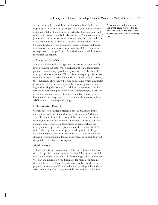#### The Emergency Medicine Clerkship Primer: A Manual for Medical Students • 27

at times to step back and think outside of the box. By keeping an open mind and not getting locked in, you will avoid the potential pitfall of honing in on a particular diagnosis before all of the information is available, also known as "premature closure." Just as it is dangerous to assume a patient has a benign condition, it is equally wrong to jump to a diagnosis too quickly. Do not be afraid to change your diagnostic considerations as additional information or test results become available. When test results, or responses to therapy, do not fit with the presumed diagnosis, reevaluate the patient.

#### *Following the Best Path*

You can't always walk a straight line; sometimes patient care follows a roundabout path. When evaluating the undifferentiated patient, it is not always possible to progress gradually from H&PE to diagnostics to treatment. Often it is necessary to perform two or more of these tasks simultaneously. In the critically ill patient, the emergency physician will often be deciding which diagnostic tests are needed while simultaneously conversing with, examining, and treating the patient. In addition, the response to an intervention may help guide additional testing strategies. A patient presenting with an exacerbation of asthma that improves with bronchodilator therapy might not require a chest radiograph or ABG, whereas a nonresponder might.

#### Differentiated Patients

Certain subsets of patients present a special challenge in the emergency department and deserve brief mention. Although a detailed discussion of these issues is beyond the scope of this manual, be aware of the inherent complexity in caring for these patients. Some groups of differentiated patients include the elderly, children, psychiatric patients, and the chronically ill. The differentiated patient can also present a diagnostic challenge for the emergency physician. An approach to these encounters should be performed in a logical and systematic fashion to avoid the pitfalls of a delay or misdiagnosis.

#### *Elderly Patients*

Elderly patients can present some of the most difficult diagnostic challenges for the emergency physician. This group is at high risk for a number of reasons. Life-threatening cardiac, pulmonary, vascular, and neurologic conditions are far more common in this population, and the elderly are more likely than the general population to have significant underlying health problems. Geriatric patients are often taking multiple medications, which may

When working with the elderly, end-of-life issues may need to addressed with both the patient and the family, which can be a daunting task.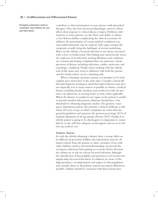#### 28 • Undifferentiated and Differentiated Patients

Emergency physicians need to remember that children are not just little adults.

contribute to their presentation or may interact with prescribed therapies. They also have decreased physiologic reserves, which affects their response to critical illness or injury. Problems with memory in some patients can also limit your ability to obtain a clear history, further complicating the clinical encounter. In addition, the presentation of certain medical conditions (e.g., myocardial infarction) may be atypical, with vague, nonspecific symptoms actually being the harbinger of serious underlying illness. In the elderly, a bacterial infection is not always associated with a fever or leukocytosis. This finding may inadvertently lessen the suspicion of an infectious etiology. Weakness and confusion are common presenting complaints that can represent a whole spectrum of disease, including infectious, cardiac, endocrine, and neurologic conditions. Finally, when working with the elderly, end-of-life issues may need to addressed with both the patient and the family, which can be a daunting task.

When evaluating a geriatric patient, it is prudent to be both vigilant and conservative at the same time. Consider a broad differential diagnosis, keeping in mind that typical diseases may present atypically. Use as many sources as possible to obtain a medical history, including family members, past medical records, the primary care physician, or nursing home records, when applicable. When the history or symptoms are vague, or the patient is unable to provide detailed information, clinicians should have a low threshold for obtaining diagnostic studies. The geriatric emergency department patient also presents a clinical challenge as this subset (65 years of age or older) of patients are sicker than the general population and represent the greatest percentage (41%) of hospital admissions of all age groups (Nawar, 2007). Finally, if an elderly patient is going to be discharged, it is important to ensure that he or she will have adequate social support and access to follow-up medical care.

#### *Pediatric Patients*

As with the elderly, obtaining a history from a young child can be difficult. In preverbal children, the information must be obtained entirely from the parents or other caretakers. Even with older children, anxiety and misunderstanding can prevent the emergency physician from getting an accurate history. Remember, infants are at risk for serious bacterial infection, although the introduction of haemophilus and pneumococcal vaccines has significantly decreased this threat. In addition, be aware of the high prevalence of maltreatment and neglect in this population and consider abuse in all pediatric patient encounters. Whenever possible, children should be examined with their parents pres-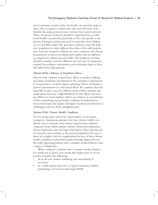ent to minimize anxiety, unless the health care provider suspects abuse. The exception is adolescents, who may feel more comfortable discussing personal issues without their parents present. These encounters, however, should be chaperoned by an additional health care provider, preferably of the same gender as the patient. Emergency physicians need to remember that children are not just little adults. The spectrum of disease across the pediatric population is vastly different from that of the adult population. Seasonal variations of illness are more common, and clinical presentations of disease in infants and toddlers may be different as compared to adolescents and adults. The healthcare provider should be familiar with the different size and type of equipment required for pediatric resuscitation and medication doses as these also differ from adult patients.

#### *Patients With a History of Psychiatric Illness*

Patients with a history of psychiatric illness is another challenging subset of patients encountered in the emergency department. It is important to exclude organic pathology before attributing a patient's presentation to a functional illness. Be a patient advocate, especially in these cases. In addition, many of these patients take medications that have a high likelihood of side effects and toxicity. Others are noncompliant, which can result in an exacerbation of their underlying mental health condition. Deciphering between functional and organic etiologies of patient presentations is challenging and not always straightforward.

#### *Patients With Chronic Health Conditions*

It is becoming more and more commonplace to encounter emergency department patients who have chronic health conditions such as ischemic heart disease, hypertension, diabetes, congestive heart failure, asthma, chronic obstructive pulmonary disease, depression, and end stage renal disease. These patients suffer from the same maladies as the general population but may at times be at higher risk for complications because of their chronic health condition or prescribed medical therapy. Approach even the stable appearing patient with a complex medical history with a degree of skepticism.

When caring for a patient with a complex medical history, be careful not to glance over details that might prove to be important. Consider the following:

- As in all cases, initiate stabilizing care immediately if necessary.
- In a stable patient, procede in a logical systematic fashion performing a focused yet thorough H&PE.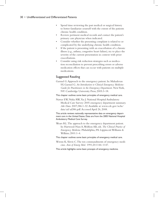#### 30 • Undifferentiated and Differentiated Patients

- Spend time reviewing the past medical or surgical history to better familiarize yourself with the extent of the patients chronic health condition.
- Review pertinent medical records and contact the patient's primary care physician when indicated.
- Consider whether the presenting complaint is related to or complicated by the underlying chronic health condition.
- If the patient is presenting with an exacerbation of a chronic illness (e.g., asthma, congestive heart failure), try to place the severity of the current presentation in context with prior exacerbations.
- Consider using risk reduction strategies such as medication reconciliation to prevent prescribing errors or adverse medication effects that can occur with patients on multiple medications.

## Suggested Reading

Garmel G. Approach to the emergency patient. In: Mahadevan SV, Garmel G. *An Introduction to Clinical Emergency Medicine: Guide for Practitioners in the Emergency Department.* New York, NY: Cambridge University Press; 2005:3–18.

This chapter outlines some basic principles of emergency medical care.

Nawar EW, Niska RW, Xu J. National Hospital Ambulatory Medical Care Survey: 2005 emergency department summary. *Adv Data.* 2007;386:1-32. Available at: www.cdc.gov/nchs/ data/ad/ad386.pdf. Accessed April 26, 2008.

This article reviews nationally representative data on emergency department care in the United States. Data are from the 2005 National Hospital Ambulatory Medical Care Survey.

Wears RL. The approach to the emergency department patient. In: Harwood-Nuss A, Wolfson AB, eds. *The Clinical Practice of Emergency Medicine.* Philadelphia, PA: Lippincott Williams & Wilkins; 2001:1–4.

This chapter outlines some basic principles of emergency medical care.

Wrenn K, Slovis C. The ten commandments of emergency medicine. *Ann of Emerg Med.* 1991;20:1146–1147.

This article highlights some basic precepts of emergency medicine.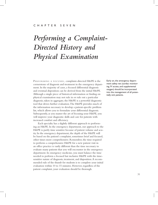# *Performing a Complaint-Directed History and Physical Examination*

PERFORMING A FOCUSED, complaint-directed H&PE is the cornerstone of diagnosis and treatment in the emergency department. In the majority of cases, a focused differential diagnosis and eventual disposition can be derived from the initial H&PE. Although a single piece of historical information or finding on physical examination may not rule in or rule out a particular diagnosis, taken in aggregate, the H&PE is a powerful diagnostic tool that drives further evaluation. The H&PE provides much of the information necessary to develop a patient-specific problem list, which allows you to formulate your differential diagnosis. Subsequently, as you master the art of focusing your H&PE, you will improve your diagnostic skills and care for patients with increased comfort and efficiency.

Each specialty has a slightly different approach to performing an H&PE. In the emergency department, our approach to the H&PE is partly time sensitive because of patient volume and acuity. In the emergency department, the depth of the H&PE will be based on the patient's complaint, sometimes brief and focused, other times more comprehensive. Remember, the time required to perform a comprehensive H&PE for a new patient visit in an office practice is vastly different than the time necessary to evaluate many patients that you will encounter in the emergency department. In emergency medicine, you must balance the time needed to perform a focused but inclusive H&PE with the timesensitive nature of diagnosis, treatment, and disposition. A recommended rule of the thumb for students is to complete your initial evaluation within 10 to 15 minutes. However, regardless of the patient complaint, your evaluation should be thorough.

Early on, the emergency department safety net (cardiac monitoring, IV access, and supplemental oxygen) should be incorporated into the management of all potentially sick patients.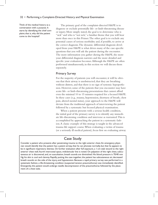#### 32 • Performing a Complaint-Directed History and Physical Examination

Think of the medical history as a conversation with a purpose. It starts by identifying the chief complaint; that is, why did the patient come to the hospital?

The primary goal of the complaint-directed H&PE is to diagnose or exclude potentially life- or limb-threatening disease or injury. More simply stated, the goal is to determine who is "sick" and who is "not sick," a familiar theme that you will hear more than once in this Primer. The other goal is to exclude any potential causes of serious morbidity and, if possible, to arrive at the correct diagnosis. The dynamic differential diagnosis developed from your H&PE is what drives many of the case-specific questions that you will ask the patient during the encounter. The more information you gather during the H&PE, the more your differential diagnosis narrows and the more detailed and specific your evaluation becomes. Although the H&PE are often performed simultaneously, in this section we will discuss them separately.

### Primary Survey

For the majority of patients you will encounter, it will be obvious that their airway is unobstructed, that they are breathing without distress, and that there is no sign of systemic hypoperfusion. However, some of the patients that you encounter may have acute life- or limb-threatening presentations that cannot afford even the minimal 10 to 15 minutes required for a focused H&PE. In these cases (e.g., trauma, hypotension, shortness of breath, chest pain, altered mental status), your approach to the H&PE will deviate from the traditional approach of interviewing the patient followed by a systematic but focused physical examination.

When a patient presents with a serious health condition, the initial goal of the primary survey is to identify any immediate life-threatening condition and intervene as warranted. This is accomplished by approaching the patient in a systematic fashion. A classic example of this strategy is taught in the advanced trauma life support course. When evaluating a victim of trauma (or a seriously ill medical patient), focus first on evaluating airway

# Case Study

Consider a patient who presents after penetrating trauma to the right anterior chest. An emergency physician would identify that the patient has a patent airway, that he can phonate normally, but that he appears to be in significant respiratory distress. On further evaluation after full exposure, a 1-cm stab wound to the right anterior chest wall, fourth intercostal space, midclavicular line is noted. On palpation of the right chest, subcutaneous air is discovered, and, on auscultation, breath sounds are diminished. His blood pressure is 70/40 mm Hg; his skin is cool and clammy. Rapidly putting the case together, the patient has subcutaneous air, decreased breath sounds on the side of the injury, and hypotension. Because a rapid primary survey was performed in a systematic fashion, a life-threatening condition (suspected tension pneumothorax) was immediately identified. Emergently, this patient would undergo needle decompression of the pneumothorax followed by the placement of a chest tube.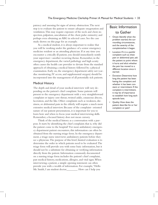#### The Emergency Medicine Clerkship Primer: A Manual for Medical Students • 33

patency and assessing for signs of airway obstruction. The next step is to evaluate the patient to ensure adequate oxygenation and ventilation. This may require exposure of the neck and chest; inspection, palpation, auscultation of the chest; pulse oximetry; and perhaps even obtaining an ABG in selected cases. See the case study shown on this page for an example.

As a medical student, it is always important to realize that you will be working under the guidance of a senior emergency medicine resident or an attending physician. If at any time you encounter a critically ill patient, you should immediately notify your supervisor—another recurring theme. Remember, in the emergency department, the varied pathology and high acuity often causes the health care provider to deviate from the standard approach of obtaining a medical history followed by a physical examination. Early on, the emergency department safety net (cardiac monitoring, IV access, and supplemental oxygen) should be incorporated into the management of all potentially sick patients.

#### Medical History

The depth and detail of your medical interview will vary depending on the patient's chief complaint. Some patients will present to the emergency department with a very straightforward complaint or injury: sore throat, twisted ankle, cutaneous abscess, laceration, and the like. Other complaints such as weakness, dizziness, or abdominal pain in the elderly will require a much more extensive medical interview. Because of the complaint- oriented nature of our patient presentations, it is important for you to learn how and when to focus your medical interviewing skills. Remember, a focused history does not mean cursory.

Think of the medical history as a conversation with a purpose. It starts by identifying the chief complaint; that is, why did the patient come to the hospital? For most ambulatory emergency department patient encounters, this information can often be obtained from the nursing triage form. In the emergency department, a triage nurse interviews ambulatory patients before they see a physician. The purpose of this brief, limited evaluation is to determine the order in which patients need to be evaluated. The triage form will provide you with some basic information, but it should not be a substitute for obtaining or verifying information directly from the patient. Information commonly documented on a nursing triage form includes the patient's chief complaint, past medical history, medications, allergies, and vital signs. When interviewing a patient, a simple opening statement can often provide you with a wealth of information. For example, "Hello Mr. Smith, I am student doctor\_\_\_\_\_\_\_\_. How can I help you

# Basic Information to Gather

- Onset: Identify when the problem started, the surrounding circumstances, and the severity of the complaintwhen it began.
- Location: If it is a painful complaint such as chest pain or abdominal pain, ask the patient to point where it hurts and elicit whether the pain has moved to a different location since it started.
- Duration: Determine how long the patient has been having the complaint and whether it has been constant or intermittent. If the complaint is intermittent, it may be of importance to establish how long each episode lasts.
- Quality: How does the patient describe his or her complaint or pain?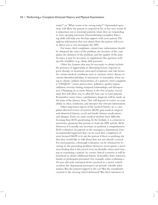#### 34 • Performing a Complaint-Directed History and Physical Examination

today?" or "What seems to be wrong today?" Openended questions will allow the patient to respond in his or her own words. It is important not to interrupt patients when they are responding to your opening statement. Demonstrating exemplary listening skills will help you develop rapport with your patient. The upfront information that you obtain from the patient will serve to direct you as you investigate the HPI.

For many chief complaints, certain basic information should be obtained: the onset of the problem, the location of the complaint, the duration of the problem, and the quality of the pain. At times it may be necessary to supplement this question with specific modifiers (e.g., sharp, dull, pressure).

Other key features that may be necessary to obtain include the presence of aggravating or alleviating factors, response to prior therapy or treatment, associated symptoms, and risk factors for certain medical conditions such as coronary artery disease or venous thromboembolism. A mnemonic to remember when trying to obtain cardinal characteristics of a patient's chief complaint is "OPQRST" (onset, provocative/ palliative, quality, region, radiation, severity, timing, temporal relationships, and therapeutics). Obtaining an accurate history is the first of many crucial steps that will allow you to offer the best care to your patients. Remember, many times, a preliminary diagnosis will be made on the basis of the history alone. This will depend of course on your ability to elicit, synthesize, and interpret the relevant information.

Other important aspects of the medical history are a complaint-directed review of systems (ROS); past medical, surgical, and obstetrical history; social and family history; medications; and allergies. Early on, some medical students have difficulty focusing their ROS questioning. At the bedside, it is common to intertwine questions that pertain to both the HPI and the ROS. However, it is usually not necessary to perform a comprehensive ROS evaluation on patients in the emergency department. One recommended approach that can be used after completion of your focused H&PE is to ask the patient if there is anything else that they would like to talk about that was not already covered. For most patients, a thorough evaluation can be obtained by focusing on the presenting problem. However, never ignore a pertinent finding that is discovered even incidentally when interviewing or examining a patient. In certain clinical scenarios, it will be beneficial to obtain additional history (if possible) from witnesses, family, or prehospital personnel. For example, when evaluating a 45-year-old male restrained driver involved in a motor vehicle accident, fire department personnel can provide valuable information. Was the patient trapped in the car? Was the windshield cracked or the steering wheel deformed? Was there intrusion of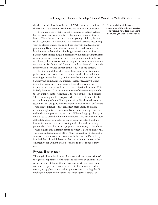#### The Emergency Medicine Clerkship Primer: A Manual for Medical Students • 35

the driver's side door into the vehicle? What was the condition of the patient at the scene? Was the patient able to self-extricate?

In the emergency department, a number of patient-related barriers can affect your ability to obtain an accurate or thorough history. These include encounters with young children, the actively psychotic, the debilitated or demented, patients presenting with an altered mental status, and patients with limited English proficiency. Remember that as a result of federal mandates, a hospital must offer and provide language assistance services to patients with limited English proficiency, including bilingual staff or interpreter services, at no cost to the patient, in a timely manner during all hours of operation. In general, to limit miscommunication or bias, family and friends should not be used to provide interpretation services, except at the request of the patient.

Keep in mind that when describing their presenting complaint, some patients will use certain terms that have a different meaning to them than to you. This may be encountered in the patient who complains of a migraine headache. Many patients presenting with the complaint of a headache have not had a formal evaluation but will use the term migraine headache. This is likely because of the common misuse of the term migraine by the lay public. Another example is the use of the term dizziness. This commonly used descriptive, when looked at more closely, may reflect any of the following meanings: lightheadedness, unsteadiness, or vertigo. Other patients may have cultural differences or language difficulties that can affect their ability to describe certain complaints or conditions. Remember, when patients describe their symptoms, they may use different language than you would use to describe the same symptoms. This can make it more difficult to determine what is wrong with the patient and may lead to frustration. If you are having difficulty understanding a patient describing his or her symptom complex, try to have him or her explain it in different terms or repeat it back to ensure that you both understand each other. Many times, it can be helpful to summarize and clarify the history with the patient. Please keep in mind the cultural differences that you may encounter in the emergency department and be sensitive to these issues if they arise.

#### Physical Examination

The physical examination usually starts with an appreciation of the general appearance of the patient, followed by an immediate review of the vital signs (blood pressure, heart rate, respiratory rate, and temperature). With the advent of noninvasive bedside testing, many physicians consider pulse oximetry testing the fifth vital sign. Beware of the statements "vital signs are stable" or

An appreciation of the general appearance of the patient is crucial. Simply stated, how does the patient look when you walk into the room?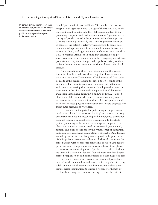#### 36 • Performing a Complaint-Directed History and Physical Examination

In certain clinical scenarios, such as abdominal pain, shortness of breath, or altered mental status, avoid the pitfall of relying solely on your initial examination.

"vital signs are within normal limits." Remember, the normal range of vital signs varies with the age of the patient. It is much more important to appreciate the vital signs in context to the presenting complaint and bedside examination. A patient with a history of poorly controlled hypertension with a blood pressure of 102/58 mm Hg technically has a normal pressure; however, in this case, the patient is relatively hypotensive. In some cases, baseline vital signs obtained from old medical records may be of assistance. Often, vital sign trends are much more important than isolated readings. Also, keep in mind that elevated blood pressure measurements are as common in the emergency department population as they are in the general population. Many of these patients do not require acute intervention to lower their blood pressure.

An appreciation of the general appearance of the patient is crucial. Simply stated, how does the patient look when you walk into the room? The concept of "sick or not sick" can often be made at the bedside during the first 5 to 10 seconds of the encounter. The more patients you encounter, the better you will become at making this determination. Up to this point, the assessment of the vital signs and an appreciation of the general evaluation should have taken just a minute or two. A seasoned clinician will determine whether to continue with a systematic evaluation or to deviate from this traditional approach and perform a focused physical examination and initiate diagnostic or therapeutic measures as warranted.

Remember, the template for performing a comprehensive head to toe physical examination has its place; however, in many circumstances, a patient presenting to the emergency department does not require a comprehensive examination. In the stable patient presenting with a minor or nonurgent complaint, your physical examination can proceed in a systematic, yet focused, fashion. The exam should follow the typical order of inspection, palpation, percussion, and auscultation, if applicable. An adequate knowledge of surface and bony anatomy will be helpful, especially in patients presenting with musculoskeletal complaints. In some patients with nonspecific complaints or when you need to perform a more comprehensive evaluation, think of the physical examination as a screening tool. If pertinent or positive findings are detected, a more detailed and focused exam can then be performed supplanted by additional bedside or other diagnostic tests.

In certain clinical scenarios such as abdominal pain, shortness of breath, or altered mental status, avoid the pitfall of relying solely on your initial examination. Presentations such as these require serial examinations to ensure a response to therapy or to identify a change in condition during the time the patient is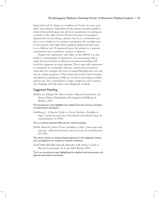being observed. A change in condition for better or worse may affect your ultimate disposition of the patient. Another pitfall to avoid when performing your physical examination is inadequate exposure of the affected area. At times because of emergency department overcrowding, a patient may be in a treatment area that is not conducive to a proper examination An example may be the patient with right lower quadrant abdominal pain who is in a hallway bed. If warranted, move the patient to a separate examination area to perform a proper evaluation.

Despite the importance and utility of the H&PE, it is also useful to acknowledge its limitations. It is uncommon that a single historical feature or physical examination finding will reveal the diagnosis in many patients. This is especially important to remember in catastrophic diseases, which may not present classically. For example, the lack of vaginal bleeding does not rule out an ectopic pregnancy. That being said, medical interviewing and physical examination skills are crucial to providing excellent patient care. The constellation of signs, symptoms, and examination findings will help direct your diagnostic workup.

### Suggested Reading

Bickley LS, Szilagyi PG. Bates *Guide to Physical Examination and History Taking.* Philadelphia, PA: Lippincott, Williams, & Wilkins; 2007.

This introductory text highlights the medical interview process and physical examination techniques.

Goldberg C. *A Practical Guide to Clinical Medicine.* Available at: http://medicine.ucsd.edu/clinicalmed/introduction.htm. Accessed January 23, 2008.

#### This is a clinical education Web site for medical students.

JAMA. *Rational Clinical Exam.* Available at: http://jama.ama-assn. org/cgi/ collection/rational\_clinical\_exam. Accessed January 23, 2008.

This series reviews an evidence-based approach to the diagnostic evaluation and diagnosis of a number of medical conditions.

#### Seidel HM, Ball JW, Dains JE, Benedict GW. *Mosby's Guide to Physical Examination.* St. Louis, MO. Mosby; 2003.

This is an introductory text highlighting the medical interview process and physical examination techniques.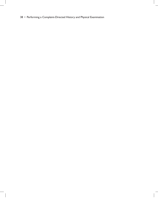38 • Performing a Complaint-Directed History and Physical Examination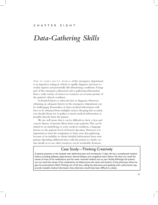## CHAPTER EIGHT

# *Data-Gathering Skills*

THE AT-TIMES HECTIC WORLD of the emergency department is an imperfect setting in which to rapidly diagnose and treat everyday injuries and potentially life-threatening conditions. A large part of the emergency physician's job is gathering information from a wide variety of sources to construct an accurate picture of the patient's clinical condition.

A detailed history is often the key to diagnosis. However, obtaining an adequate history in the emergency department can be challenging. Remember, at times medical information will have to be obtained from multiple sources. Keeping this in mind, you should always try to gather as much medical information as possible directly from the patient.

We are well aware that it can be difficult to elicit a clear and concise history of present illness from some patients. This can be related to an underlying or acute medical condition, a language barrier, or the patient's level of formal education. However, it is important to resist the temptation to limit your data gathering because of an inability to obtain detailed information from your patient. Spending additional time with the patient to clarify certain details or to use other resources can be invaluable. Remem-

# Case Study—Thinking Creatively

A patient presents to the hospital with abdominal pain and vomiting for 3 days. He has a complicated medical history, including diabetes, hypertension, thyroid disease, and congestive heart failure. He does not recall the names of most of his medications and has never received medical care at your facility. Although this patient can not recall the names of his medications, he likely knows the name and location of the pharmacy where he gets his prescriptions filled. Thinking out of the box, calling the pharmacy, and speaking with a pharmacist may provide valuable medical information that otherwise would have been difficult to obtain.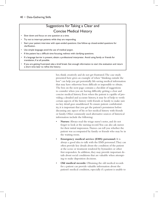#### 40 • Data-Gathering Skills

# Suggestions for Taking a Clear and Concise Medical History

- Slow down and focus on one question at a time.
- Try not to interrupt patients while they are responding.
- Start your patient interview with open-ended questions. Use follow-up closed-ended questions for clarification.
- Use simple language; avoid the use of medical jargon.
- If the patient has a difficult time focusing, redirect with clarifying questions.
- If a language barrier is present, obtain a professional interpreter. Avoid using family or friends for translation, if at all possible.
- If you are getting frustrated, take a brief break. Get enough information to start the evaluation and return a short time later to refine the history.

ber, think creatively and do not get frustrated. The case study presented here gives an example of when "thinking outside the box" can help you get potentially life-saving medical information that may have otherwise been difficult or impossible to obtain. The box on the next page contains a checklist of suggestions to consider when you are having difficulty getting a clear and concise medical history. Even when the patient is capable of providing a detailed and accurate history, it may be of help to verify certain aspects of the history with friends or family to make sure no key detail goes unaddressed. To ensure patient confidentiality, it is important that you get the patient's permission before discussing any aspect of his or her medical history with friends or family. Other commonly used alternative sources of historical information include the following:

- **Nurses:** Always read the triage nurse's notes, and do not forget to look at the nursing record. You can also ask nurses for their initial impression. Nurses can tell you whether the patient was accompanied by family or friends who may be in the waiting room.
- **Emergency medical service (EMS) personnel:** It is always a good idea to talk with the EMS personnel. They can often provide key details about the condition of the patient at the scene or treatment rendered by bystanders or other first responders. In addition, they may provide important details about social conditions that are valuable when attempting to make disposition decisions.
- **Old medical records:** Obtaining the old medical records for a patient can provide valuable information about the patient's medical condition, especially if a patient is unable to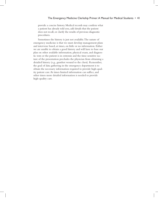#### The Emergency Medicine Clerkship Primer: A Manual for Medical Students • 41

provide a concise history. Medical records may confirm what a patient has already told you, add details that the patient does not recall, or clarify the results of previous diagnostic procedures.

Sometimes the history is just not available. The nature of emergency medicine is that we must develop management plans and intervene based, at times, on little or no information. Either we are unable to obtain a good history and will have to base our plan on other available information, physical exam, and diagnostic tests or the patient is in extremis and the time-sensitive nature of the presentation precludes the physician from obtaining a detailed history (e.g., gunshot wound to the chest). Remember, the goal of data gathering in the emergency department is to obtain the necessary information required to provide high-quality patient care. At times limited information can suffice, and other times more detailed information is needed to provide high-quality care.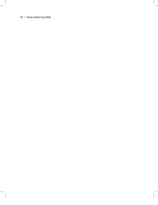# 42 • Data-Gathering Skills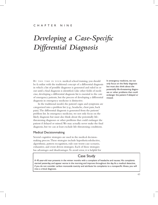## CHAPTER NINE

# *Developing a Case-Specific Differential Diagnosis*

BY THIS TIME IN YOUR medical school training, you should be fa miliar with the traditional concept of a differential diagnosis in which a list of possible diagnoses is generated and ruled in or out until a final diagnosis is identified. Like other fields of medicine, developing a differential diagnosis list is essential to the care of emergency patients, but the process of developing a differential diagnosis in emergency medicine is distinctive.

In the traditional model, the patient's signs and symptoms are categorized into a problem list (e.g., headache, chest pain, back pain). The differential diagnosis is generated from the patients' problem list. In emergency medicine, we not only focus on the likely diagnosis but must also think about the potentially lifethreatening diagnoses or other problems that could endanger the patient if delayed or missed. We may actually never make the final diagnosis, but we can at least exclude life-threatening conditions.

#### Medical Decisionmaking

Several cognitive strategies are used in the medical decisionmaking process. These strategies include hypotheticodeductive, algorithmic, pattern recognition, rule-out-worst-case scenario, exhaustive, and event driven strategies. Each of these strategies has advantages and disadvantages. To avoid error, it is helpful for

## Case Study

A 45-year-old man presents in the winter months with a complaint of headache and nausea. His complaints started yesterday, and appear worse in the morning and improve throughout the day. As a medical detective, if you do not consider carbon monoxide toxicity and attribute his complaints to a nonspecific illness, you will miss a critical diagnosis.

In emergency medicine, we not only focus on the likely diagnosis but must also think about the potentially life-threatening diagnoses or other problems that could endanger the patient if delayed or missed.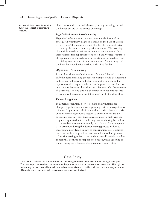#### 44 • Developing a Case-Specific Differential Diagnosis

A good clinician needs to be mindful of the concept of premature closure.

clinicians to understand which strategies they are using and what the limitations are of the particular strategy.

#### *Hypotheticodeductive Decisionmaking*

Hypotheticodeductive is the most common decisionmaking strategy. A preliminary diagnosis is made on the basis of a series of inferences. This strategy is most like the old fashioned detective who gathers clues about a particular suspect. The working diagnosis is tested and refined as new data are discovered. It is important for this hypothesis to be tested and verified. Failure to change course as contradictory information is gathered can lead to misdiagnosis because of premature closure. An advantage of the hypotheticodeductive method is that it is flexible.

#### *Algorithmic Decisionmaking*

In the algorithmic method, a series of steps is followed to simplify the decisionmaking process. An example could be chest pain pathways or pulmonary embolism diagnostic algorithms. This type of model is easy to teach and can improve the care for certain patients; however, algorithms are often too inflexible to cover all situations. The one-size-fits-all approach to patients can lead to problems if a patient presentation does not fit the algorithm.

#### *Pattern Recognition*

In pattern recognition, a series of signs and symptoms are clumped together into a known grouping. Pattern recognition is often used by seasoned clinicians with extensive clinical experience. Pattern recognition is subject to premature closure and anchoring bias, in which physicians continue to stick with the original diagnosis despite conflicting data. Anchoring bias refers to the tendency to rely too heavily or to "anchor" on one piece of information during the decisonmaking process. Failure to incorporate new data is known as confirmation bias. Confirmation bias can be compared to closed-mindedness. This pattern of decisionmaking refers to the tendency to add weight or value to facts that confirm or support one's beliefs, while ignoring or undervaluing the relevance of contradictory information.

## Case Study

Consider a 71-year-old male who presents to the emergency department with a traumatic right flank pain. The most important condition to consider in this presentation is an abdominal aortic aneurysm. Although the patient may be much more likely to have a kidney stone, failure to consider abdominal aortic aneurysm in your differential could have potentially catastrophic consequences if missed.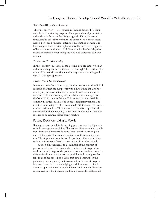#### *Rule-Out-Worst-Case Scenario*

The rule-out-worst-case-scenario method is designed to eliminate the lifethreatening diagnosis for a given clinical presentation rather than to focus on the likely diagnosis. This style may, at times, lead to extensive workups and excessive use of resources. Less-experienced clinicians often use this method because it is least likely to lead to catastrophic results. However, the diagnosis of less common and noncritical diseases will often be delayed or missed completely when using the rule-out-worstcase-scenario method.

#### *Exhaustive Decisionmaking*

In the exhaustive method, all the possible data are gathered in an indiscriminate pattern and then sorted through. This method also can lead to excessive workups and is very time-consuming—the typical "shot gun approach."

#### *Event-Driven Decisionmaking*

In event-driven decisionmaking, clinicians respond to the clinical scenario and treat the symptoms with limited thought as to the underlying cause. An intervention is made, and the situation is reassessed. The clinician may at times back into the diagnosis on the basis of response to therapy. This strategy is often used for a critically ill patient such as one in acute respiratory failure. The event-driven strategy is often combined with the rule-out-worstcase-scenario method. The event-driven method is particularly well suited to the emergency department environment; however, it tends to be reactive rather than proactive.

#### Putting Decisionmaking to Work

Ruling out potential life-threatening presentations is a high priority in emergency medicine. Eliminating life-threatening conditions from the differential is more important than making the correct diagnosis of a benign condition, see the accompanying case. The important point is that if a particular illness, condition, or injury is not considered, sooner or later it may be missed.

A good clinician needs to be mindful of the concept of premature closure. This occurs when an incorrect diagnosis is made at an early stage of the patient encounter. In these cases, the differential diagnosis is too narrow, and the healthcare provider fails to consider other possibilities that could account for the patient's presenting complaint. As a result, an incorrect diagnosis is pursued, and the true underlying condition may be missed. Keep an open mind and a broad differential. As new information is acquired, or if the patient's condition changes, the differential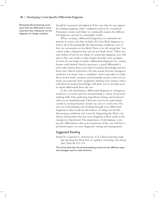#### 46 • Developing a Case-Specific Differential Diagnosis

Eliminating life-threatening conditions from the differential is more important than making the correct diagnosis of a benign condition.

should be reassessed and adjusted. If the new data do not support the leading diagnosis, other conditions need to be considered. Premature closure and failure to continually reassess the differential diagnosis can lead to catastrophic results.

When creating a differential diagnosis, it is extremely important to create a list that includes all of the likely diagnoses as well as all of the potentially life-threatening conditions, even if they are uncommon or less likely. There is an old saying that "you cannot make a diagnosis that you do not think about." Taken one step further, if you do not think of a particular diagnosis, you will miss it. The case studies in this chapter describe such examples. So how do you begin to build a differential diagnosis? As a junior learner with limited clinical experience, a good differential is more often drawn from your fund of medical knowledge and less from your clinical experience. For this reason, because emergency medicine is in many ways a complaint- driven specialty, it is helpful to review both common and potentially serious causes of routinely encountered chief complaints. Starting your rotation with a solid fund of medical knowledge will allow you to develop more in-depth differentials from day one.

In the end, developing a differential diagnosis in emergency medicine is an active process incorporating a variety of decisionmaking skills. Data gathering, hypothesis testing, and treatment often occur simultaneously. Clinicians need to be particularly careful to avoid premature closure on cases to avoid error. The true art of developing and working through your differential diagnosis is often made by the balance of ruling out the lifethreatening conditions and correctly diagnosing the likely conditions. Remember that not every diagnosis will be made in the emergency department. The importance of developing a casespecific differential is that your assessment of the case will have a profound impact on your diagnostic testing and management.

### Suggested Reading

Sandu H, Carpenter C, Freeman K, et al. Clinical decision making: opening the black box of cognitive reasoning. *Ann Emerg Med.* 2006;48:713–719.

This article describes the decisionmaking process and the different cognitive strategies used to make decisions.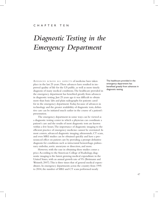## CHAPTER TEN

# *Diagnostic Testing in the Emergency Department*

ADVANCES ACROSS ALL ASPECTS of medicine have taken place in the last 25 years. These advances have resulted in improved quality of life for the US public, as well as more timely diagnosis of many medical conditions. The healthcare provided in the emergency department has benefited greatly from advances in diagnostic testing. Just 25 years ago it was difficult to obtain more than basic labs and plain radiographs for patients cared for in the emergency department. Today, because of advances in technology and the greater availability of diagnostic tests, definitive care can be initiated much earlier in the course of a patient's presentation.

The emergency department in some ways can be viewed as a diagnostic testing center in which a physician can coordinate a patient's care and the results of most diagnostic tests are known within a few hours. The importance of diagnostic imaging to the efficient practice of emergency medicine cannot be overstated. In most centers, advanced diagnostic imaging, ultrasounds, CT scans, and even MRI studies can be obtained quickly and have a pronounced effect on patient care by providing a prompt definitive diagnosis for conditions such as intracranial hemorrhage, pulmonary embolus, aortic aneurysm or dissection, and more.

However, with the ease in obtaining these studies comes a price. According to the American College of Radiology, diagnostic imaging is the fastest growing medical expenditure in the United States, with an annual growth rate of 9% (Bettmann and Weinreb, 2007). This is three times that of general medical expenditures. In emergency departments across the country from 1995 to 2004, the number of MRI and CT scans performed nearly

The healthcare provided in the emergency department has benefited greatly from advances in diagnostic testing.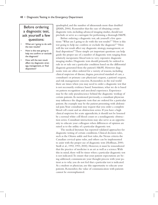#### 48 • Diagnostic Testing in the Emergency Department

# Before ordering a diagnostic test, ask yourself a few questions:

- What am I going to do with the test results?
- How is this test going to help me confirm or exclude the diagnosis?
- How will the test result affect my diagnostic strategy, management, or final disposition?

quadrupled, and the number of ultrasounds more than doubled (JAMA, 2006). Remember that the ease of obtaining certain diagnostic tests, including advanced imaging studies, should not preclude or serve as a surrogate for performing a thorough H&PE.

Before ordering a diagnostic test, ask yourself a few questions: "What am I going to do with the test results?" "How is this test going to help me confirm or exclude the diagnosis?" "How will the test result affect my diagnostic strategy, management, or final disposition?" These simple yet important questions can help guide the proper use of a number of diagnostic tests ranging from relatively inexpensive blood tests to very expensive diagnostic imaging studies. Diagnostic tests should primarily be ordered to rule in or rule out a particular condition based on the differential diagnosis generated from the patient's H&PE. However diagnostic tests are often ordered for a variety of reasons, including clinical suspicion of disease, dogma, perceived standard of care, a consultant's or primary care physician's request, a patient's request, and risk management concerns. Remember, in the real world there are times when you may need to order a diagnostic test that is not necessarily evidence based. Sometimes, what we do is based on pattern recognition and anecdotal experience. Experience may be the only pseudoscience behind the diagnostic workup of certain patients. As mentioned previously, a consultant physician may influence the diagnostic tests that are ordered for a particular patient. An example may be the patient presenting with abdominal pain. Your consultant may request that you order a complete blood cell count and an obstruction series. If you have a high clinical suspicion for acute appendicitis, it should not be lessened by a normal white cell blood count or a nondiagnostic obstruction series. Consultant interactions may also serve as an opportunity to educate your colleagues when differences of opinion are raised as to the utility of a particular diagnostic test.

The medical literature has reported validated approaches for diagnostic testing of certain conditions. Clinical decision rules, such as the Ottawa ankle and foot rules, the Nexus criteria the Canadian cervical spine rules, and others can be implemented to assist with the proper use of diagnostic tests (Hoffman, 2000; Steill et al., 1992, 1993, 2000). However, it must be remembered that the practice of medicine is an art as well as a science. With this in mind, there will be times when a particular diagnostic test is not indicated. To ensure that your patient expectations are being addressed, communicate your thought process with your patient as to why you do not feel that a particular test is indicated. As a student or physician, use this opportunity to educate your patients. Remember, the value of communication with patients cannot be overemphasized.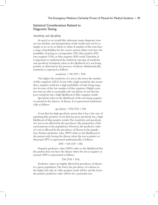## Statistical Considerations Related to Diagnostic Testing

#### **Sensitivity and Specificity**

As much as we would like otherwise, many diagnostic tests are not absolute, and interpretation of the results may not be as simple as yes or no or black or white. A number of the tests have a range of probability for the correct answer. Many tests have the possibility of giving us a truepositive (TP), false-positive (FP), true-negative (TN), or false-negative (FN) result. Therefore, it is important to understand the statistical concepts of sensitivity and specificity. Sensitivity refers to the likelihood of a test being positive or abnormal in the presence of disease. Mathematically, sensitivity is expressed as follows:

sensitivity =  $TP/(TP + FN)$ 

The higher the sensitivity of a test is, the lower the number of false negatives will be. A test with a high sensitivity also means that a negative result has a high probability of truly being negative because of the low number of false negatives. Highly sensitive tests are able to reasonably rule out disease. A test that has poor sensitivity has a high likelihood of false-negative results.

Specificity refers to the likelihood of the test being negative or normal in the absence of disease. It is represented mathematically as follows:

#### $specificity = TN/(TN + FP)$

A test that has high specificity means that it has a low rate of reporting false positives. A test that has poor specificity has a high likelihood of false-positive results. The sensitivity and specificity of a test is not affected by the prevalence (the proportion of diseased patients in the population). However, the predictive value of a test is affected by the prevalence of disease in the population. Positive predictive value (PPV) refers to the likelihood of the patient truly having the disease when the test is positive or abnormal. PPV is represented mathematically as follows:

#### $PPV = TP/(TP + FP)$

Negative predictive value (NPV) refers to the likelihood that the patient does not have the disease when the test is negative or normal. NPV is represented as follows:

#### $TN/(TN + FN)$

Predictive values are highly affected by prevalence of disease in a given population. The lower the prevalence of a disease is, the higher the risk of a false-positive result will be and the lower the positive predictive value will be for a particular test.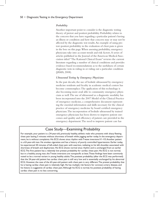#### 50 • Diagnostic Testing in the Emergency Department

#### *Probability*

Another important point to consider is the diagnostic testing theory of pretest and posttest probability. Probability relates to the concern that you have regarding a particular patient's having an illness or condition and how that concern may or may not be affected by the diagnostic test results. An example of using pretest–posttest probability in the evaluation of chest pain is given in the box on this page. When assessing probability, emergency physicians take into account trends and risk factors. A series of articles published in the Journal of the American Medical Association titled "The Rational Clinical Exam" reviews the current literature regarding a number of clinical conditions and provides evidence-based recommendations as to the usefulness of certain diagnostic tests in ruling in or ruling out a particular condition (JAMA, 2008).

#### *Ultrasound Testing by Emergency Physicians*

In the past decade, the use of bedside ultrasound by emergency medicine residents and faculty in academic medical centers has become commonplace. The application of this technology is also becoming more avail able to community emergency physicians as well. The use of ultrasound as a diagnostic modality has been incorporated into the 2007 Model of the Clinical Practice of emergency medicine, a comprehensive document representing the essential information and skills necessary for the clinical practice of emergency medicine by board certified emergency physicians. The incorporation of bedside ultrasound by trained emergency physicians has been shown to improve patient outcomes and quality and efficiency of patient care provided in the emergency department. The need to improve patient care has

# Case Study—Examining Probability

For example, your patient is a 24-year-old, previously healthy, athletic male who presents with sharp fleeting chest pain lasting 5 minutes without shortness of breath while jogging earlier today. In the emergency department, he is without complaints. His ECG shows sinus rhythm with T-wave inversions V1–V3. Another patient is a 63-year-old man. He smokes cigarettes and has a history of poorly controlled hypertension. Earlier today, he experienced 20 minutes of left-sided chest pain with exertion, radiating to his left shoulder, associated with shortness of breath and diaphoresis. His ECG shows normal sinus rhythm and is unchanged from an earlier ECG. The first patient has a relatively low pretest probability for cardiac chest pain. His ECG is not normal, but in a healthy young man, the T-wave inversions are nonspecific at best. These findings have been commonly noted to be a normal variant in young healthy adults. The posttest probability (after the ECG was performed) that the 24-year-old patient has cardiac chest pain is still very low and is essentially unchanged by his abnormal ECG. However, the case of the 63-year-old patient with chest pain is very different. The pretest probability that he is having cardiac chest pain is relatively high. He has multiple risk factors for coronary artery disease, and his history is suggestive of cardiac chest pain. Although his ECG is normal, his posttest probability of having cardiac chest pain is no less concerning.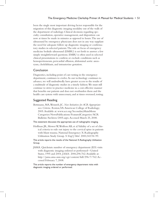been the single most important driving factor responsible for the migration of this diagnostic imaging modality out of the walls of the department of radiology. Clinical decisions regarding specialty consultation, operative management, and disposition can now at times be made in minutes as opposed to hours. The use of ultrasound by emergency physicians does not in any way supplant the need for adequate follow up diagnostic imaging or confirmatory studies in selected patients. The role or focus of emergency medicine bedside ultrasound (EMBU) is set forth to answer a few simple straightforward questions. EMBU is often used in selected clinical presentations to confirm or exclude conditions such as hemoperitoneum, pericardial effusion, abdominal aortic aneurysm, cholelithiasis, and intrauterine gestation.

#### Conclusion

Diagnostics, including point of care testing in the emergency department, continues to evolve. As our technology continues to advance, we will undoubtedly have greater access to the results of a multitude of diagnostic studies in a timely fashion. We must still continue to strive to practice medicine in a cost-effective manner that benefits our patients and does not overburden them and the health care system with unnecessary, and at times overused, testing.

### Suggested Reading

Bettmann, MA, Weinreb, JC. *New Initiatives for ACR Appropriateness Criteria.* Reston, VA: American College of Radiology; 2005. Available at: www.acr.org/SecondaryMainMenu Categories/NewsPublications/FeaturedCategories/ACR Bulletin/Archives/2005.aspx. Accessed March 25, 2008.

This statement discusses the appropriate use of radiographic imaging.

Hoffman JR, Mower W, Wolfson AB, et al. Validity of a set of clinical criteria to rule out injury to the cervical spine in patients with blunt trauma. National Emergency X-Radiography Utilization Study Group. *N Engl J Med.* 2000;343:94–99.

This article reports the results of the National X-Radiography Utilization Group.

JAMA. Quickstats: number of emergency department (ED) visits with diagnostic imaging ordered or performed—United States, 1995 and 2004. *JAMA.* 2006;296:762. Available at: http://jama.ama-assn.org/cgi/content/full/296/7/762. Accessed February 7, 2008.

This article reports the number of emergency department visits with diagnostic imaging ordered or performed.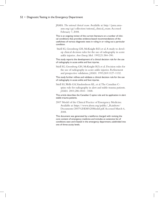#### 52 • Diagnostic Testing in the Emergency Department

JAMA. *The rational clinical exam.* Available at: http://jama.amaassn.org/cgi/collection/rational\_clinical\_exam. Accessed February 7, 2008.

This is an ongoing review of the current literature on a number of clinical conditions that provides evidence-based recommendations of the usefulness of various diagnostic tests in ruling in or ruling out a particular condition.

 Stiell IG, Greenberg GH, McKnight RD, et al. A study to develop clinical decision rules for the use of radiography in acute ankle injuries. *Ann Emerg Med.* 1992;21:384–390.

This study reports the development of a clinical decision rule for the use of radiography in acute ankle and foot injuries.

Stiell IG, Greenberg GH, McKnight RD, et al. Decision rules for the use of radiography in acute ankle injuries. Refinement and prospective validation. *JAMA.* 1993;269:1127–1132.

This study further refines and validates a clinical decision rule for the use of radiography in acute ankle and foot injuries.

Stiell IG, Wells GA, Vandemheen KL, et al. The Canadian Cspine rule for radiography in alert and stable trauma patients. *JAMA.* 2001;286:1841– 1848.

This article describes the Canadian C-spine rule and its application in alert stable trauma patients.

2007 Model of the Clinical Practice of Emergency Medicine. Available at: https://www.abem.org/public/\_Rainbow/ Documents/2007%20EM%20Model.pdf. Accessed March 6, 2008.

This document was generated by a taskforce charged with revising the core content of emergency medicine and includes an extensive list of conditions seen and treated in the emergency department, subdivided into one of three acuity levels.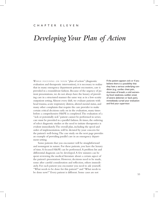# *Developing Your Plan of Action*

WHILE FOCUSING ON YOUR "plan of action" (diagnostic evaluation and therapeutic intervention), it is necessary to realize that in many emergency department patient encounters, care is provided in a roundabout fashion. Because of the urgency of patient presentations, we do not always have the luxury of providing care in a structured manner the same way as in a low-acuity outpatient setting. Almost every shift, we evaluate patients with head trauma, acute respiratory distress, altered mental status, and many other complaints that require the care provider to make certain critical decisions early on in the evaluation, many times before a comprehensive H&PE is completed. The evaluation of a "sick or potentially sick" patient cannot be performed in series; care must be provided in a parallel fashion. At times, the ordering of select diagnostic studies or the need to initiate therapeutics is evident immediately. The overall plan, including the speed and order of implementation, will be dictated by your concern for the patient's well-being. The case study on the next page provides an example of providing parallel care in an emergency department setting.

Some patients that you encounter will be straightforward and nonurgent in nature. For these patients, you have the luxury of time. A focused H&PE can be performed. A problem list and differential diagnosis can be developed. A few minutes can be spent reviewing the medical literature about a certain aspect of the patient's presentation. However, decisions need to be made, some after careful consideration and reflection, others immediately. For each patient you encounter you need to ask yourself, "What needs to be done for this patient?" and "What needs to be done now?" Every patient is different. Some cases are not

If the patient appears sick or if you believe there is a possibility that they have a serious underlying condition (e.g., cardiac chest pain, shortness of breath, a cold extremity, focal weakness, sudden onset of severe abdomen or back pain), immediately curtail your evaluation and find your supervisor.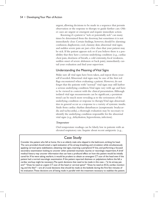#### 54 • Developing Your Plan of Action

urgent, allowing decisions to be made in a sequence that permits observation or the response to therapy to guide further care. Other cases are urgent or emergent and require immediate action.

Knowing if a patient is "sick or potentially sick" can many times be determined from the doorway, but sometimes it is not immediately clear. Certain findings, however, should be alarming: confusion; diaphoresis; cool, clammy skin; abnormal vital signs; and sudden severe pain are just a few clues that your patient may be sick. If the patient appears sick or if you believe there is a possibility that they have a serious underlying condition (e.g., cardiac chest pain, shortness of breath, a cold extremity, focal weakness, sudden onset of severe abdomen or back pain), immediately curtail your evaluation and find your supervisor.

#### Understanding the Meaning of Vital Signs

Make sure all vital signs have been taken, and repeat them yourself if needed. Abnormal vital signs may be one of the first red flags encountered when evaluating a patient. However, do not forget that the patients with "normal" vital signs may still harbor a serious underlying condition. Vital signs vary with age and have to be viewed in context with the clinical presentation. Although isolated vital sign measurements can be significant, a persistent trend can be much more revealing as to the seriousness of the underlying condition or response to therapy. Vital sign abnormalities in general occur as a response to a variety of systemic insults. Aside from cardiac rhythm disturbances (symptomatic bradycardia and tachycardia), a thorough evaluation may be necessary to identify the underlying condition responsible for the abnormal vital signs (e.g., dehydration, hypovolemia, infection).

#### *Temperature*

Oral temperature readings can be falsely low in patients with an elevated respiratory rate. Inquire about recent antipyretic (e.g.,

# Case Study

Consider the patient who fell at home. He is an elderly male who slipped in the bathroom, striking his head. The care provided should entail a rapid evaluation of his airway, breathing, and circulation while simultaneously applying cervical spine stabilization, obtaining vital signs, inserting a peripheral IV line, and performing a focused secondary examination looking to uncover other potential traumatic injuries or neurologic impairment. A brief medical history may uncover information that can have a profound effect on how this patient would be initially cared for. If he were taking warfarin, it would be prudent to obtain an emergent CT scan of the head even if the patient had a normal neurologic examination. If the patient reported dizziness or palpitations before the fall, a cardiac workup might be necessary. The quick decisions that need to be made in this case—"Is his airway patent?" "Does he need an urgent CT scan of the head or cervical spine?" "Does he need an ECG, cardiac monitoring, and the like?"—are all crucial decisions that should be made at the bedside during the first few minutes of his evaluation. These decisions are all being made in parallel with the treatment necessary to stabilize the patient.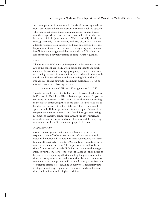acetaminophen, aspirin, nonsteroidal anti-inflammatory medications) use, because these medications may mask a febrile episode. This may be especially important in an infant younger than 3 months of age whose entire workup may be based on whether he or she is febrile (temperature > 38ºC or 100.4ºF). Septic patients, particularly the very young and very old, may not mount a febrile response to an infection and may on occasion present as hypothermic. Central nervous system injury, drug abuse, adrenal insufficiency, end-stage renal disease, and thyroid disorders can also affect basal body temperature or temperature regulation.

#### *Pulse*

The heart rate (HR) must be interpreted with attention to the age of the patient, especially when caring for infants and small children. Tachycardia in one age group may very well be a normal finding, whereas in another, it may be pathologic. Conversely, a well-conditioned athlete may have a resting HR in the 40s. For adolescents and adults, the maximum sustained HR can be estimated with the following formula:

maximum sustained HR =  $(220 - \text{age in years}) \times 0.85$ .

Take, for example, two patients. The first is 25 years old; the other is 85 years old. Each has a HR of 140 beats per minute. As you can see, using this formula, an HR this fast is much more concerning in the elderly patient, regardless of the cause. The pulse also has to be taken in context with other vital signs. The HR increases by approximately 10 beats per minute for each degree Fahrenheit of temperature elevation above normal. In addition, patients taking medications that slow conduction through the atrioventricular node (beta-blockers, calcium channel blockers, and digoxin) may not mount a tachycardic response to physiologic stress.

#### *Respiratory Rate*

Count the rate yourself with a watch. Not everyone has a respiratory rate of 20 beats per minute. Infants are commonly noted to be periodic breathers. For these patients, it is necessary to count the respiratory rate for 30 seconds to 1 minute to get a more accurate measurement. The respiratory rate tells only one side of the story and provides little information as to the oxygenation or ventilatory status of the patient. Close attention needs to be paid to the respiratory effort, including the presence of retractions, accessory muscle use, and adventitious breath sounds. Also remember that some patients will have pulmonary manifestations of systemic disease states resulting in tachypnea (respiratory rate > 20 per minute; sepsis, pulmonary embolism, diabetic ketoacidosis, lactic acidosis, and salicylate toxicity).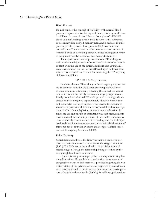### 56 • Developing Your Plan of Action

#### *Blood Pressure*

Do not confuse the concept of "stability" with normal blood pressure. Hypotension is a late sign of shock; this is especially true in children. In cases of class II hemorrhage (loss of 15%–30% blood volume), findings usually include tachycardia, tachypnea, cool clammy skin, delayed capillary refill, and a decrease in pulse pressure, yet the systolic blood pressure (BP) may be in the normal range. The decrease in pulse pressure occurs because of increased levels of circulating catecholamines causing an increase in peripheral vascular resistance, thus raising diastolic BP.

These patients are in compensated shock. BP readings as well as other vital signs such as heart rate also have to be taken in context with the age of the patient. In infants and young children, it is common for the normal BP reading to be lower than adolescents and adults. A formula for estimating the BP in young children is as follows:

#### $BP = 80 + (2 \times age \text{ in years})$

In adults, elevated BP readings in the emergency department are as common as in the adult ambulatory population. Some of these readings are transient, reflecting the clinical scenario at hand, and do not necessarily indicate underlying hypertension. Rarely do isolated elevated BP readings need to be urgently addressed in the emergency department. Orthostatic hypotension and orthostatic vital signs in general are used in the bedside assessment of patients with known or suspected fluid loss, syncope, intravascular volume depletion, or autonomic dysfunction. At times, the use and misuse of orthostatic vital sign measurements revolve around the misinterpretation of the results, confusion as to what actually constitutes a positive finding, and the technique used to determine the measurements. A more in-depth review of this topic can be found in Roberts and Hedges' Clinical Procedures in Emergency Medicine (2004).

#### *Pulse Oximetry*

Sometimes referred to as the fifth vital sign is a simple-to-perform, accurate, noninvasive assessment of the oxygen saturation  $(SaO<sub>2</sub>)$ . The  $SaO<sub>2</sub>$  correlates well with the partial pressure of arterial oxygen  $(\text{PaO}_2)$ , the relationship being described by the oxyhemoglobin dissociation curve.

Despite its many advantages, pulse oximetry monitoring has some limitations. Although it is a noninvasive measurement of oxygenation status, no information is provided regarding the ventilatory status of the patient. In cases of suspected hypercarbia, an ABG analysis should be performed to determine the partial pressure of arterial carbon dioxide  $(PaCO<sub>2</sub>)$ . In addition, pulse oxime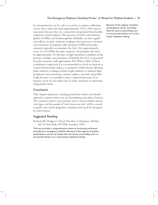try measurements can be only as accurate as empiric calibration curves. Sa $O_2$  values less than approximately 75% to 80% may be inaccurate because they are commonly extrapolated from healthy volunteer control subjects. The presence of both carboxyhemoglobin (COHb) and methemoglobin (MetHb) can have significant effects on pulse oximetry readings when present in elevated concentrations. In patients with elevated COHb levels, pulse oximetry typically overestimates the  $\operatorname{SaO}_2.$  For approximately every 1% of COHb, the pulse oximeter overestimates the  $a_2$ by approximately 1%. Because of light absorbance qualities, in the presence of high concentrations of MetHb, the SaO<sub>2</sub> as measured by pulse oximetry will approximate 85%. When either of these conditions is suspected, it is recommended to check an arterial or venous blood sample using a co-oximeter. Other factors affecting pulse oximetry readings include bright ambient or infrared light, peripheral vasoconstriction, motion artifact, and dark nail polish. Lastly, because it is possible to have a delayed detection of an hypoxic event, do not solely rely on pulse oximetry to determine oxygenation status.

### **Conclusion**

This chapter represents a starting point from where you should approach a patient when you are formulating your plan of action. The attention paid to your primary survey and secondary survey, vital signs, and the gestalt of "sick versus not sick" will be crucial to guide your initial diagnostic evaluation and need for therapeutic intervention.

### Suggested Reading

Roberts JR, Hedges J. *Clinical Procedures in Emergency Medicine.* 4th ed. New York, NY: W.B. Saunders; 2004.

This text provides a comprehensive review of commonly performed procedures in emergency medicine. Because of the urgency of patient presentations, we do not always have the luxury of providing care in a structured manner as in a low-acuity outpatient setting.

Because of the urgency of patient presentations, we do not always have the luxury of providing care in a structured manner as in a lowacuity outpatient setting.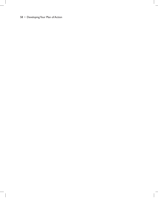58 • Developing Your Plan of Action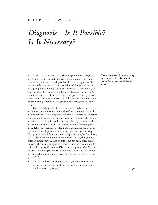# *Diagnosis—Is It Possible? Is It Necessary?*

ALTHOUGH THE GOAL O F establishing a definitive diagnosis appears logical in the vast majority of emergency department– patient encounters, the reality is that this is a nearly impossible task and often an unrealistic expectation of the general public. Accepting the humbling nature and at times the uncertainty of the specialty of emergency medicine is absolutely necessary. A closer examination of the challenges and goals of our specialty offers a distinct perspective on the ability to and the importance of establishing a definitive diagnosis in the emergency department.

The overarching goal in the practice of medicine is to assess a patient's signs and symptoms and perform the necessary evaluation to achieve a clear diagnosis and thereby initiate treatment. In the practice of emergency medicine, however, some patients are admitted to the hospital and others are discharged home without a definitive diagnosis. Although this may sound frustrating and even deficient when first contemplated, examining the goals of the emergency department help shed light on why this happens. The primary role of the emergency department is, by definition, to handle "emergency medical conditions." What, then, constitutes an emergency? Although this topic has been extensively debated, the term emergency medical condition means a medical condition manifesting itself by acute symptoms of sufficient severity (including severe pain) such that the absence of immediate medical attention could reasonably be expected to result in (EMTALA):

Placing the health of the individual (or, with respect to a pregnant woman, the health of the woman or her unborn child) in serious jeopardy

The primary role of the emergency department is, by definition, to handle "emergency medical conditions."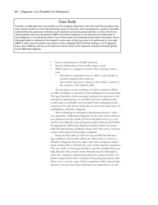## Case Study

Consider a middle-aged man who presents to the emergency department with chest pain. The emergency physician should consider all of the life-threatening causes of chest pain when evaluating such a patient: myocardial ischemia/infarction, pulmonary embolism, aortic dissection, pneumonia, pneumothorax, to name a few. As the clinician gathers data from the patient's H&PE and ancillary testing, he or she will assess how likely each of these diagnoses is and will decide which, if any of these need to be evaluated further before the patient may be discharged safely or admitted to the hospital. In some cases, all that may need to be performed is a thorough H&PE. In other cases, the patient may require a chest radiograph, ECG, D-Dimer testing, or a CT angiogram. Every case is different, and the use of resources and the extent of the diagnostic evaluation should be guided by the differential diagnosis.

- Serious impairment to bodily functions
- Serious dysfunction of any bodily organ or part
- With respect to a pregnant woman who is having contractions
	- that there is inadequate time to effect a safe transfer to another hospital before delivery
	- that transfer may pose a threat to the health or safety of the woman or the unborn child

An emergency is any condition in which a patient is likely to suffer morbidity or mortality if left undiagnosed and untreated. The goal, therefore, when assessing a patient who presents to the emergency department, is to identify and treat conditions that could result in morbidity and mortality if left undiagnosed and untreated. It is with this in mind that we assess the importance of establishing a definitive diagnosis.

After evaluating an emergency department patient, a clinician generates a differential diagnosis on the basis of the information gathered and the results of selected bedside tests (e.g., accu check, urine dipstick, urine pregnancy, pulse oximetry, peak flow). An appropriate differential diagnosis should include any potentially life-threatening conditions along with other more common causes of the patient's presenting complaint.

Steps are then taken to rule out any possible life-threatening conditions. Reasonable efforts are often made to arrive at a definitive diagnosis; however, quite often, the emergency department workup fails to identify the cause of the patient's symptoms. The case study on this page provides a specific example that may help illustrate this scenario better. Patients may feel dissatisfied when the emergency department physician cannot provide a definitive diagnosis for their complaint. Reassuring the patient that there is not a serious cause of their symptoms while acknowledging their concern may help. Sometimes an explanation as to the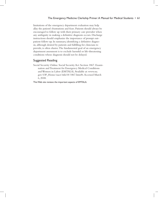#### The Emergency Medicine Clerkship Primer: A Manual for Medical Students • 61

limitations of the emergency department evaluation may help allay the patient's frustrations and fears. Patients should always be encouraged to follow up with their primary care provider when any ambiguity in making a definitive diagnosis occurs. Discharge instructions should emphasize the importance of prompt outpatient follow-up. In summary, identifying a definitive diagnosis, although desired by patients and fulfilling for clinicians to provide, is often elusive. The fundamental goal of an emergency department assessment is to exclude harmful or life-threatening conditions whose diagnosis should not be delayed.

## Suggested Reading

Social Security Online. Social Security Act: Section 1867. Examination and Treatment for Emergency Medical Conditions and Women in Labor (EMTALA). Available at: www.ssa. gov/OP\_Home/ssact/title18/1867.htm#t. Accessed March 6, 2008.

This Web site reviews the important aspects of EMTALA.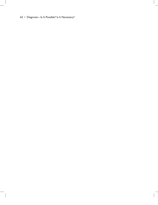62 • Diagnosis—Is It Possible? Is It Necessary?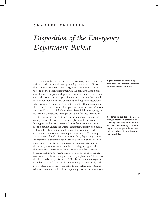## CHAPTER THIRTEEN

# *Disposition of the Emergency Department Patient*

DISPOSITION (ADMISSION VS. DISCHARGE) is, of course, the ultimate endpoint for all emergency department visits. However, this does not mean you should begin to think about it toward the end of the patient encounter. On the contrary, a good clinician thinks about patient disposition from the moment he or she enters the room. Imagine you pick up the chart of a 64-year-old male patient with a history of diabetes and hypercholesterolemia who presents to the emergency department with chest pain and shortness of breath. Even before you walk into the patient's room, you should start to think about the differential diagnosis, diagnostic workup, therapeutic management, and of course disposition.

By reviewing the "stopgaps" in the admission process, the concept of timely disposition can be placed in better context. In a typical ambulatory presentation to the emergency department, a patient undergoes a triage assessment, usually by a nurse, followed by a brief interview by a registrar to obtain medical insurance and other demographic information. These steps may at times take 30 minutes or more. Next, depending on the availability of a treatment room, the presentation of unexpected emergencies, and staffing resources, a patient may still wait in the waiting room for some time before being brought back to the emergency department for an evaluation. After a patient is brought back into the treatment area, he or she is often reevaluated by a nurse before being evaluated by a physician. Add to this the time it takes to perform a H&PE, obtain a chest radiograph, draw blood, wait for test results, and more, you could easily add 2 or 3 additional hours to the patient's stay before disposition is addressed. Assuming all of these steps are performed in series, you A good clinician thinks about patient disposition from the moment he or she enters the room.

By addressing the disposition early during a patient's evaluation, you can easily save many hours on the back end, thus reducing a patients stay in the emergency department and improving patient satisfaction and patient flow.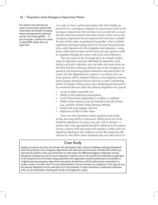#### 64 • Disposition of the Emergency Department Patient

As a patient care advocate, we need to ensure that a patient fully understands the benefit of hospitalization and appropriate treatment and the risk of leaving AMA . . . If you encounter a patient who wants to leave AMA, always alert you supervisor.

can easily see how a patient presenting with what initially appeared to be a nonurgent complaint can spend many hours in the emergency department. This timeline does not take into account the time that some patients must then endure as they wait in the emergency department for an inpatient bed to become available. If some of these steps are performed in parallel—that is, bedside registration, nursing standing orders for selected clinical presentations, early disposition for the straightforward admission—many hours could easily be taken off the back end, and a patient could be expedited through the system with much more efficiency.

The case study on the next page gives an example of planning for disposition early. By addressing the disposition early during a pa tient's evaluation, you can easily save many hours on the back end, thus reducing a patient's stay in the emergency department and improving patient satisfaction and patient flow. Of course, the best disposition for a patient is not always clear cut. Some patients will be admitted without a clear diagnosis, whereas others require admission because of social or other contributing factors. A number of these issues and contributing factors need to be considered that may affect the ultimate disposition of a patient:

- Access to follow-up health care
- Ability to fill medication prescriptions
- Level of functional independence or ability to ambulate
- Ability of the patient to care for himself or herself at home (e.g., activities of daily living, dressing, bathing)
- Family and social support network
- Suspicion of child or elder abuse

Once you have decided to admit a patient to the hospital, the next step will be to determine which service he or she should be admitted to. In many cases, this will be obvious—a patient with acute appendicitis should be admitted to the surgery service, a patient with chest pain who requires a cardiac rule-out should be admitted to the medicine service. But sometimes this will not be clear. When these situations arise, you will need to be

# Case Study

Imagine you pick up the chart of a 64-year-old male patient with a history of diabetes and hypercholesterolemia who presents to the emergency department with chest pain and shortness of breath. Even before you walk into the patient's room, you should start to think about the differential diagnosis, diagnostic workup, therapeutic management, and of course disposition. A patient such as this should be immediately brought back to the treatment area. The initial nursing assessment and registration could be performed at the bedside. In a high-functioning emergency department, this patient should have an ECG performed, be connected to a cardiac monitor, and often have IV access initiated before a formal evaluation by a physician. In this type of case, the eventual disposition can be made early on in his evaluation. In many institutions, a preliminary admission order can be made before obtaining the results of all diagnostic studies.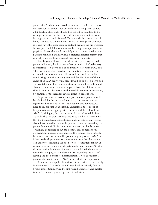your patient's advocate to avoid or minimize conflict as to who will care for the patient. For example, an elderly patient suffers a hip fracture after a fall. Should this patient be admitted to the orthopedic service with an internal medicine consult to manage her hypertension and diabetes? Or would she be better served by being admitted to the medicine service to manage her comorbidities and have the orthopedic consultant manage the hip fracture? It may prove helpful at times to involve the patient's primary care physician. He or she would certainly want to be updated on the patient's condition and may have a preferred referral pattern that can help mitigate these potential disposition conflicts.

Finally, you will have to decide what type of hospital bed a patient will need, that is, a medical–surgical floor bed, telemetry monitoring, step-down bed, or an intensive care unit (ICU) bed. This decision is often based on the stability of the patient; the expected course of the acute illness; and the need for cardiac monitoring, intensive nursing care, and the like. Some of the nuances of an ICU bed versus a step-down bed or a step-down bed versus a telemetry bed may be institution dependent and should always be determined on a case-by-case basis. In addition, consider in selected circumstances the need for contact or respiratory precautions or the need for reverse isolation precautions.

A special situation arises when you believe a patient should be admitted, but he or she refuses to stay and wants to leave against medical advice (AMA). As a patient care advocate, we need to ensure that a patient fully understands the benefit of hospitalization and appropriate treatment and the risk of leaving AMA. By doing so, the patient can make an informed decision. To make this decision, we must ensure to the best of our ability that the patient has medical decisionmaking capacity. All reasonable efforts should be used to help resolve issues surrounding the patient leaving AMA. At times, a patient may just be frustrated or hungry, concerned about the hospital bill, or perhaps concerned about missing work. Some of these issues may be able to be resolved, others cannot. If a patient is going to leave AMA, it is best to develop an alternative treatment plan that the patient can adhere to, including the need for close outpatient follow-up or return to the emergency department for reevaluation. Written documentation in the medical record should detail the conversation that the physician and patient had regarding the risks of leaving and the benefits of hospitalization. If you encounter a patient who wants to leave AMA, always alert your supervisor.

In summary, keep the disposition of the patient in mind early in the course of the evaluation. If expedited in a timely fashion, proper disposition may lead to improved patient care and satisfaction with the emergency department evaluation.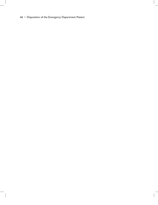66 • Disposition of the Emergency Department Patient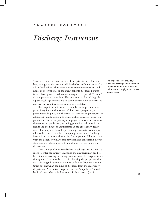#### CHAPTER FOURTEEN

## *Discharge Instructions*

THREE QUARTERS OR MORE of the patients cared for in a busy emergency department will be discharged home, some after a brief evaluation, others after a more extensive evaluation and hours of observation. For the many patients discharged, outpatient followup and reevaluation are required to provide "closure" for the presenting complaint. The importance of providing adequate discharge instructions to communicate with both patients and primary care physicians cannot be overstated.

Discharge instructions serve a number of important purposes. They inform the patient of the known, suspected, or preliminary diagnosis and the name of their treating physician. In addition, properly written discharge instructions can inform the patient and his or her primary care physician about the extent of the evaluation performed, including preliminary diagnostic test results and medications administered in the emergency department. This may also be of help when a patient returns unexpectedly to the same or another emergency department. Discharge instructions can also outline a plan for outpatient follow-up care with the patient's primary care physician and can explain circumstances under which a patient should return to the emergency department.

Near the top of most standardized discharge instructions is a space to enter the patient's diagnosis; the diagnosis may need to be entered in writing or through an electronic discharge instruction system. Care must be taken in choosing the proper wording for a discharge diagnosis. A patient's definitive diagnosis is sometimes not known at the time of discharge from the emergency department. A definitive diagnosis, such as "strep throat," should be listed only when this diagnosis is in fact known (i.e., in a

The importance of providing adequate discharge instructions to communicate with both patients and primary care physicians cannot be overstated.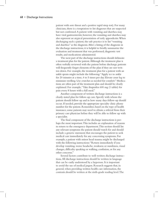#### 68 • Discharge Instructions

patient with sore throat and a positive rapid strep test). For many clinicians, there is a temptation to list diagnoses that are suspected but not confirmed. A patient with vomiting and diarrhea may have viral gastroenteritis; however, the vomiting and diarrhea may also represent an atypical presentation of early appendicitis. When discharging such a patient, the safe practice is to list "vomiting and diarrhea" as the diagnosis. After a listing of the diagnosis in the discharge instructions, it is helpful to briefly summarize the evaluation and treatment that was performed, diagnostic test results, and medications administered.

The next part of the discharge instructions should delineate a treatment plan for the patient. Although the treatment plan is often verbally reviewed with the patient before discharge, patients will frequently forget elements of the plan if they are not written down. For example, the treatment plan for a patient with an ankle sprain might include the following: "Apply ice to ankle for 20 minutes at a time, 4 to 5 times per day. Elevate your leg to minimize swelling. Use crutches as needed for comfort." Medications are often part of the treatment plan and should be clearly explained. For example, "Take ibuprofen 600 mg (1 tablet) for pain every 8 hours with a full meal."

Another component of written discharge instructions is a clearly stated plan for follow-up care. Specify with whom the patient should follow up and in how many days follow-up should occur. If needed, provide the appropriate specialty clinic phone number for the patient. Remember, based on the type of health insurance, some patients may need to obtain a referral from their primary care physician before they will be able to follow up with a specialist.

The final component of the discharge instructions is perhaps the most important. This includes an explanation of reasons to return to the emergency department. This section should list any relevant symptoms the patient should watch for and should include a generic statement that encourages the patient to seek medical care immediately for any concerning symptoms. For example, a patient with minor head trauma might be discharged with the following instructions: "Return immediately if you develop vomiting, worse headache, weakness or numbness, visual changes, difficulty speaking or walking, confusion, or for any other concerns."

Several factors contribute to well-written discharge instructions. All discharge instructions should be written in language that can be easily understood by a layperson. It is important to avoid the use of medical jargon. Research suggests that, in general, when providing written health care information, the contents should be written at the sixth-grade reading level. The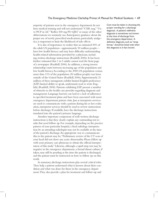#### The Emergency Medicine Clerkship Primer: A Manual for Medical Students • 69

majority of patients seen in the emergency department do not have medical training and will not understand "CXR neg," "f/u w/PCP in 2d," "Keflex 500 mg PO QID," or many of the other abbreviations we routinely use. Anticipatory guidance about the proper use of newly prescribed medications, particularly analgesics, is important to limit the likelihood of side effects.

It is also of importance to realize that an estimated 50% of the adult US population—approximately 90 million people have low health literacy and may have difficulty understanding health-related information provided by a physician, including written discharge instructions (Ruddell, 2006). It has been further estimated that 1 in 5 adults cannot read the front page of a newspaper (Ruddell, 2006). In addition, a strong inverse relationship exists between increasing age of the population and low health literacy. According to the 2000 US population census, more than 11% of the population (30 million people) was born outside of the United States (Ruddell, 2006). Approximately 21 million of these immigrants exhibit limited English proficiency (LEP; limited ability to speak, understand, read or write English) (Ruddell, 2006). Patients exhibiting LEP present a number of obstacles to the health care provider regarding diagnosis and management. Language barriers can lead to a lack of adherence to specified treatment plans and have been associated with more emergency department patient visits. Just as interpreter services are used to communicate with a patient during his or her evaluation, interpreter services should be used to review instructions before discharge. If available, have the discharge instructions translated into the patient's primary language.

Another important component of well-written discharge instructions is that they clearly explain any outstanding test results that need follow up. For example, depending on the practice pattern of your particular hospital, a final radiology interpretation by an attending radiologist may not be available at the time of the patient's discharge. An appropriate way to communicate this to the patient may be, "Preliminary review of the CT scan of your head did not show any acute abnormality. Please follow up with your primary care physician to obtain the official interpretation of this study." Likewise, although a rapid strep test may be negative in the emergency department, a formal throat culture, if taken, may still be pending at the time the patient is discharged, and the patient must be instructed on how to follow up on this result.

In summary, discharge instructions play several critical roles. They help a patient understand what is known about their condition and what was done for them in the emergency department. They also provide a plan for treatment and follow-up and

Care must be taken in choosing the proper wording for a discharge diagnosis. A patient's definitive diagnosis is sometimes not known at the time of discharge from the emergency department. A definitive diagnosis, such as "strep throat," should be listed only when this diagnosis is in fact known.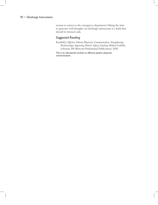#### 70 • Discharge Instructions

reasons to return to the emergency department. Taking the time to generate well-thought-out discharge instructions is a habit that should be formed early.

### Suggested Reading

Ruddell J. *Effective Patient-Physician Communication: Strengthening Relationships, Improving Patient Safety, Limiting Medical Liability.* Lebanon, PA: Westcott Professional Publications, 2006.

This is an educational module on effective patient–physician communication.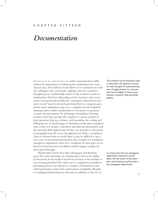#### CHAPTER FIFTEEN

## *Documentation*

ALTHOUGH AS IMPORTANT as verbal communication skills, written documentation is unfortunately understressed in many clinical areas. The medical record allows us to communicate with our colleagues and can provide a glimpse into the caregiver's thought process. Traditionally, entries in the medical record are handwritten. However, depending on the resources and system used at your particular facility, the "emergency department treatment record" may be dictated and transcribed or computer generated. Some institutions may use a complaint-based templated charting system (either handwritten or electronic) to promote accurate documentation. An advantage of templated charting systems is that they prompt the caregiver to answer patient-related questions that may enhance and streamline the coding and billing process. A disadvantage or limitation of the pure templated chart is that it is mostly a checkbox and slash documentation tool that provides little opportunity for the care provider to document in paragraph form his or her thought process. When a templated chart is reviewed days or weeks later, it may be difficult to get a true sense of the patient presentation. An example of a templated emergency department chart for a complaint of chest pain can be found at www.tsystem.com/library/media/images/sample-epchest-pain-front.jpg.

Handwritten charts have their advantages and disadvantages. The main advantage of a handwritten chart is the ability to document in the medical record in real time at the bedside as care is being provided. The chart can be completed in parallel to providing patient care. However, a number of limitations exist with handwritten charts; first and foremost is legibility. Illegible or confusing handwriting by clinicians in addition to the use of

The medical record should be used to document the patient's encounter with the goal of communicating your thought process in a manner that can be helpful to future practitioners caring for that particular patient.

It is important that the emergency department treatment record eflect the full extent of the evaluation and treatment performed in the emergency department.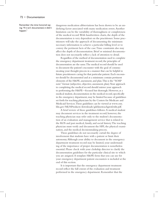#### 72 • Documentation

Remember the time honored saying, "If it isn't documented, it didn't happen."

dangerous medication abbreviations has been shown to be an underlying factor associated with many medication errors. Another limitation can be the variability of thoroughness or completeness of the medical record. With handwritten charts, the depth of the documentation is very dependent on the practitioner. Some practitioners will take the approach of documenting the minimum necessary information to achieve a particular billing level or to convey the pertinent facts of the case. Time constraints also may affect the depth of documentation. Brief or minimal documentation does not necessarily reflect a lack of attention to detail.

Regardless of the method of documentation used to complete the emergency department treatment record, the principles of documentation are the same. The medical record should be used to document the patient's encounter with the goal of communicating your thought process in a manner that can be helpful to future practitioners caring for that particular patient. Each encounter should be documented and at a minimum contain pertinent elements of the H&PE, assessment, and plan. This is the "SOAP note" format (subjective, objective, assessment, plan). Your approach to completing the medical record should mirror your approach to performing the H&PE—focused but thorough. However, as a medical student, documentation in the medical record, specifically in the emergency department, may be limited because of guidelines set forth for teaching physicians by the Centers for Medicare and Medicaid Services. These guidelines can be viewed at www.cms. hhs.gov/MLNProducts/downloads/gdelinesteachgresfctsht.pdf.

A brief review of these guidelines follows. A medical student may document services in the treatment record; however, the teaching physician may refer only to the student's documentation of an evaluation and management service that is related to the ROS and past medical, family, and social history. The teaching physician must verify and document the HPI, the physical examination, and the medical decisionmaking process.

These guidelines do not necessarily curtail the degree of involvement that students have with a patient or limit their autonomy. Although your ability to document in the emergency department treatment record may be limited, your understanding of the importance of proper documentation is nonetheless essential. Please check with your clerkship director to clarify the documentation guidelines for the particular clinical site to which you are assigned. A template H&PE form that you can use for your emergency department patient encounters is included at the end of this section.

It is important that the emergency department treatment record reflect the full extent of the evaluation and treatment performed in the emergency department. Remember that the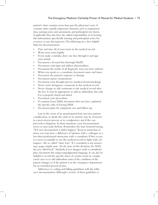#### The Emergency Medicine Clerkship Primer: A Manual for Medical Students • 73

patient's chart contains more than just the physician's note. It contains other equally important elements, such as registration data, nursing notes and assessments, and prehospital run sheets, if applicable. You also have the added responsibility of reviewing this information, specifically nursing and prehospital notes, for accuracy or any discrepancies. The following are a few helpful hints for documentation:

- Date and time all of your notes in the medical record.
- Write your notes legibly.
- If you make a mistake, draw one line through it and sign your initials.
- Document a focused but thorough H&PE.
- Document vital signs and address abnormalities.
- Document the results of all diagnostic tests you have ordered.
- When you speak to a consultant, document name and times.
- Document the patient's response to therapy.
- Document repeat examinations.
- Document your thought process (medical decisionmaking).
- Never write derogatory comments in the medical record.
- Never change or add comments to the medical record after the fact. It may be appropriate to add an addendum, but only if it is properly timed and dated.
- Document your procedures.
- If a patient leaves AMA, document that you have explained the specific risks of leaving AMA.
- Document plans for outpatient care and follow-up.

Last, in the event of an unanticipated bad outcome, patient complication, or death, the chart in its entirety may be reviewed in a peer-review process or in a malpractice suit if the case proceeds to litigation. In these situations, your documentation serves as your main defense. Remember the time honored saying, "If it isn't documented, it didn't happen." Keep in mind that, at times, you may have a difference of opinion with a colleague or a less-than-professional interaction with a consultant. If this occurs, it is never acceptable to use the medical record to fight with colleagues—the so called "chart wars." If a consultant is not answering a page, simply note, "At the time of this dictation, Dr. XXX has not called back." Similarly, if you disagree with a consultant's plan, document this using nonjudgmental language. It can also be helpful to record the specific times of certain events in complicated cases or to add addendum notes if the condition of the patient changes or if the patient is in the emergency department for an extended period of time.

Adherence to coding and billing guidelines will also influence documentation. Although a review of these guidelines is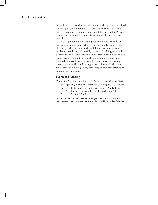#### 74 • Documentation

beyond the scope of this Primer, recognize that patients are billed according to the complexity of their visit. To substantiate this billing, there must be enough documentation of the H&PE and medical decisionmaking elements to support the level of care provided.

Although you are developing your own personal style of documentation, consider who will be potentially reading your chart (e.g., other medical students, billing personnel, nurses, residents, attendings, and possibly lawyers). By doing so, it will become more clear what your documentation should and should not consist of. In addition, you should never write anything in the medical record that you would be uncomfortable having shown to a jury. Although it might seem like an added burden at times, especially during a busy shift, proper documentation is of paramount importance.

#### Suggested Reading

Center for Medicare and Medicaid Services. *Guidelines for Teaching Physicians, Interns, and Residents.* Washington, DC: Department of Health and Human Services; 2007. Available at: http://web.msm.edu/compliance/TPguidelines.9.06.pdf. Accessed March 6, 2008.

This document outlines documentation guidelines for physicians in a teaching setting who are paid under the Medicare Physician Fee Schedule.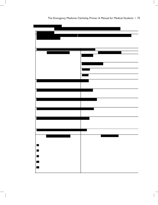

The Emergency Medicine Clerkship Primer: A Manual for Medical Students • 75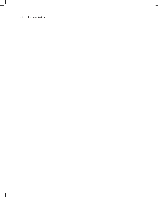#### 76 • Documentation

 $\mathbf{I}$ 

 $\overline{\phantom{a}}$ 

 $\overline{\phantom{a}}$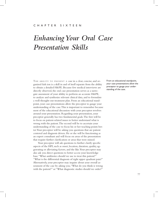#### CHAPTER SIXTEEN

# *Enhancing Your Oral Case Presentation Skills*

THE ABILITY TO PRESENT A case in a clear, concise, and organized fash ion is a skill in and of itself separate from the ability to obtain a detailed H&PE. Because few medical interviews are directly observed, the oral case presentation serves as a surrogate assessment of your ability to perform an accurate H&PE, to analyze and synthesize relevant clinical data, and to formulate a well-thought-out treatment plan. From an educational standpoint, your case presentations allow the preceptor to gauge your understanding of the case. This is important to remember because most of the educational discussion with your preceptor revolves around your presentation. Regarding your presentation, your preceptor generally has two fundamental goals. The first will be to focus on patient-related issues to better understand what is wrong with the patient. The second will be to ascertain your understanding of the case to focus his or her teaching points better. Your preceptor will be asking you questions that are patient centered and diagnosis driven. He or she will be functioning as an expert consultant and will focus on areas of the presentation that require further clarification or areas that were missed.

Your preceptor will ask questions to further clarify specific aspects of the HPI, such as onset, location, duration, quality, aggravating or alleviating factors, and the like. Your preceptor may also ask you direct questions to better access your knowledge base. "What antibiotics should we use to treat this patient?" "What is the differential diagnosis of right upper quadrant pain?" Alternatively, your preceptor may inquire about your overall assessment of the case by asking you, "What do you think is wrong with the patient?" or "What diagnostic studies should we order?"

From an educational standpoint, your case presentations allow the preceptor to gauge your understanding of the case.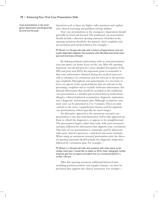#### 78 • Enhancing Your Oral Case Presentation Skills

Case presentations in the emergency department should generally be brief and focused.

Questions such as these are higher order questions and explore your clinical reasoning and problem-solving abilities.

Your case presentations in the emergency department should generally be brief and focused. The traditional case presentation should include a directed opening statement. Included in the opening statement should be the patient's chief complaint and any pertinent past medical history. For example—

Mr. Brown is a 54-year-old male with a history of hypertension and noninsulin-dependent diabetes who presents with left-sided exertional chest pain and shortness of breath.

By linking pertinent information early in your presentation, your preceptor can better focus on the case. After the opening statement, you should present a more detailed description of the HPI and perti nent ROS. An important point to remember is that some information obtained during the medical interview will, in retrospect, be extraneous and not relevant to the presenting complaint. Throughout your presentation, it is necessary to focus on aspects of the medical history that are relevant to the presenting complaint and to exclude irrelevant information. Additional information that should be included in the traditional case presentation is a detailed past medical history, medications, allergies, a directed physical examination, diagnostic impression, and a diagnostic and treatment plan. Although exceptions exist, most cases can be presented in 2 to 3 minutes. This is in stark contrast to the more comprehensive format used for inpatient case presentations, which typically are much longer.

An alternative approach is the assessment-oriented case presentation. Cases that lend themselves well to this approach are those in which the diagnosis is or appears to be straightforward. The presentation begins, rather than ends, with your assessment and plan, followed by information that supports your conclusions. This style of case presentation is commonly used by physicians with more clinical experience—mid-level and senior residents. When using an assessment-oriented presentation style, the directed opening statement should include the diagnostic impression followed by a treatment plan. For example—

Mr. Brown is a 54-year-old male who presents with what seems to be cardiac chest pain. I would like to obtain an ECG, chest radiograph, cardiac enzymes, give him an aspirin, and admit him to a monitored bed for a cardiac rule-out.

After this opening statement, additional historical data, including pertinent positive and negative features, can then be presented that supports the clinical assessment. For example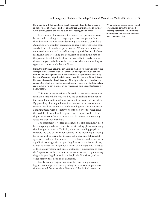He presents with left-sided exertional chest pain described as pressure and shortness of breath. His chest pain started approximately 2 hours ago while climbing stairs and was relieved after resting, and so forth.

It is common for assessment-oriented case presentations to be used when calling an emergency department patient in to the admission team or when discussing a case with a consultant. Admission or consultant presentations have a different focus than standard or traditional case presentations. When a consultant is contacted, a provisional or preliminary diagnosis has usually been made, and you are calling the consultant to assist in the care of the patient. It will be helpful to your consultant if early in your discussion, you make him or her aware of why you are calling. A typical exchange would be as follows:

Hello, this is Michael Stevens. I am a senior medical student working in the emergency department with Dr. Tarver. I am calling you about a patient that we would like you to see in consultation. Our patient is a previously healthy, 38-year-old, right-hand dominant male. His name is Richard Seaver. He has a displaced midshaft fracture of his right radius and ulna that occurred after slipping on the ice approximately 1 hour ago. His distal pulses are intact, and he can move all of his fingers. We have placed his forearm in a volar splint.

This type of presentation is focused and contains relevant information that will be requested by the consultant. If the consultant would like additional information, it can easily be provided. By providing clinically relevant information in this assessmentoriented fashion, we are not overburdening our consultant or an admitting team with a lengthy presenta tion over the telephone that is difficult to follow. It is good form to speak to the admitting team or consultant in more depth in person to answer any questions that they may have.

The assessment-oriented presentation is also commonly used by emergency medicine residents and attending physicians during sign in–sign out rounds. Typically, when an attending physician transfers the care of his or her patients to the incoming attending, he or she will be caring for patients who have an established diagnosis and who will be admitted to the hospital and others with a preliminary diagnosis and pending diagnostic studies. At times, it may be necessary to sign out a dozen or more patients. Because of the patient volume and time constraints, it is necessary to focus the "sign outs" to the relevant information: known or preliminary diagnosis, pending diagnostic studies, likely disposition, and any other matters that need to be addressed.

Finally, each preceptor has his or her own unique reasoning process and preferences regarding the style of case presentation expected from a student. Because of the limited preceptor

When using an assessmentoriented presentation style, the directed opening statement should include the diagnostic impression followed by a treatment plan.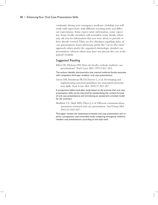#### 80 • Enhancing Your Oral Case Presentation Skills

continuity during your emergency medicine clerkship, you will work with supervisors with different teaching styles and different expectations. Some expect more information, some expect less. Some faculty members will remember many details; others may ask you for information that you were about to provide or have already covered. There are few absolutes regarding styles of case presentations. Some physicians prefer the "cut-to-the-chase" approach; others prefer the organized chronologic detailed case presentation, whereas others may have you present the case at the patient's bedside.

#### Suggested Reading

Elliot DL, Hickam DH. How do faculty evaluate students' case presentations? *Teach Learn Med.* 1997;9:261–263.

The authors identify characteristics that internal medicine faculty associate with competent third-year students' oral case presentations.

Green EH, Hershman W, DeCherrie L, et al. Developing and implementing universal guidelines for oral patient presentation skills. *Teach Learn Med.* 2005;17:263–267.

A prospective before-and-after study based on the premise that oral case presentation skills can be improved by standardizing the content formula of oral case presentations and introducing an assessment-oriented model for the summary.

Maddow CL, Shah MN, Olsen J, et al. Efficient communication: assessment-oriented oral case presentation. *Acad Emerg Med.*  2003;10: 842–847.

This paper reviews the assessment-oriented oral case presentation and reports a prospective case-controlled study comparing emergency medicine resident case presentations, according to the style used.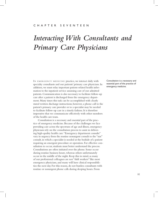#### CHAPTER SEVENTEEN

# *Interacting With Consultants and Primary Care Physicians*

IN EMERGENCY MEDICINE practice, we interact daily with specialty consultants and our patients' primary care physicians. In addition, we must relay important patient-related health information to the inpatient service assuming care of our admitted patients. Communication is also necessary to facilitate follow-up care after a patient is discharged from the emergency department. Many times this task can be accomplished with clearly stated written discharge instructions; however, a phone call to the patient's primary care provider or to a specialist may be needed to facilitate follow-up care in a timely fashion. It is therefore imperative that we communicate effectively with other members of the health care team.

Consultation is a necessary and essential part of the practice of emergency medicine. Because of the challenges we face providing care across the spectrum of age and illness, emergency physicians rely on the consultation process to assist in delivering high-quality health care. "Emergency department consults" vary in urgency from the routine nonurgent consult to the "stat" consult, in which a specialist is needed at the bedside of a patient requiring an emergent procedure or operation. For effective consultation to occur, students must better understand the process. Consultations are often initiated over the phone. Some occur during routine business hours, whereas others unfortunately occur in the middle of the night. Keep this in mind, as many of our professional colleagues are not "shift workers" like most emergency physicians, and many will have clinical responsibilities the next day. For this reason, do not burden consultants with routine or nonurgent phone calls during sleeping hours. From

Consultation is a necessary and essential part of the practice of emergency medicine.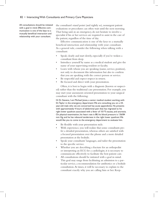#### 82 • Interacting With Consultants and Primary Care Physicians

All consultations should be initiated with a goal in mind. Effective communication is one of the keys to a mutually beneficial interaction and relationship with your consultant.

the consultant's stand point (and rightly so), nonurgent patient evaluations or procedures can often wait until the next morning. That being said, in an emergency, do not hesitate to involve a specialist if his or her services are required to assist in the care of the patient, regardless of the time of day.

Effective communication is one of the keys to a mutually beneficial interaction and relationship with your consultant. As a general rule, consider the following when talking with a consultant:

- Speak clearly and start slowly, especially if you've woken a consultant from sleep.
- Introduce yourself by name as a medical student and give the name of your supervising resident or faculty.
- Learn with whom you are speaking (name, service, position), not only to document this information but also to confirm that you are speaking with the correct person or service.
- Be respectful and expect respect in return.
- Be focused and direct with your presentation.

Often, it is best to begin with a diagnosis (known or suspected) rather than the traditional case presentation. For example, you may start your assessment-oriented presentation to your surgical consultant with the following:

Hi Dr. Stevens, I am Michael Jones, a senior medical student working with Dr. Taylor in the emergency department. We are consulting you on a 24 year-old male who we are concerned has acute appendicitis. He presents with approximately 4 hours of abdominal pain that has migrated to his right lower quadrant associated with a fever of 101ºF, nausea, and anorexia. On physical examination, his heart rate is 88, his blood pressure is 136/84 mm Hg, and he has rebound tenderness in the right lower quadrant. We would like you to come to the emergency department to evaluate him.

- Be flexible with your presentation style.
- With experience, you will realize that some consultants prefer a detailed presentation, whereas others are satisfied with a focused presentation over the phone and a more detailed presentation at the bedside.
- Speak your consultants' languages, and tailor the presentation to the specific service.
- Whether you are describing a fracture for an orthopedist or interpreting an ECG for a cardiologist, it is necessary to communicate effectively to facilitate the best patient care.
- All consultations should be initiated with a goal in mind. This goal may range from facilitating an admission to a particular service, a recommendation for antibiotics or a bedside consultation. At times, it will be necessary to explain to the consultant exactly why you are calling him or her. Keep-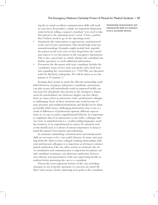#### The Emergency Medicine Clerkship Primer: A Manual for Medical Students • 83

ing this in mind; excellent communication skills will work in your favor. Remember, a subtle yet important distinction exists between telling a surgical consultant "you need to take this patient to the operating room" versus "I have a patient that I believe needs to go to the operating room."

- Summarize the expectations or agreements communicated at the end of your conversation. This should help avoid any misunderstandings. Examples might include how urgently the patient needs to be seen or how long before the consultant expects to see the patient in the emergency department. This is also a good time to clarify whether the consultant has further questions or needs additional information.
- Document the discussion with your consultant. Include the consultant's name, service, time you spoke, and a brief notation regarding the conversation (i.e., "9:00 PM, case discussed with Dr. Michaels, orthopedics. He will be down to see the patient in 30 minutes.").

Keeping these points in mind, the effective partnership established between emergency physicians, consultants, and primary care phy sicians will undoubtedly result in improved health care outcomes for all patients who present to the emergency department for unscheduled care. However, despite our best efforts, there are times when an interaction with a professional colleague is challenging. Some of these situations may result because of time pressures and workload frustrations and should not be taken personally. Other times, challenging interactions may occur as a result of differences of professional opinion, different expectations, or, on rare occasion, unprofessional behavior. It is important to emphasize that, if an interaction occurs with a colleague that you view as unprofessional (i.e., condescending language), avoid the tendency to be unprofessional in return. If a situation such as this should arise, it is always of utmost importance to keep in mind the patient's best interest and well-being.

In summary, outstanding communication and interpersonal skills are necessary to be a successful clinician. In many ways, putting forth the effort to have collegial working relationships with your professional colleagues is as important as striving to enhance patient satisfaction. Like any other activity in medicine, the art of consultation and communication is important for patient care and consultant or primary care physician satisfaction. If necessary, rehearse your presentation with your supervising faculty or resident before presenting the case to a consultant.

Discuss the most important features of the case, including strategies to use if specific questions or concerns are raised. Be direct and concise, clearly expressing your goals to the consultant

Outstanding communication and interpersonal skills are necessary to be a successful clinician.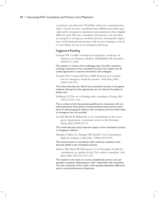#### 84 • Interacting With Consultants and Primary Care Physicians

or primary care physician. Flexibility with your communication style is crucial, because consultants from different specialties generally prefer emergency department presentations to have slightly different styles. Because consultants and primary care providers are integral to emergency medicine practice, learning the importance of professional interactions early in your training is critical to your future success as an emergency physician.

#### Suggested Reading

Garmel GM. Conflict resolution in emergency medicine. In: Adams J, ed. *Emergency Medicine*. Philadelphia, PA: Saunders; 2008:2171-2185.

This chapter is a review of the challenging topic of conflict resolution, including a discussion of the consultation process. This chapter also describes approaches to improve interactions with colleagues.

Guertler AT, Cortazzo JM, Rice MM. Referral and consultation in emergency medicine practice. *Acad Emerg Med.* 1994;1:565–571.

This article describes the referral and consultation process in emergency medicine, sharing how their appropriate use can improve the quality of patient care.

Holliman CJ. The art of dealing with consultants. *J Emerg Med.*  1993;11:633– 640.

This is a classic article that presents guidelines for interactions with consultant physicians. Descriptions of several political issues and the importance of maintaining good relations with consultants, and how these relate to emergency care, are provided.

Lee RS, Woods R Bullard M, et al. Consultations in the emergency department: a systematic review of the literature. *Emerg Med J.* 2008;25:4–9.

This review discusses many important aspects of the consultation process in emergency medicine.

Murphy-Cullen CL, Morgan LW, Streiff I, et al. Consultation skills for residents. *J Med Educ.* 1988;63:873–875.

This article focuses on consultation skills needed by residents. It also discusses pitfalls in the consultation process.

Salerno SM, Hurst FP, Halvorson S, et al. Principles of effective consultation: an update for the 21st century consultant. *Arch Intern Med.* 2007;167:271–275.

This research is the result of a survey completed by primary care and specialty consultants addressing the "ideal" relationship with consultants. The main conclusion of this article is that specialty-dependent differences exist in consult preferences of physicians.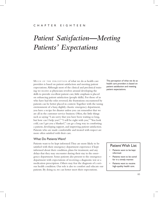#### CHAPTER EIGHTEEN

# *Patient Satisfaction—Meeting Patients' Expectations*

MUCH OF THE PERCEPTION of what we do as health care providers is based on patient satisfaction and meeting patient expectations. Although most of the clinical and preclinical training we receive as physicians revolves around developing the skills to provide excellent patient care, little emphasis is placed on enhancing patient satisfaction (people skills). For those of us who have had the roles reversed, the frustrations encountered by patients can be better placed in context. Together with the taxing environment of a busy, slightly chaotic emergency department, you have a recipe for disaster unless you can remember that we are all in the customer service business. Often, the little things such as saying "I am sorry that you have been waiting so long, but how can I help you?," "I will be right with you," "You look cold, can I get you a blanket?," can go a long way in comforting a patient, developing rapport, and improving patient satisfaction. Patients who are made comfortable and treated with respect are more often satisfied with their care.

#### What Do Patients Want?

Patients want to be kept informed: They are more likely to be satisfied with their emergency department experience if kept informed about their condition, plans for treatment, and any delays that they may encounter during their stay in the emergency department. Some patients also present to the emergency department with expectations of receiving a diagnostic test or a medication prescription. Others may fear the diagnosis of a serious health condition. Our role is also to comfort and educate our patients. By doing so, we can better meet their expectations.

The perception of what we do as health care providers is based on patient satisfaction and meeting patient expectations.

### Patient Wish List

- Patients want to be kept informed.
- Patients want to be cared for in a timely manner.
- Patients want to receive high-quality health care.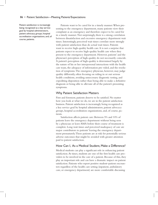#### 86 • Patient Satisfaction—Meeting Patients'Expectations

Patient satisfaction is increasingly being recognized as a key service goal by hospital administrators, patient advocacy groups, hospital accreditation organizations, and, of course, patients.

Patients want to be cared for in a timely manner: When presenting to the emergency department, many patients view their complaint as an emergency and therefore expect to be cared for in a timely manner. Not surprisingly, there is a strong correlation between dissatisfaction and excessive emergency department wait times. Interestingly, perceived wait times correlate more strongly with patient satisfaction than do actual wait times. Patients want to receive high-quality health care. It is not a surprise that patients expect to receive high-quality health care when they present to the emergency department. However, patients' and the physician's perception of high-quality do not necessarily coincide. A patient's perception of high-quality is determined largely by the nature of his or her interpersonal interactions with the health care team, the adequacy of information pro vided, and the resolution of symptoms. The emergency physician, however, may judge quality differently, often focusing on ruling in or out serious health conditions, avoiding unnecessary diagnostic testing, and expediting disposition rather than being able to make a definitive diagnosis or being able to alleviate all of the patient's presenting symptoms.

#### Why Patient Satisfaction Matters

First and foremost, patients deserve to be satisfied. No matter how you look at what we do, we are in the patient satisfaction business. Patient satisfaction is increasingly being recognized as a key service goal by hospital administrators, patient advocacy groups, hospital accreditation organizations, and, of course, patients.

Satisfaction affects patient care: Between 5% and 10% of patients leave the emergency department without being seen by a physician or leave AMA before their course of treatment is complete. Long wait times and perceived inadequacy of care are major contributors to patients' leaving the emergency department prematurely. These patients are at risk for potentially serious adverse outcomes that might be avoided with greater attention paid to patient satisfaction.

#### How Can I, As a Medical Student, Make a Difference?

Medical students can play a significant role in enhancing patient satisfaction. At times, students are one of the first health care providers to be involved in the care of a patient. Because of this, they play an important role and can have a dramatic impact on patient satisfaction. Patients who report positive student–patient encounters regardless of the health care setting (inpatient, ambulatory care, or emergency department) are more comfortable discussing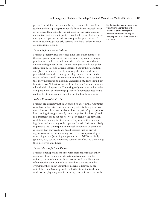#### The Emergency Medicine Clerkship Primer: A Manual for Medical Students • 87

personal health information and being examined by a medical student and anticipate greater benefit from future medical student involvement than patients who reported having prior student encounters that were not positive (Wald, 2007). In addition, most emergency department patients have positive perceptions of medical students, particularly patients who have had prior medical student interaction.

#### *Provide Information to Patients*

Students generally have more free time than other members of the emergency department care team, and they are in a unique position to be able to spend time with their patients without compromising other duties. Students can greatly enhance patient satisfaction by keeping patients informed about their condition and plans for their care and by ensuring that they understand potential delays in their emergency department course. Obviously, students should not communicate information to patients that they themselves do not fully understand. Students should not hesitate to say, "I don't know, but I can find out," when confronted with difficult questions. Discussing truly sensitive topics, delivering bad news, or informing a patient of unexpected test results are best left to more senior members of the health care team.

#### *Reduce Perceived Wait Times*

Students are generally not in a position to affect actual wait times or to have a dramatic effect on moving patients through the system. However, they may be able to lessen a patient's perception of long waiting times, particularly once the patient has been placed in a treatment room but has not yet been seen by the physician or if they are waiting for test results. They can do this by inquiring about and attending to their patients' needs. Patients are likely to perceive wait times spent in physical discomfort or boredom as longer than they really are. Small gestures such as providing blankets for warmth, reading material or companionship, or something to eat (assuming the patient is not NPO) are likely to go a long way toward improving patient's comfort and shortening their perceived wait times.

#### *Be an Advocate for Your Patients*

Students often spend more time with their patients than other members of the emergency department team and may be uniquely aware of their needs and concerns. Ironically, students often perceive their own role as superfluous and assume that everything they know about their patients is known by the rest of the team. Nothing could be further from the truth, and students can play a key role in ensuring that their patients' needs Students often spend more time with their patients than other members of the emergency department team and may be uniquely aware of their needs and concerns.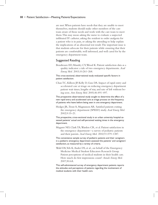#### 88 • Patient Satisfaction—Meeting Patients'Expectations

are met. When patients have needs that they are unable to meet themselves, students should make other members of the care team aware of those needs and work with the care team to meet them. This may mean asking the nurse to evaluate a suspected infiltrated IV catheter, asking the resident to order analgesia for a patient who is in pain, or asking the attending to help explain the implications of an abnormal test result. The important issue is that students advocate for their patients while ensuring that their patients are comfortable, well informed, and well cared for by the emergency department team.

#### Suggested Reading

Boudreaux ED, Mandry CV, Wood K. Patient satisfaction data as a quality indicator: a tale of two emergency departments. *Acad Emerg Med.* 2003;10:261–268.

This cross-sectional, observational study evaluated specific factors in patient satisfaction.

Chan TC, Killeen JP, Kelly D, Guss DA. Impact of rapid entry and accelerated care at triage on reducing emergency department patient wait times, lengths of stay, and rate of left without being seen. *Ann Emerg Med.* 2005;46:491–497.

This prospective observational study sought to determine the effect of a new rapid entry and accelerated care at triage process on the frequency of patients who leave before being seen in one emergency department.

Hedges JR, Trout A, Magnusson AR. Satisfied patients exiting the emergency department (SPEED) study. *Acad Emerg Med.*  2002;9:15–21.

This prospective, cross-sectional study in an urban university hospital assessed patients' actual and self-perceived waiting times in the emergency department.

Magaret ND, Clark TA, Warden CR, et al. Patient satisfaction in the emergency department—a survey of pediatric patients and their parents. *Acad Emerg Med.* 2002;9:1379–1387.

This convenience sample survey of pediatric patients and their caregivers in a pediatric emergency department assessed the patients' and caregivers' satisfaction, as measured by a variety of criteria.

Wald DA, Yeh K, Ander DS, et al., on behalf of the Emergency Medicine Medical Student Educators Research Group. Patient perceptions of medical students in their health care. How much do first impressions count? Annals Emerg Med. 2007;50:6A.

This self-administered survey of emergency department patients reports the attitudes and perceptions of patients regarding the involvement of medical students with their health care.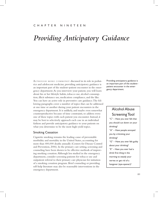## *Providing Anticipatory Guidance*

ALTHOUGH MORE COMMONLY discussed in its role in pediatrics and adolescent medicine, providing anticipatory guidance is an important part of the student–patient encounter in the emergency department. As you interview your patient, you will learn about his or her lifestyle habits, tobacco use, alcohol consumption, illicit substance use, medication compliance, and the like. You can have an active role in preventive care guidance. The following paragraphs cover a number of topics that can be addressed at one time or another during your patient encounters in the emergency department. It is unlikely, and maybe even somewhat counterproductive because of time constraints, to address every one of these topics with each patient you encounter. Instead, it may be best to selectively approach each case in an individual fashion and provide anticipatory guidance to your patients on what you determine to be the most high-yield topics.

#### Smoking Cessation

Cigarette smoking remains the leading cause of preventable morbidity and mortality in the United States, accounting for more than 400,000 deaths annually (Centers for Disease Control and Prevention, 2006). In the primary care setting, screening and counseling have been shown to be effective methods of improving smoking cessation. Although less studied in the emergency department, consider screening patients for tobacco use and outpatient referral to their primary care physician for initiation of a smoking cessation program. Brief counseling or providing self-help literature may also be reasonable interventions in the emergency department.

Providing anticipatory guidance is an important part of the student– patient encounter in the emergency department.

### Alcohol Abuse Screening Tool "C" – Have you ever felt that you should cut down on your drinking? "A" – Have people annoyed you by criticizing your drinking? "G" – Have you ever felt guilty about your drinking? "E" – Have you ever had a drink first thing in the morning to steady your nerves or get rid of a hangover (eye-opener)?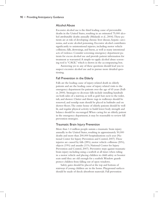#### 90 • Providing Anticipatory Guidance

#### Alcohol Abuse

Excessive alcohol use is the third leading cause of preventable deaths in the United States, resulting in an estimated 75,000 alcohol attributable deaths annually (Midanik et al., 2004). These patients are at risk of developing chronic liver disease, hepatic carcinoma, and acute alcohol poisoning. Excessive alcohol contributes significantly to unintentional injuries, including motor vehicle collisions, falls, drownings, and burns, as well as many intentional acts of violence. Consider screening emergency department patients for excess alcohol use and provide patient information for treatment as warranted. A simple-to-apply alcohol abuse screening tool is "CAGE," which is shown in the accompanying box.

Answering yes to any of these questions should lead you to suspect excessive alcohol use and to pursue more detailed questioning.

#### Fall Prevention in the Elderly

Falls are the leading cause of injury-related death in elderly patients and are the leading cause of injury related visits to the emergency department for patients over the age of 65 years (Fuller, 2000). Strategies to decrease falls include installing handrails on both sides of a stairway, as well as grab bars next to the toilet, tub, and shower. Clutter and throw rugs in walkways should be removed, and nonslip mats should be placed in bathtubs and on shower floors. The entire home of elderly patients should be well lit, and regular physical activity to build lower body strength and balance should be encouraged. When caring for an elderly patient in the emergency department, it may be reasonable to review fall prevention strategies.

#### Traumatic Brain Injury Prevention

More than 1.4 million people sustain a traumatic brain injury annually in the United States, resulting in approximately 50,000 deaths and more than 200,000 hospitalizations each year (National Center for Injury Prevention and Control, 2007). These injuries are caused by falls (28%), motor vehicle collisions (20%), objects (19%) and assaults (11%; National Center for Injury Prevention and Control, 2007). Preventive steps against traumatic brain injury including using a seatbelt at all times when riding in a motor vehicle and placing children in child safety or booster seats until they are old enough for a seatbelt. Window guards protect children from falling out of open windows.

Safety gates should be placed at the top and bottom of stairways if young children are in the home. Playground surfaces should be made of shock-absorbent materials. Fall prevention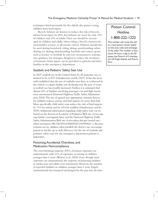#### The Emergency Medicine Clerkship Primer: A Manual for Medical Students • 91

techniques listed previously for the elderly also protect young children from head injury.

Bicycle helmets are known to reduce the risk of bicyclerelated head injury by 80%, but helmets are worn by only 15% of children and 19% of adults. Their use should be encouraged in children and adults when riding a bicycle, motorcycle, snowmobile, scooter, or all-terrain vehicle. Helmets should also be used during horseback riding, skiing, snowboarding, inline skating, ice skating, skateboarding, baseball, and contact sports such as hockey or football. In selected circumstances, anticipatory guidance for strategies designed to reduce the incidence of traumatic brain injury can be provided to patients and their families in the emergency department.

#### Seatbelt and Pediatric Safety Seat Use

In 2007, seatbelt use in the United States by all motorists was estimated to be at 82% (Glassbrenner and Ye, 2007). It has also been well established that the use of seatbelts saves lives, as evidenced by the vehicle occupant fatality rate declining over the past 10 years as seatbelt use has steadily increased. Further, it is estimated that almost 60% of fatalities involving passenger cars and light trucks were unrestrained (National Highway Traffic Safety Administration, 2002). The use of ageand size-appropriate restraint devices for children reduces serious and fatal injuries by more than half. More specifically, child safety seats reduce the risk of fatal injuries by 71% for infants and by 54% for toddlers (Glassbrenner and Ye, 2005). Additional information regarding child safety seats can be found on the American Academy of Pediatrics Web site (www.aap. org/family/carseatguide.htm) and the National Highway Traffic Safety Administration Web site (www.nhtsa.dot.gov/portal/site/ nhtsa/menuitem.9f8c7d6359e0e9bbbf30811060008a0c/). Because restraint use by children often parallels the driver's use, encourage parents to buckle up as well. Advocacy for the use of seatbelts and pediatric safety seats for our emergency department patients is imperative.

#### Poisoning, Accidental Overdose, and Medication Noncompliance

The overwhelming majority (84%) of poison exposures are unintentional, with 51% of exposures occurring in children younger than 6 years (Watson et al., 2005). Even though most exposures are unintentional, the majority of poisoning fatalities in adolescents and adults were intentional. However, the number of reported fatalities in children younger than 6 years (largely unintentional) has remained unchanged for the past two decades.

## Poison Control **Hotline** 1-800-222-1222

This number will route the call to a local poison center based on the area code and exchange of the caller. The number is functional 24 hours a day in the 50 states, the District of Columbia, the US Virgin Islands, and Puerto Rico.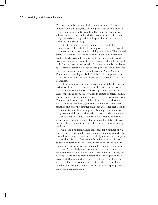#### 92 • Providing Anticipatory Guidance

Categories of substances with the largest number of reported exposures include analgesics, cleaning products, cosmetics, sedatives, hypnotics, and antipsychotics. The following categories of substances were associated with the largest numbers of fatalities: analgesics, sedatives, hypnotics, antipsychotics, antidepressants, stimulants, and street drugs.

Patients or their caregivers should be advised to keep medications and household chemical products in their original containers and to store them in a childproof cabinet. They should carefully follow the directions on all medication and chemical product labels. Remind patients and their caregivers to avoid taking medication in front of children, to not call medicine candy and, likewise, never store household chemicals in a food or beverage container. Poisonous house or yard plants should be removed from the home. All families should have the Poison Control Center number readily available. This is another important issue to discuss with caregivers who have small children living in the household.

All too often, we find that patients do not take their medications or do not take them as prescribed. Antibiotics doses are commonly missed, whereas analgesics, particularly acetaminophen-containing products, are taken in excess or parents administering them to young children inadvertently miscalculate doses. The unintentional excess administration of these with other medications can result in significant consequences. Many prescription and over-the-counter analgesics and other preparations contain acetaminophen or ibuprofen. Some patients unknowingly take multiple medications with the same active ingredients. Gastrointestinal side effects or renal toxicity can be associated with excess ingestion of ibuprofen, whereas hepatotoxicity can occur with excess administration of acetaminophen-containing products.

Medication noncompliance can occur for a number of reasons, including lack of adequate finances, intolerable side effects, misunderstanding, religious or cultural objections to certain prescribed therapies, or a false sense of omnipotence. It is important to try to understand the reasoning behind patients' decision to forego medication so you are better able to address their specific concerns. Alternatively, some patients feel that the dose their physician prescribed is not relieving their symptoms, so they take a stronger dose or take their medication more frequently than prescribed. Because of the reasons listed here, it may be reasonable to review your patients' medications with them to limit the likelihood of complications related to excess or inappropriate medication administration.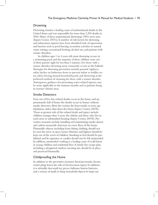#### Drowning

Drowning remains a leading cause of unintentional deaths in the United States and was responsible for more than 3,300 deaths in 2004. Many of these unintentional drownings (78%) were men (Injury Center, 2007a). A number of risk factors for drowning and submersion injuries have been identified: lack of supervision and barriers such as pool fencing, recreation activities in natural water settings, recreational boating, alcohol use, and patients with seizure disorders.

In children ages 1 to 4 years old, most drowning occurs in a swimming pool, and the majority of these children were out of their parents' sight for less than 5 minutes. For those with a seizure disorder, drowning most commonly occurs in the bathtub. Strategies for drowning prevention include parental vigilance, safety latches on bathroom doors to prevent infant or toddler entry, safety fencing around household pools, and showering as the preferred method of cleansing for those with a seizure disorder. Anticipatory guidance for preventing water-related injuries may be more applicable to the summer months and to patients living in warmer climate areas.

#### Smoke Detectors

Four out of five fire-related deaths occur in the home, and approximately half of home fire deaths occur in homes without smoke detectors. Most fire victims die from smoke or toxic gas inhalation, rather than from the burns (Injury Center, 2007b). Those at greatest risk of fire-related death and injury include children younger than 5 years, the elderly, and those who live in rural areas or substandard housing (Injury Center, 2007b). Preventive measures include installing and maintaining smoke alarms and carbon monoxide detectors on every floor of the home. Flammable objects, including loose fitting clothing, should not be near the stove or space heater. Matches and lighters should be kept out of the reach of children. Smoking in bed should be prohibited, and lit cigarettes or candles should not be left unattended. In addition, unattended cooking is a leading cause of scald burns in young children and residential fires. A family fire escape plan, including a designated outdoor meeting site, should be in place and practiced biannually.

#### Childproofing the Home

In addition to the preventive measures listed previously, electric socket plugs lessen the risk of electrocution injury. In addition, it is advisable that small toy pieces, balloons, button batteries, and a variety of small or sharp household objects be kept out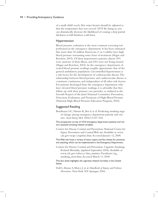#### 94 • Providing Anticipatory Guidance

of a small child's reach. Hot water heaters should be adjusted so that the temperature does not exceed 120°F. By doing so, you can dramatically decrease the likelihood of causing a deep partial thickness or full thickness scald burn.

#### Hypertension

Blood pressure evaluation is the most common screening test performed in the emergency department. It has been estimated that more than 50 million Americans (1 in 4 adults) have high blood pressure warranting some form of treatment (Hajjar and Kotchen, 2003). Of these hypertensive patients, almost 30% were unaware of their illness, and 42% were not being treated (Hajjar and Kotchen, 2003). In the emergency department, elevated blood pressure readings roughly approximate that of the general ambulatory population. Uncontrolled hypertension is a risk factor for the development of cardiovascular disease. The relationship between blood pressure and cardiovascular disease is consistent, continuous, and independent of all other risk factors. For patients discharged from the emergency department who have elevated blood pressure readings, it is advisable that they follow up with their primary care provider, as outlined in the Seventh Report of the Joint National Committee Prevention, Detection, Evaluation, and Treatment of High Blood Pressure (National High Blood Pressure Education Program, 2004).

#### Suggested Reading

Boudreaux GC, Hunter K, Bos S, et al. Predicting smoking stage of change among emergency department patients and visitors. *Acad Emerg Med.* 2006;13:537–542.

This prospective survey of 1010 emergency department patients and visitors assessed smoking-related variables.

Centers for Disease Control and Prevention: National Center for Injury Prevention and Control Web site. Available at: www. cdc.gov/ncipc/cmprfact.htm. Accessed January 12, 2008.

This Web site hosts a variety of injury topics and fact sheets for preventative teaching, which can be implemented in the Emergency Department.

Centers for Disease Control and Prevention. Cigarette Smoking-Related Mortality (updated September 2006). Available at: www.cdc.gov/tobacco/data\_statistics/Factsheets/cig\_ smoking\_mort.htm. Accessed March 11, 2008.

This fact sheet highlights the cigarette-related mortality in the United States.

Doll L, Bonzo S, Mercy J, et al. *Handbook of Injury and Violence Prevention.* New York, NY: Springer; 2006.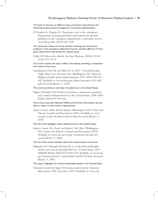#### The Emergency Medicine Clerkship Primer: A Manual for Medical Students • 95

This book on focuses on different injury prevention interventions and reviewing evidence-based strategies for successful implementation.

D'Onofrio G, Degutis LC. Preventive care in the emergency department: screening and brief intervention for alcohol problems in the emergency department: a systematic review. *Acad Emerg Med.* 2002;9:627–638.

This systematic review of various alcohol screening and intervention programs in the emergency department found a positive effective of emergency department intervention for alcohol abuse.

Fuller GF. Falls in the elderly. *Am Fam Physician.* 2000;61:2159- 2168, 2173-2174.

This article reviews the topic of falls in the elderly providing a comprehensive review of this issue.

Glassbrenner D, Ye TJ. Seat Belt Use in 2007—Overall Results. Traffic Safety Facts: Research Note. Washington, DC: National Highway Traffic Safety Administration; 2007. DOT HS 810 841. Available at: www.nhtsa.gov/nhtsa/announce/810\_841. pdf. Accessed March 11, 2008.

This article provides an overview of seatbelt use in the United States.

Hajjar I, Kotchen TA. Trends in prevalence, awareness, treatment, and control of hypertension in the United States, 1988–2000. *JAMA.* 2003;290:199–206.

This articles uses past National Health and Nutrition Examination Survey data to report on the trends in hypertension.

Injury Center. *Water Related Injuries.* Washington, DC: Centers for Disease Control and Prevention; 2007a. Available at: www. cdc.gov/ncipc/factsheets/drown.htm. Accessed March 11, 2008.

This fact sheet highlights water-related injuries in the United States.

- Injury Center. *Fire Deaths and Injuries: Fact Sheet.* Washington, DC: Centers for Disease Control and Prevention; 2007b. Available at: www.cdc.gov/ncipc/factsheets/fire.htm. Accessed March 11, 2008.
- This fact sheet review statistics about fire-related deaths and injuries.
- Midanik LT, Chaloupka FJ, Saitz R, et al. Alcohol-attributable deaths and years of potential life lost—United States, 2001. *MMWR Weekly.* 2004;53(37):866–870. Available at: www.cdc. gov/mmwr/preview/ mmwrhtml/mm5337a2.htm. Accessed March 11, 2008.

#### This report highlights the alcohol-attributable deaths in the United States.

National Center for Injury Prevention and Control. *Traumatic Brain Injury.* CDC Fact sheet; 2007. Available at: www.cdc.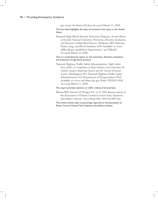#### 96 • Providing Anticipatory Guidance

gov/ncipc/factsheets/tbi.htm. Accessed March 11, 2008.

This fact sheet highlights the topic of traumatic brain injury in the United States.

National High Blood Pressure Education Program. *Seventh Report of the Joint National Committee: Prevention, Detection, Evaluation, and Treatment of High Blood Pressure.* Bethesda, MD: National Heart, Lung, and Blood Institute; 2004. Available at: www. nhlbi.nih.gov/guidelines/hypertension/ jnc7full.pdf. Accessed March 10, 2008.

This is a comprehensive report on the prevention, detection, evaluation, and treatment of high blood pressure.

National Highway Traffic Safety Administration. *Traffic Safety Facts 2001: A Compilation of Motor Vehicle Crash Data from the Fatality Analysis Reporting System and the General Estimates*  System. Washington, DC: National Highway Traffic Safety Administration, U.S. Department of Transportation; 2002. Available at: www-nrd.nhtsa.dot.gov/Pubs/TSF2001.PDF. Accessed March 11, 2008.

This report provides statistics on traffic crashes of all severities.

Watson WA, Litovitz LT, Rogers GC, et al. 2004 Annual report of the Association of Poison Control Centers Toxic Exposure Surveillance System. *Am J Emerg Med.* 2005;23:589–666.

This article reviews data on poisonings reported to the Association of Poison Control Centers Toxic Exposure Surveillance System.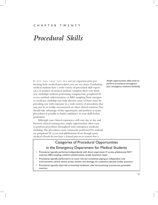#### CHAPTER TWENTY

## *Procedural Skills*

IF YOU FEEL THAT YOU ARE not yet experienced in performing basic medical procedures, you are not alone. Graduating medical students have a wide variety of procedural skill experience. A number of medical students complete their core thirdyear clerkships without performing venipuncture, peripheral IV access, urethral catheterization, or ABG sampling. Your emergency medicine clerkship may help alleviate some of these issues by providing you with exposure to a wide variety of procedures that may not be as readily encountered on other clinical rotations. You should take advantage of this opportunity and perform as many procedures as possible to build confidence in your skills before graduation.

Although your clinical experience will vary day to day and between clinical training sites, ample opportunities often exist to perform procedures throughout your emergency medicine clerkship. The procedures most commonly performed by students are peripheral IV access and phlebotomy. Even though many medical schools do not have a formal process to ensure that a

Ample opportunities often exist to perform procedures throughout your emergency medicine clerkship.

## Categories of Procedural Opportunities in the Emergency Department for Medical Students

- Procedures typically performed independently with direct supervision: IV access, phlebotomy, NGT insertion, ABG sampling, urethral catheterization, simple laceration repair
- Procedures typically performed in an assist role, but sometimes playing an independent role: arthrocentesis, central venous access, incision and drainage of a cutaneous abscess, lumbar puncture
- Procedures typically observed: orotracheal intubation, tube thoracostomy, transvenous pacemaker insertion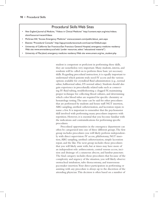#### 98 • Procedural Skills

### Procedural Skills Web Sites

- *New England Journal of Medicine,* "Videos in Clinical Medicine" http://content.nejm.org/misc/videos. shtml?ssource=recentVideos
- McGraw-Hill, "Access Emergency Medicine" www.accessem.com/public/about\_aem.aspx
- Elsevier, "Procedural Consults" http://app.proceduresconsult.com/Learner/Default.aspx
- University of California San Francisco/San Francisco General Hospital, emergency medicine residency Web site www.emresidency.ucsf.edu/ (under resources, select "educational material")
- University of Maryland, emergency medicine residency Web site www.umem.org/res\_student.php

student is competent or proficient in performing these skills, they are nonetheless very important. Many students, interns, and residents will be called on to perform these basic yet necessary skills. Regarding procedural instruction, it is equally important to understand which patients truly need IV access and the various options available for crystalloid fluid administration (e.g., normal saline, halfnormal saline, D5 normal saline). Students should also gain experience in procedurally related tasks such as connecting IV fluid tubing, troubleshooting a clogged IV, maintaining proper technique for collecting blood cultures, and determining which color blood tubes are required for specific chemistry or hematology testing. The same can be said for other procedures that are performed by students and house staff: NGT insertion, ABG sampling, urethral catheterization, and laceration repair, to name a few. It is important to remember that the psychomotor skill involved with performing many procedures improves with repetition. However, it is essential that you become familiar with the indications and contraindications for performing specific procedures.

Procedural opportunities in the emergency department can often be categorized into one of three different groups. The first group includes procedures you will likely perform independently with direct supervision: IV access, phlebotomy, NGT insertion, ABG sampling, urethral catheterization, simple laceration repair, and the like. The next group includes those procedures that you will likely assist with, but at times may have more of an independent role: arthrocentesis, central venous access, incision and drainage of a cutaneous abscess, and lumbar puncture. The final category includes those procedures that because of the complexity and urgency of the situation, you will likely observe: orotracheal intubation, tube thoracostomy, and transvenous pacemaker insertion. Your direct participation in performing or assisting with any procedure is always up to the discretion of the attending physician. This decision is often based on a number of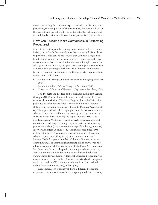factors, including the student's experience with performing the procedure, the complexity of the procedure, the comfort level of the patient, and the inherent risk to the patient. That being said, it is still likely that you will have the opportunity to be involved.

#### How Can I Become More Comfortable in Performing Procedures?

One of the first steps in becoming more comfortable is to familiarize yourself with the procedure(s) that you would like to learn to perform. These can be procedures that you have a high likelihood of performing, or they can be selected procedures that are uncommon or that you are less familiar with. Couple this choice with your career interests, and you have a good place to start. You can easily take advantage of the wealth of information available to you in hardcopy textbooks or on the Internet. Three excellent resources are as follows:

- Roberts and Hedges, *Clinical Procedures in Emergency Medicine,* 2004
- Rosen and Chan, *Atlas of Emergency Procedures,* 2002
- Custalow, *Color Atlas of Emergency Department Procedures,* 2004

The Roberts and Hedges text is available in full-text version through MD Consult for which some medical schools have institutional subscriptions. The New England Journal of Medicine publishes an online series titled "Videos in Clinical Medicine" (http://content.nejm.org/misc/videos.shtml?ssource=recentVide os). These procedural videos highlight a number of common and advanced procedural skills and are accompanied by a summary PDF article further reviewing the topic. McGraw-Hill's "Access Emergency Medicine" is another Web-based resource that contains a broad range of emergency cases with accompanying procedural videos (www.accessem.com/public/about\_aem.aspx). Elsevier also offers an online educational resource titled "Procedural Consults." This resource reviews a number of basic and advanced procedures (http://app.proceduresconsult.com/ Learner/Default.aspx). A number of these online resources require individual or institutional subscriptions to fully access the educational material. The University of California San Francisco/ San Francisco General Hospital emergency medicine residency Web site contains a number of educational procedural videos (www.emresideny.ucsf.edu). Additional advanced procedural videos can also be found on the University of Maryland emergency medicine residency Web site under the section of procedural videos (www.umem.org/res\_student.php).

Remember, each student will have a different procedural experience throughout his or her emergency medicine clerkship.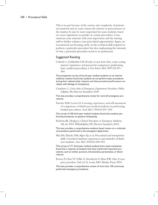This is in part because of the variety and complexity of patients encountered and, to some extent, the interest or proactiveness of the student. It may be more important for some students, based on career aspirations, to partake in certain procedures. Communicate your interests with your supervisors and the nursing staff to further enhance your procedural opportunities. Again, we recommend not focusing solely on the technical skill required to perform a particular procedure but also emphasizing the rationale of why a particular procedure needs to be performed.

#### Suggested Reading

Coberly L, Goldenhar LM. Ready or not, here they come: acting interns' experience and perceived competency performing basic medical procedures. *J Gen Intern Med.* 2007;22:491– 494.

This prospective survey of fourth-year medical students on an internal medicine rotation found that students do not perform basic procedures during their subinternship rotations and that procedural performance correlates with feelings of competency.

Custalow C. *Color Atlas of Emergency Department Procedures.* Philadelphia, PA: Elsevier Saunders; 2005.

This text provides a comprehensive review for more 65 emergency procedures.

Fincher RM, Lewis LA. Learning, experience, and self-assessment of competence of third-year medical students in performing bedside procedures. *Acad Med.* 1994;69:291–295.

This survey of 100 third-year medical students found that students performed procedures on patients infrequently.

Roberts JR, Hedges J. *Clinical Procedures in Emergency Medicine.* 4th ed. 2004. Philadelphia, PA: Elsevier Saunders; 2004.

This text provides a comprehensive evidence based review on a multitude of procedures performed in the emergency department.

Wu EH, Elnicki DM, Alper EJ, et al. Procedural and interpretive skills of medical students: experiences and attitudes of thirdyear students. *Acac Med.* 2006;81:S48–S51.

This survey of 171 third-year medical students from seven institutions found that a majority of students had never performed important procedures, such as lumbar puncture, thoracentesis, paracentesis, or blood cultures.

Rosen P, Chan TC, Vilke G, Sternbach G, Mass EW. *Atlas of emergency procedures.* 2nd ed. St. Louis, MO: Mosby Press; 2004.

This text provides a comprehensive review of more than 100 commonly performed emergency procedures.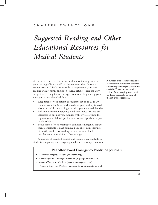# *Suggested Reading and Other Educational Resources for Medical Students*

AT THIS POINT IN YOUR medical school training, most of your reading efforts should be directed toward textbooks and review articles. It is also reasonable to supplement your core reading with recently published journal articles. Here are a few suggestions to help focus your approach to reading during your emergency medicine clerkship:

- Keep track of your patient encounters. Set aside 20 to 30 minutes each day (a somewhat realistic goal) and try to read about one of the interesting cases that you addressed that day.
- Pick one or more emergency medicine topics that you are interested in but not very familiar with. By researching the topic(s), you will develop additional knowledge about a particular subject.
- Focus some of your reading on common emergency department complaints (e.g., abdominal pain, chest pain, shortness of breath). Additional reading in these areas will help to broaden your general fund of knowledge.

A number of excellent educational resources are available to students completing an emergency medicine clerkship. These can A number of excellent educational resources are available to students completing an emergency medicine clerkship. These can be found in various forms, ranging from classic hardcopy textbooks to state-ofthe-art online resources.

# Peer-Reviewed Emergency Medicine Journals

- *Academic Emergency Medicine* (www.aemj.org)
- *American Journal of Emergency Medicine* (http://ajemjournal.com/)
- *Annals of Emergency Medicin*e (www.annemergmed.com/)
- *Journal of Emergency Medicine* (www.elsevier.com/locate/jemermed)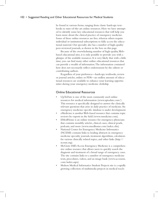### 102 • Suggested Reading and Other Educational Resources for Medical Students

be found in various forms, ranging from classic hardcopy textbooks to state-of-the-art online resources. Here we have attempted to identify some key educational resources that will help you learn more about the clinical practice of emergency medicine. Some of these online resources are free, whereas others require individual or institutional subscriptions to fully access the educational material. Our specialty also has a number of high-quality peer-reviewed journals, as shown in the box on this page.

Because of the overwhelming number of high-quality, Webbased educational sites, it is only possible to provide you with a glimpse of the available resources. It is very likely that with a little time, you can find many other online educational resources that can provide a wealth of information. The information contained here does not necessarily reflect endorsement by the editors or contributing authors.

Regardless of your preference—hardcopy textbooks, review or journal articles, online or PDA—an endless amount of educational resources are available to enhance your learning opportunities during your emergency medicine clerkship.

# Online Educational Resources

- UpToDate is one of the most commonly used online resources for medical information (www.uptodate.com/). This resource is specifically designed to answer the clinically relevant questions that arise in daily practice of medicine. An emergency medicine–specific database is under development.
- eMedicine is another Web-based resource that contains topic reviews by experts in the field (www.emedicine.com).
- EMedHome is an online resource for emergency physicians that contains monthly articles, clinical cases, clinical pearls, podcasts, and more (www.emedhome.com/index.cfm).
- National Center for Emergency Medicine Informatics (NCEMI) contains links to leading abstracts in emergency medicine specialty journals, treatment algorithms, calculators for various clinically related topics, and other links (http:// ncemi.org).
- McGraw-Hill's Access Emergency Medicine is a comprehensive online resource that allows users to quickly search the diagnosis and treatment of a broad range of emergency cases. The site contains links to a number of emergency medicine texts, procedures, videos, and an image bank (www.accessem. com/index.aspx).
- Molson Medical Informatics Student Projects site is a rapidly growing collection of multimedia projects in medical teach-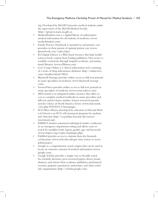ing. Developed by McGill University medical students under the supervision of the McGill Medical Faculty (http://sprojects.mmi.mcgill.ca).

- MedicalStudent.com is a digital library of authoritative medical information for all students of medicine (www. medicalstudent.com).
- Family Practice Notebook is intended to aid primary care providers in their pursuit of optimal patient care (www. fpnotebook.com/ index.htm).
- R2 Digital Library is a Web-based resource that links health sciences book content from leading publishers. This service is available exclusively through hospital, academic, and institutional libraries (www.r2library.com).
- Lexi-Comp Online is a clinical information tool consisting of a series of drug information databases (http://online.lexi. com/crlonline?siteid=9862).
- Blackwell Synergy provides online access to full-text journals in many specialties of medicine (www.blackwell-synergy. com).
- ScienceDirect provides online access to full-text journals in many specialties of medicine (www.sciencedirect.com).
- MDConsult is an integrated online resource that offers access to complete medical textbooks in many specialties and full-text articles froma number of peer-reviewed journals and the Clinics of North America Series (www.mdconsult. com/php/83552018-2/homepage).
- ECG Wave-Maven, developed by educators at Harvard Medical School, is an ECG self-assessment program for students and clinicians (http://ecg.bidmc.harvard.edu/maven/ mavenmain.asp).
- EMPACS features annotated radiological studies conducted in an emergency department setting and allows users to search by modality, body region, gender, age, and keywords (www.empacs.org/scripts/mainlogin.php).
- PubMed provides access to citations from the biomedical literature (www.ncbi.nlm.nih.gov/sites/entrez or www. pubmed.gov).
- Google is a comprehensive search engine that can be used to locate an extensive amount of medical information (www. google.com).
- Google Scholar provides a simple way to broadly search for scholarly literature: peer-reviewed papers, theses, books, abstracts, and articles from academic publishers, professional societies, preprint repositories, universities, and other scholarly organizations (http://scholar.google.com).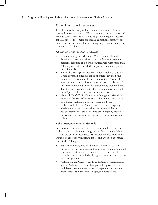### 104 • Suggested Reading and Other Educational Resources for Medical Students

# Other Educational Resources

In addition to the many online resources, a number of classic textbooks serve as resources. These books are comprehensive and provide concise reviews of a wide range of emergency medicine topics. Some of these texts are used as educational resources for emergency medicine residency training programs and emergency medicine clerkships.

#### *Classic Emergency Medicine Textbooks*

- Rosen's Emergency Medicine: Concepts and Clinical Practice is a text that strives to be a definitive emergency medicine resource. It is a wellorganized text with more than 200 chapters that cover all the major topics in emergency medicine today.
- Tintinalli's Emergency Medicine: A Comprehensive Study Guide covers an extensive range of emergency medicine topics in succinct, clinically focused chapters. This text has gone through many editions and strives to keep abreast of the many medical advances that affect emergency medicine. This book also comes in a pocket version and review book called "Just the Facts" that are both widely used.
- Hawood-Nuss' Clinical Practice of Emergency Medicine is organized for easy reference and is clinically focused. The latest edition emphasizes evidence-based medicine.
- Roberts and Hedges' Clinical Procedures in Emergency Medicine provides a comprehensive review of the various procedures that are performed by emergency medicine specialists. Each procedure is reviewed in an evidence-based fashion.

#### *Other Emergency Medicine Textbooks*

Several other textbooks are directed toward medical students and residents early in their emergency medicine careers. Many of these are excellent resources that provide concise reviews of a number of emergency medicine topics and are often affordable on a student's budget.

- Hamilton's Emergency Medicine: An Approach to Clinical Problem-Solving uses case studies to focus on common chief complaints that present to the emergency department and takes the reader through the thought process needed to manage these patients.
- Mahadevan and Garmel's An Introduction to Clinical Emergency Medicine offers a well-organized approach to the undifferentiated emergency medicine patient and contains many excellent illustrations, images, and radiographs.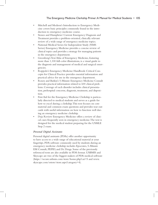- Mitchell and Medzon's Introduction to Emergency Medicine covers basic principles commonly found in the introduction to emergency medicine course.
- Stones and Humphries' Current Emergency Diagnosis and Treatment provides a problem-oriented, clinically relevant review of a wide range of emergency medicine topics.
- National Medical Series for Independent Study (NMS Series) Emergency Medicine provides a concise review of clinical topics and provides a strategy for managing patients in the emergency department.
- Greenberg's Text Atlas of Emergency Medicine, featuring more than 1,100 full-color illustrations, is a visual guide to the diagnosis and management of medical and surgical emergencies.
- Roppolo's Emergency Medicine Handbook: Critical Concepts for Clinical Practice provides essential information and practical advice for use in the emergency department.
- Rosen and Barkin's 5-Minute Emergency Medicine Consult provides practical information related to 600 clinical problems. Coverage of each disorder includes clinical presentation, prehospital concerns, diagnosis, treatment, and disposition.
- First Aid for the Emergency Medicine Clerkship is particularly directed to medical students and serves as a guide for how to excel during a clerkship. This text focuses on core material and common exam questions and provides tear-out cards with useful information on how to function well during an emergency medicine clerkship.
- Deja Review Emergency Medicine offers a review of clinical cases frequently seen in emergency medicine. The text is designed for the medical student preparing for the USMLE Step 2 exam.

#### *Personal Digital Assistants*

Personal digital assistants (PDAs) offer another opportunity to have access to a wide range of educational material at your fingertips. PDA software commonly used by students during an emergency medicine clerkship includes Epocrates, 5-Minute EM Consult, PEPID, and Dr. Drugs. Some of the previously referenced texts are also available in PDA format. USBMIS and Skyscape are two of the biggest makers of PDA medical software (https://secure.usbmis.com/store/home.php?cat=5 and www. skyscape.com/estore/store.aspx?category=4).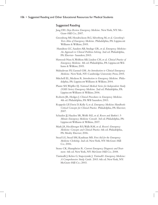#### 106 • Suggested Reading and Other Educational Resources for Medical Students

# Suggested Reading

- Jang DH. *Deja Review Emergency Medicine.* New York, NY: Mc-Graw-Hill Co.; 2007.
- Greenberg MI, Hendrickson RG, Silverberg M, et al. *Greenberg's Text-Atlas of Emergency Medicine.* Philadelphia, PA: Lippincott Williams & Wilkins; 2005.
- Hamilton GC, Sanders AB, Strabge GR, et al. *Emergency Medicine: An Approach to Clinical Problem-Solving.* 2nd ed. Philadelphia, PA: Elsevier- Saunders; 2003.
- Hawood-Nuss A, Wolfson AB, Linden CH, et al. *Clinical Practice of Emergency Medicine.* 4th ed. Philadelphia, PA: Lippincott Williams & Wilkins; 2005.
- Mahadevan SV, Garmel GM. *An Introduction to Clinical Emergency Medicine.* New York, NY: Cambridge University Press; 2005.
- Mitchell EL, Medzon R. *Introduction to Emergency Medicine.* Philadelphia, PA: Lippincott Williams & Wilkins; 2004.
- Plantz SH, Wipfler EJ. *National Medical Series for Independent Study (NMS Series) Emergency Medicine.* 2nd ed. Philadelphia, PA: Lippincott Williams & Wilkins; 2006.
- Roberts JR, Hedges J. *Clinical Procedures in Emergency Medicine.*  4th ed. Philadelphia, PA: WB Saunders; 2003.
- Roppolo LP, Davis D, Kelly S, et al. *Emergency Medicine Handbook: Critical Concepts for Clinical Practice.* Philadelphia, PA: Elsevier; 2007.
- Schaider JJ, Hayden SR, Wolfe RE, et al. *Rosen and Barkin's 5- Minute Emergency Medicine Consult.* 3rd ed. Philadelphia, PA: Lippincott Williams & Wilkins, 2007.
- Mark JA, Hockberger RS, Walls RM, et al. *Rosen's Emergency Medicine: Concepts and Clinical Practice.* 6th ed. Philadelphia, PA: Mosby Elsevier; 2006.
- Stead LG, Stead SM, Kaufman MS. *First Aid for the Emergency Medicine Clerkship.* 2nd ed. New York, NY: McGraw-Hill Co.; 2006.
- Stone CK, Humphries R. *Current Emergency Diagnosis and Treatment.* 6th ed. New York, NY: McGraw-Hill Co.; 2008.
- Tintinalli J, Kelen G, Stapczynski J. *Tintinalli's Emergency Medicine: A Comprehensive Study Guide.* 2003. 6th ed. New York, NY: McGraw-Hill Co.; 2003.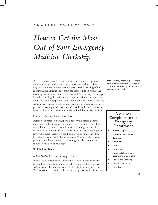# CHAPTER TWENTY TWO

# *How to Get the Most Out of Your Emergency Medicine Clerkship*

BY BECOMING AN "ACTIVE LEARNER," you can optimize your experience in the emergency department, thus achieving your own personal educational goals. Active learning often requires more upfront effort from the learner but, in return, the teaching can become more individualized. Several ways to engage in active learning that will enhance your rotation experience include the following: prepare before your rotation, solicit feedback, set your own goals, verbalize an assessment and management plan, prepare follow-up cards, maintain a "peripheral brain," develop a question log, have a positive attitude, and exhibit professionalism.

#### Prepare Before Your Rotation

Before your rotation starts, spend a few weeks reading about common chief complaints encountered in the emergency department. These topics are covered in various emergency medicine textbooks and numerous educational Web sites. By spending time reviewing these topics, you can build on your fund of medical knowledge from Day 1 of your rotation. Common chief complaints you will encounter in the emergency department are shown in the box on this page.

# Solicit Feedback

#### *Solicit Feedback From Your Supervisors*

Receiving feedback about your clinical performance is crucial for medical students to reinforce behaviors or skills performed well or to highlight areas that could benefit from improvement. Feel welcome to solicit feedback on your performance from your Active learning often requires more upfront effort from the learner, but in return, the teaching can become more individualized.

# Common Complaints in the Emergency Department

- Abdominal pain
- Altered mental status
- Back pain
- Chest pain
- **Fever**
- Headache
- Musculoskeletal injury, trauma, and wound care
- Nausea and vomiting
- Shortness of breath
- Sore throat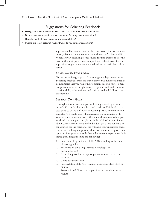#### 108 • How to Get the Most Out of Your Emergency Medicine Clerkship

# Suggestions for Soliciting Feedback

- Having seen a few of my notes, what could I do to improve my documentation?
- Do you have any suggestions how I can better focus my case presentations?
- How do you think I can improve my procedural skills?
- I would like to get better at reading ECGs, do you have any suggestions?

supervisors. This can be done at the conclusion of a case presentation, after a patient encounter, or at the end of a clinical shift. When actively soliciting feedback, ask focused questions (see the box on the next page). Focused questions make it easier for the supervisor to give you concrete feedback on a particular skill or action.

### *Solicit Feedback From a Nurse*

Nurses are an integral part of the emergency department team. Soliciting feedback from the nurses serves two functions. First, it demonstrates that you value their opinion. Second, nurses often can provide valuable insight into your patient and staff communication skills, order writing, and basic procedural skills such as phlebotomy.

# Set Your Own Goals

Throughout your rotation, you will be supervised by a number of different faculty members and residents. This is often the case because of the shift work scheduling that is inherent to our specialty. As a result, you will experience less continuity with your teachers compared with other clinical rotations. When you work with a new preceptor, it can be helpful to let them know about your career interests and individual goals that you have set for yourself for the rotation. This will help your supervisor focus his or her teaching and possibly direct certain cases or procedural opportunities your way to further enhance your experience. Individual goals might include the following:

- 1. Procedures (e.g., suturing skills, ABG sampling, or bedside ultrasonography)
- 2. Examination skills (e.g., cardiac, neurologic, or musculoskeletal)
- 3. General approach to a type of patient (trauma, septic, or seizure)
- 4. Chart documentation
- 5. Interpretation skills (e.g., reading orthopedic plain films or ECGs)
- 6. Presentation skills (e.g., to supervisor or consultants or at rounds)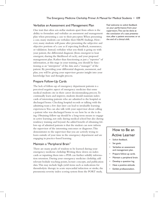# Verbalize an Assessment and Management Plan

One trait that often sets stellar students apart from others is the ability to formulate and verbalize an assessment and management plan when presenting a case to their preceptor. When presenting a case, many students can verbalize their H&PE findings. However, many students will pause after presenting the subjective and objective portions of a case as if expecting feedback, reassurance, or validation. Instead, verbalize what you think is going on with your patient, the differential diagnosis (from emergent to least emergent, sharing the likelihood of each), and your proposed management plan. Rather than functioning as just a "reporter" of information, at this stage in your training, you should be functioning as an "interpreter" of the data and a "manager" of the patient. By providing your differential diagnosis, assessment, and plan, you will be giving your supervisor greater insight into your knowledge base and thought process.

# Prepare Follow-Up Cards

The lack of follow-up of emergency department patients is a perceived negative aspect of emergency medicine that some medical students cite in their career decisionmaking process. To continually learn and improve, students should maintain index cards of interesting patients who are admitted to the hospital or discharged home. Checking hospital records or talking with the admitting team a few days later can lead to invaluable learning experiences. You can also talk with your supervisor about calling a patient who was discharged home to see how he or she is doing. Obtaining follow-up should be a long-term means to engage in active learning, not only during medical school but also during residency training and beyond. An added benefit of obtaining follow-up of admitted patients is that the student can now inform the supervisor of the interesting outcomes or diagnoses. This demonstrates to the supervisor that you are actively trying to learn outside of your time in the emergency department and are engaging in practice-based learning.

# Maintain a "Peripheral Brain"

There are many pearls of wisdom to be learned during your emergency medicine clerkship. Writing these down on index cards or inputting them into a PDA can further solidify information retention. During your emergency medicine clerkship, add relevant bedside teaching points, lecture concepts, and publication data. This may include high-yield items such as indications for thrombolytic therapy in acute myocardial infarction or stroke, the pneumonia severity index scoring system from the PORT study,

Feel welcome to solicit feedback on your performance from your supervisors. This can be done at the conclusion of a case presentation, after a patient encounter, or at the end of a clinical shift.

# How to Be an Active Learner

- Solicit feedback.
- Set goals.
- Verbalize an assessment and management plan.
- Prepare follow-up cards.
- Maintain a peripheral brain.
- Develop a question log.
- Have a positive attitude.
- Exhibit professionalism.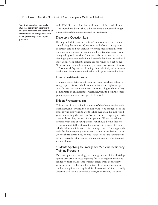### 110 • How to Get the Most Out of Your Emergency Medicine Clerkship

One trait that often sets stellar students apart from others is the ability to formulate and verbalize an assessment and management plan when presenting a case to your preceptor.

and NEXUS criteria for clinical clearance of the cervical spine. This "peripheral brain" should be continually updated throughout medical school, residency, and postresidency.

## Develop a Question Log

During each shift, generate a list of questions to research some time during the rotation. Questions can be based on any aspect of patient care and can include reviewing medication information, managing a case, developing a differential diagnosis, formulating a diagnostic workup for a particular presentation, or reviewing a procedural technique. Research the literature and read more about your patient's disease process when you get home. While on shift, as a self-reminder, you can email yourself this list of "homework" questions. Reading about clinically relevant topics that you have encountered helps build your knowledge base.

### Have a Positive Attitude

The emergency department team thrives on working cohesively as a group and is, as a whole, an enthusiastic and high-energy team. Instructors are more amenable to teaching students if they demonstrate an enthusiasm for learning, want to be in the emergency department, and are open to feedback.

## Exhibit Professionalism

This is your time to shine in the eyes of the faculty. Arrive early, work hard, and stay late. You do not want to be thought of as the student who just wants to get the shift over with. Do not spend your time surfing the Internet. You are in the emergency department to learn. Stay on top of your patients. When something happens with one of your patients, you should be the first one to know about it. If a lab result is not back in a timely fashion, call the lab to see if it has received the specimen. Dress appropriately for the emergency department: scrubs or professional attire (no tee shirts, sweatshirts, or blue jeans). Make sure your patients are well cared for at all times. Remember, you are your patient's student doctor.

# Students Applying to Emergency Medicine Residency Training Programs

One last tip for maximizing your emergency medicine clerkship applies primarily to those applying for an emergency medicine residency position. Because students rarely work consistently with the same faculty member, letters of recommendation for residency applications may be difficult to obtain. Often, clerkship directors will write a composite letter, summarizing the com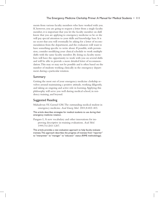ments from various faculty members who have worked with you. If, however, you are going to request a letter from a single faculty member, it is important that you let the faculty member on shift know that you are applying to emergency medicine so he or she will pay special attention to your skills and knowledge base. It is no secret that you will eventually be asking for a letter of recommendation from the department, and the evaluators will want to have something specific to write about. If possible, with permission, consider modifying your clinical schedule to work multiple shifts with the same faculty member. By doing so, faculty members will have the opportunity to work with you on several shifts and will be able to provide a more detailed letter of recommendation. This may or may not be possible and is often based on the number of students working clinically in the emergency department during a particular rotation.

#### Summary

Getting the most out of your emergency medicine clerkship revolves around maintaining a positive attitude, working diligently, and taking an ongoing and active role in learning. Applying this philosophy will serve you well during medical school, in residency training, and beyond.

# Suggested Reading

Mahadevan SV, Garmel GM. The outstanding medical student in emergency medicine. *Acad Emerg Med.* 2001;8:402–403.

This article describes strategies for medical students to use during their emergency medicine rotation.

Pangaro L. A new vocabulary and other innovations for improving descriptive in-training evaluations. *Acad Med.*  1999;74:1203–1207.

This article provides a new evaluation approach to help faculty evaluate trainees. This approach describes the progress of trainees from "reporter" to "interpreter" to "manager" to "educator" status (RIME methodology).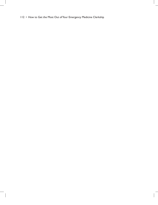112 • How to Get the Most Out of Your Emergency Medicine Clerkship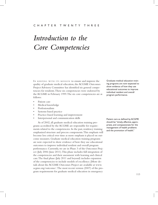# *Introduction to the Core Competencies*

IN KEEPING WITH ITS MISSION to ensure and improve the quality of graduate medical education, the ACGME Outcomes Project Advisory Committee has identified six general competencies for residents. These six competencies were endorsed by the ACGME in February 1999. The six core competencies are as follows:

- Patient care
- Medical knowledge
- Professionalism
- Systems-based practice
- Practice-based learning and improvement
- Interpersonal and communication skills

As of 2002, all graduate medical education training programs accredited by the ACGME are responsible for requirements related to the competencies. In the past, residency training emphasized structure and process components. This emphasis will become less critical over time as more emphasis is placed on outcome measures. Graduate medical education training programs are now expected to show evidence of how they use educational outcomes to improve individual resident and overall program performance. Currently, we are in Phase 3 of the Outcomes Project (July 2006–June 2011). This phase includes full integration of the competencies and their assessment with learning and clinical care. The final phase (July 2011 and beyond) includes expansion of the competencies to include models of excellence. [More details about the ACGME Outcomes Project are available at www. acgme.org/outcome/. The most recent version (2007) of the program requirements for graduate medical education in emergency

Graduate medical education training programs are now expected to show evidence of how they use educational outcomes to improve individual resident and overall program performance.

Patient care as defined by ACGME should be "timely, effective, appropriate, and compassionate for the management of health problems and the promotion of health."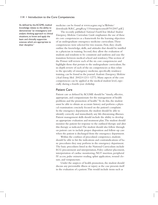As defined by the ACGME, medical knowledge relates to the ability to demonstrate "an investigatory and analytic thinking approach to clinical situations, to know and apply the basic and clinically supportive sciences which are appropriate to their discipline."

medicine can be found at www.acgme.org/acWebsite/ downloads/RRC\_progReq/110emergencymed07012007.pdf.]

The recently published *National Fourth Year Medical Student Emergency Medicine Curriculum Guide* emphasizes the use of these six core competencies as a framework for the learning objectives of an undergraduate emergency medicine curriculum. These competencies were selected for two reasons. First, they clearly outline the knowledge, skills, and attitudes that should be instilled in a physician in training. Second, they allow the evaluation of students and residents to be consistent and uniform and ease the transition between medical school and residency. This section of the Primer will review each of the six core competencies and highlight those that pertain to the undergraduate curriculum. An in-depth review of each of the six competencies as they relate to the specialty of emergency medicine, specifically residency training, can be found in the journal *Academic Emergency Medicine* (*Acad Emerg Med.* 2002;9:1211–1277). Many aspects of the core competencies can be applied at the medical student level, especially during a fourth-year clerkship.

# Patient Care

Patient care as defined by ACGME should be "timely, effective, appropriate, and compassionate for the management of health problems and the promotion of health." To do this, the student must be able to obtain an accurate history and perform a physical examination concisely focused on the patient's complaint. In the emergency department, the student should be able to identify correctly and immediately any life-threatening illnesses. Patient management skills should include the ability to develop an appropriate evaluation and treatment plan. The student should monitor the patient for response to the outlined therapy and alter this therapy as indicated. The student should also follow through on patient care to include proper disposition and follow-up care when the patient is discharged from the emergency department.

Within the confines of procedural competence, students should be able to list the indications and contraindications of basic procedures they may perform in the emergency department. The basic procedures listed in the National Curriculum include ECG procurement and interpretation, Foley catheter placement, interpretation of cardiac monitoring, NGT insertion, peripheral IV access, pulse oximeter reading, splint application, wound closure, and venipuncture.

Under the auspices of health promotion, the student should discuss any preventable illness or injury as the case presents itself in the evaluation of a patient. This would include items such as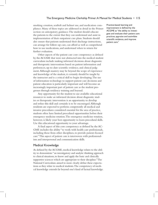#### The Emergency Medicine Clerkship Primer: A Manual for Medical Students • 115

smoking cessation, seatbelt and helmet use, and medication compliance. Many of these topics are addressed in detail in the Primer section on anticipatory guidance. The student should educate the patients to the extent that they can understand and assist in implementation of their outpatient care plans. Students should also ensure that patients understand their discharge instructions, can arrange for follow-up care, can afford as well as comprehend how to use medications, and understand when to return for further evaluation.

Other aspects of the patient care core competency as defined by the ACGME that were not abstracted into the medical student curriculum include making informed decisions about diagnostic and therapeutic interventions based on patient information and preferences, up-to-date scientific evidence, and clinical judgment. Although mastery may be beyond the scope of experience and knowledge of the student, it certainly should be taught by the instructor and is a critical skill to begin developing. The use of information technology to support patient care decisions and patient education is particularly important and will become an increasingly important part of patient care as the student progresses through residency training and beyond.

Any opportunity for the student to use available educational resources to make an informed decision about diagnostic studies or therapeutic intervention is an opportunity to develop and refine this skill and certainly is to be encouraged. Although residents are expected to perform competently all medical and invasive procedures considered essential for the area of practice, students often have limited procedural opportunities before their emergency medicine rotation. The emergency medicine rotation, however, is likely your best opportunity to learn procedural skills. Use this educational opportunity to your advantage.

A final aspect of this core competency as defined by the AC-GME includes the ability "to work with health care professionals, including those from other disciplines, to provide patient-focused care." This aspect of patient care is interwoven with professionalism and interpersonal and communication skills.

## Medical Knowledge

As defined by the ACGME, medical knowledge relates to the ability to demonstrate "an investigatory and analytic thinking approach to clinical situations, to know and apply the basic and clinically supportive sciences which are appropriate to their discipline." The National Curriculum aimed to more clearly define these expectations as they relate to medical students. The competency of medical knowledge extends far beyond one's fund of factual knowledge.

Practice-based learning and improvement is defined by the ACGME as "the ability to investigate and evaluate their patient care practices, appraise and assimilate scientific evidence, and improve patient care."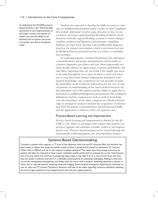#### 116 • Introduction to the Core Competencies

As defined by the ACGME, systemsbased practice is the "demonstrable awareness of and responsiveness to the larger content and system of health care and the ability to effectively call on system resources to provide care that is of optimal value."

Students are expected to develop the skills necessary to evaluate an undifferentiated patient under a realm of chief complaints that include abdominal or pelvic pain, alteration or loss of consciousness, chest pain, gastrointestinal bleeding, headache, shock, shortness of breath, vaginal bleeding, eye pain or vision changes, overdose, weakness and dizziness, and traumatic complaints. Students are expected to develop a list of differential diagnoses, based on the patient's presentation, which is prioritized not just by likelihood but by potential severity as it relates to morbidity and mortality.

In evaluating patients, a student should learn the indications, contraindications, and proper interpretations of the results of common diagnostic procedures and tests. Most importantly, students should cultivate an appreciation of pretest probabilities and risk. More important than any test result is the insight you need to develop throughout your career of when to trust, and when not to trust, that result. Further adapting the definition of the medical knowledge core competency for our specialty includes the immediate recall of selected information for the care of critical patients, an understanding of the useof medical resources for the immediate care of the patient, and the ability to apply this information to undifferentiatedpatient presentations. The traditional definitions used for competencies such as medical knowledge cross the boundaries of the other competencies. Medical knowledge in emergency medicine includes the acquisition of information from the patient (communication and interpersonal skills) and the application or delivery of the care (patient care).

# Practice-Based Learning and Improvement

Practice-based learning and improvement is defined by the AC-GME as "the ability to investigate and evaluate their patient care practices, appraise and assimilate scientific evidence, and improve patient care." Practice-based learning can be learned through the systematically evaluating patient care and population features;

# Systems-Based Decisionmaking

Consider a patient who requires a CT scan of the abdomen with oral and IV contrast. After the decision has been made to obtain this study, the patient needs to have a peripheral IV placed to administer IV contrast. What if this is difficult, and he or she requires multiple attempts? This takes time and nursing resources. he patient will often be required to have a basic metabolic profile performed to evaluate his or her renal function and of course drink oral contrast. Considering these steps, it may take 4 to 5 or more hours from the time that the study is ordered until the CT is officially interpreted by an attending radiologist. Adding to this time can be the unexpected emergencies and delays that can occur with transport, obtaining laboratory results, or other sick or injured patients requiring advanced imaging. Some hospital emergency departments may have access to only one CT scanner. Therefore, decisions will have to be made regarding resource utilization, allowing the more urgent patients to be imaged sooner than the less urgent patients.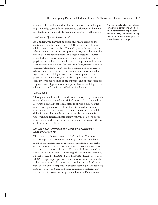teaching other students and health care professionals; and applying knowledge gained from a systematic evaluation of the medical literature, including study design and statistical methodology.

#### *Continuous Quality Improvement*

As a student, you may not be aware of, or have access to, the continuous quality improvement (CQI) process that all hospital departments have in place. The CQI process is one venue in which patient care, department process issues, and other sensitive information are communicated in a legally protected environment. If there are any questions or concerns about the care a physician or resident has provided, it is openly discussed and the documentation is reviewed for standard of care, systems issues, or documentation factors that may have contributed to an error or adverse outcome. Reviewed events are examined on several levels (systematic methodology) based on outcome, physician care, physician documentation, and resident supervision. The physicians involved are notified of the outcome and of suggestions for improvement. Opportunities to improve hospital and departmental practices are likewise identified and implemented.

#### *Journal Club*

Throughout medical school, students are exposed to journal club or a similar activity in which original research from the medical literature is critically appraised, often to answer a clinical question. Before graduation, medical students should be introduced to the concept of reviewing the medical literature. This useful skill will be further reinforced during residency training. By understanding research methodology, you will be able to incorporate scientifically based principles into current practice, that is, evidence-based medicine.

#### *Life-Long Self-Assessment and Continuous Osteopathic Learning Assessment*

The Life-Long Self-Assessment (LLSA) and the Continuous Osteopathic Learning Assessment (COLA) are now being required for maintenance of emergency medicine board certification as a way to ensure that practicing emergency physicians keep current on recent literature. The annual LLSA and COLA examination covers articles or readings that have been chosen by a panel formed by the ABEM and the AOBEM, respectively. The ACGME expects postgraduate trainees to use information technology to manage information, access online medical information, and be able to support self-directed learning. Many teaching institutions have software and other educational materials that may be used for your own or patient education. Online resources

A system is defined as interrelated components comprising a unified whole. Systems thinking is a technique for seeing and understanding interrelationships and the processes and barriers to change.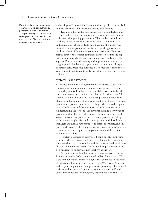More than 19 million emergency department visits annually are by patients without health insurance . . . approximately 20% of the uninsured population reports that their usual source of health care is the emergency department.

such as Up to Date or MD Consult and many others are available and can prove useful in bedside teaching and learning.

Teaching other health care professionals is an effective way to learn and represents an important contribution that you can make toward improving patient care. This can be as simple as teaching nurses, technicians, or more junior students disease pathophysiology at the bedside or explain ing the underlying rationale for your patient orders. More formal opportunities to teach may be available within your own institution. External formal courses to consider taking are advanced trauma life support, advanced cardiac life support, and pediatric advanced life support. Practice-based learning and improvement is a careerlong responsibility by which you remain current with all aspects of patient care. Practicing evidence-based medicine demonstrates your commitment to continually providing the best care for your patients.

### Systems-Based Practice

As defined by the ACGME, systems-based practice is the "demonstrable awareness of and responsiveness to the larger content and system of health care and the ability to effectively call on system resources to provide care that is of optimal value." It therefore extends beyond the individual patient's bedside to include an understanding of how your practice is affected by other practitioners, patients, and society at large, while considering the cost of health care and the allocation of health care resources. Understanding the "system" also involves learning how types of practices and health care delivery systems vary from one another, ways to advocate for patient care and assist patients in dealing with system complexities, and how to partner with healthcare managers and health care providers to assess, coordinate, and improve healthcare. Finally, competence with systems-based practice requires that you recognize how your actions and the system relate to each other.

A system is defined as interrelated components comprising a unified whole. Systems thinking is a technique for seeing and understanding interrelationships and the processes and barriers to change. The outcome desired for our medical practice—our unified mission—is to provide high-quality patient care.

Access to routine health care is also a systems-based concern. It was estimated in 2004 that about 47 million Americans (16%) were without health insurance, a figure that continues to rise annually (National Coalition on Health Care, 2008). African Americans and Hispanics represent a disproportionate percentage of uninsured patients in this country. In addition, patients older than 65 and ethnic minorities use the emergency department for health care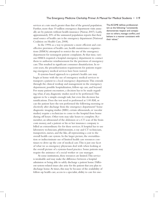services at a rate much greater than that of the general population. Further, more than 19 million emergency department visits annually are by patients without health insurance (Nawar, 2007). Lastly, approximately 20% of the uninsured population reports that their usual source of health care is the emergency department (National Coalition on Health Care, 2008).

In the 1990s as a way to promote a more efficient and costeffective provision of health care, health maintenance organizations (HMOs) attempted to restrict the use of the emergency department for nonurgent patient complaints. At that time, various HMOs required a hospital emergency department to contact them to authorize reimbursement for the provision of emergency care. This resulted in significant consumer dissatisfaction. In recent years, the preauthorization requirements for patients requiring emergency medical services have been waived.

A systems-based approach to a patient's health care may begin at home with the use of emergency medical services to transport a patient to a local emergency department. This extends through the clinical workup and management in the emergency department, possible hospitalization, follow-up care, and beyond. For many patient encounters, a decision has to be made regarding what, if any, diagnostic studies need to be performed. This appears to be a simple-enough task, but even this decision has ramifications. Does the test need to performed at 1:00 AM, or can the patient have the test performed the following morning or electively after discharge from the emergency department? Some diagnostic imaging studies (MRI, certain ultrasounds, or vascular studies) require a technician to come to the hospital from home during off hours. Other tests may take hours to complete. Remember, an ultrasound of the abdomen or a CT scan of the brain costs money, and a patient or his or her insurance company is billed an extraordinary fee for these services. A hospital has to use laboratory technicians, phlebotomists, x-ray and CT technicians, transporters, nurses, and the like, all representing a cost to the overall health care system. In the larger picture, the overutilization or indiscriminate use of limited health care resources continues to drive up the cost of medical care. This is just one facet of what we as emergency physicians deal with when looking at the overall picture of a systems-based practice. Some patients may require the assistance of a social worker or case manager.

At some institutions, these resources are limited. This service is invaluable and may make the difference between a hospital admission or being able to safely discharge a patient home. Different system-related issues also arise for the patient that you plan to discharge home. At times, this may be because of the availability of follow-up health care, access to a specialist, ability to care for oneThe ACGME defines professionalism as the following: "consistently demonstrate respect and compassion to others, manage conflict, and behave in a manner consistent with their values."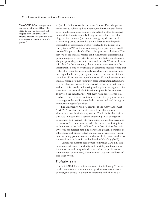#### 120 • Introduction to the Core Competencies

The ACGME defines interpersonal and communication skills as "the ability to communicate with colleagues, staff, and family and to employ effective interpersonal skills that revolve around the care of a patient."

self, or the ability to pay for a new medication. Does the patient have access to follow-up heath care? Can the patient pay for his or her medication prescription? If the patient will be discharged before all test results are available (e.g., urine culture, formal radiograph interpretation), does your emergency department have a system in place to ensure that the final results or radiograph interpretation discrepancy will be reported to the patient in a timely fashion? What if you were caring for a patient who could not recall important details of his or her past medical history? The retrieval of old medical records can be helpful for understanding pertinent aspects of the patient's past medical history, medications, allergies, prior diagnostic test results, and the like. What mechanism is in place for the emergency physician or student to obtain this information? Some hospitals have an electronic medical record that makes all of this information easily available, whereas other hospitals may still rely on a paper system, which creates many difficulties when old records are urgently needed. Although an electronic medical record or other computer-based information retrieval system can allow easy access to the medical record, prior test results, and more, it is a costly undertaking and requires a strong commitment from the hospital administration to provide the resources to develop the infrastructure. Not many years ago, to access old medical records in some institutions, a student or physician would have to go to the medical records department and read through a handwritten copy of the chart.

The Emergency Medical Treatment and Active Labor Act (EMTALA) is a federal statute enacted in 1986 and can be viewed as a nondiscriminatory statute. The basis for this legislation was to ensure that a patient presenting to an emergency department be provided with "an appropriate medical screening examination" to determine whether he or she is suffering from an "emergency medical condition" regardless of his or her ability to pay for medical care. The statute also governs a number of other issues that directly affect the practice of emergency medicine, including patient transfers and on-call physicians. Additional information on this topic can be found in Naradzay (2008).

Remember, systems-based practice involves CQI. This can be intradepartmental (morbidity and mortality conferences) or interdepartmental (hospitalwide peer review or performance improvement committees). Keep in mind that we are all part of one large system.

## Professionalism

The ACGME defines professionalism as the following: "consistently demonstrate respect and compassion to others, manage conflict, and behave in a manner consistent with their values."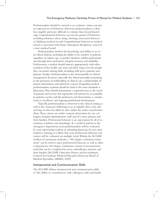Professionalism should be viewed as an academic virtue, not just an expected set of behaviors. However, professionalism is often less tangible and more difficult to evaluate than factual knowledge. Unprofessional behavior can run the gamut of behaviors, including substance abuse, lying, cheating, unexcused absences, or falsifying medical records. Unprofessional behavior in medical school is associated with future subsequent disciplinary action by a state medical board.

Professionalism involves the knowledge and ability to act in an ethical fashion, including the ability to be sensitive to patients regardless of culture, age, or gender. Students exhibit professionalism through their motivation, integrity, honesty, and reliability. Furthermore, a student should interact appropriately with other members of the health care team and show respect for the people they encounter during shifts, including staff, peers, patients, and patients' families. Professionalism is also demonstrable in clinical management decisions, especially the ethical principles pertaining to the provision of withholding of clinical care, confidentiality of patient information, and informed consent. Regarding medical professionalism, students should be held to the same standards as physicians. They should demonstrate a responsiveness to the needs of patients and society that supersedes self-interest; be accountable to patients, society, and the profession; and demonstrate a commitment to excellence and ongoing professional development.

Typically, professionalism is observed in the clinical setting as well as the classroom. Adhering to an acceptable dress code and arriving on time for shifts are also within the realm of professionalism. These virtues are under constant observation by our colleagues, hospital administrators, staff, and of course patients and their families. Professional behavior is an expectation for all of us (students, residents, and attendings). As a medical student in the emergency department, your professionalism will be evaluated by your supervising resident or attending physician. As you enter residency training, it is likely that your professional behavior and virtues will be evaluated on multiple levels. Within the ACGME toolbox of assessment methods, a "360-degree evaluation instrument" can be used to assess professional behaviors as well as other competencies; 360-degree evaluations consists of measurement tools that can be completed by peers, subordinates, patients, and their families [ACGME Outcomes Project and Accreditation Council for Graduate Medical Education American Board of Medical Specialties (ABMS), 2000].

#### Interpersonal and Communication Skills

The ACGME defines interpersonal and communication skills as "the ability to communicate with colleagues, staff, and family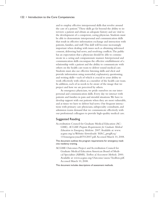#### 122 • Introduction to the Core Competencies

and to employ effective interpersonal skills that revolve around the care of a patient." These skills go far beyond the ability to interview a patient and obtain an adequate history and are vital to the development of a competent, caring physician. Students must be able to demonstrate interpersonal and communication skills that result in effective information exchange and interaction with patients, families, and staff. This skill will become increasingly important when dealing with issues such as obtaining informed consent, delivering bad news, and resolving conflicts. The public has an expectation that a physician should be able to communicate in a caring and compassionate manner. Interpersonal and communication skills encompass the effective establishment of a relationship with a patient and the ability to communicate with others on the health care team to deliver sound medical care. Students must also use effective listening skills and elicit and provide information using nonverbal, explanatory, questioning, and writing skills—each of which is crucial to your ability to work effectively with others as a member of the health care team. In addition, each of us needs to be aware of the image that we project and how we are perceived by others.

As emergency physicians, we pride ourselves on our interpersonal and communication skills. Every day we interact with patients and families in pain and stressful situations. We have to develop rapport with our patients when they are most vulnerable, and at times we have to deliver bad news. Our frequent interactions with primary care physicians, subspecialty consultants, and admission teams demand that we communicate effectively with our professional colleagues to provide high-quality medical care.

### Suggested Reading

Accreditation Council for Graduate Medical Education (AC-GME). *ACGME Program Requirements for Graduate Medical Education in Emergency Medicine.* 2007. Available at: www. acgme.org/acWebsite/downloads/ RRC\_progReq/ 110emergencymed07012007.pdf. Accessed March 10, 2008.

This document outlines the program requirements for emergency medicine residency training.

ACGME Outcomes Project and Accreditation Council for Graduate Medical Education American Board of Medical Specialties (ABMS). *Toolbox of Assessment Methods.* 2000. Available at: www.acgme.org/Outcome/assess/Toolbox.pdf. Accessed March 10, 2008.

This document includes descriptions of assessment methods.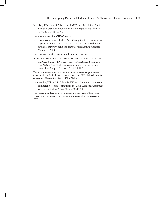#### The Emergency Medicine Clerkship Primer: A Manual for Medical Students • 123

Naradzay JFX. COBRA laws and EMTALA. eMedicine; 2006. Available at: www.emedicine.com/emerg/topic737.htm. Accessed March 10, 2008.

#### This article reviews the EMTALA statute.

National Coalition on Health Care. *Facts of Health Insurance Coverage.* Washington, DC: National Coalition on Health Care. Available at: www.nchc.org/facts/coverage.shtml. Accessed March 11, 2008.

#### This document provides fats on health insurance coverage.

Nawar EW, Niska RW, Xu J. National Hospital Ambulatory Medical Care Survey: 2005 Emergency Department Summary. *Adv Data.* 2007;386:1–32. Available at: www.cdc.gov/nchs/ data/ad/ad386.pdf. Accessed April 18, 2008.

This article reviews nationally representative data on emergency department care in the United States. Data are from the 2005 National Hospital Ambulatory Medical Care Survey (NHAMCS).

Stahmer SA, Ellison SR, Jubanyik KK, et al. Integrating the core competencies: proceeding from the 2005 Academic Assembly Consortium. *Acad Emerg Med.* 2007;14:80–94.

This report provides a summary discussion of the status of integration of the core competencies into emergency medicine training programs in 2005.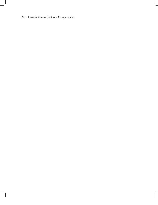124 • Introduction to the Core Competencies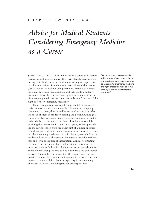# *Advice for Medical Students Considering Emergency Medicine as a Career*

SOME MEDICAL STUDENTS will focus on a career path early in medical school, whereas many others will identify their interests during their third year of medical school as they are experiencing clinical rotations. Some however, may still enter their senior year of medical school not being sure what career path is awaiting them. Two important questions will help guide a student's decision as he or she considers emergency medicine as a career. "Is emergency medicine the right choice for me?" and "Am I the right choice for emergency medicine?"

These two questions are equally important. For students to make an informed decision about their interest in emergency medicine as a career, they should be knowledgeable about what lies ahead of them in residency training and beyond. Although it is never too late to consider emergency medicine as a career, the earlier the better. Because most if not all students who will be receiving this manual are in their clinical years, we are approaching the advice section from the standpoint of a junior or senior medial student. Seek out resources at your home institution; contact the emergency medicine clerkship director, research director, residency director, or chairperson. Emergency medicine residents may also serve as a source of information. Consider contacting the emergency medicine chief resident at your institution. It is never too early to find a clinical advisor who can provide advice as you embark along the road to find out what is the best specialty match for you. It is not mandatory that your clinical advisor practice the specialty that you are interested in; however, the best person to provide advice about our specialty is an emergency physician, with the same being said for other specialties.

Two important questions will help guide a student's decision as he or she considers emergency medicine as a career. "Is emergency medicine the right choice for me?" and "Am I the right choice for emergency medicine?"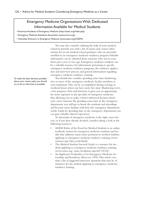# Emergency Medicine Organizations With Dedicated Information Available for Medical Students

- American Academy of Emergency Medicine (http://aaem.org/index.php)
- Emergency Medicine Residents Association (www.emra.org/)
- Clerkship Directors in Emergency Medicine (www.saem.org/CDEM/)

You may also consider enlisting the help of your medical school to provide you with a list of names and contact information for recent medical school graduates who are presently enrolled in an emergency medicine residency program. Valuable information can be obtained from someone who was in your shoes just a year or two ago. Emergency medicine residents can be a valuable resource for information pertaining to specific emergency medicine residency programs, the residency application and interview process, and general information regarding emergency medicine residency training.

To make the best decision possible about your career path, you should try to be as informed as possible.

You should also consider spending some time shadowing one or more of the emergency medicine faculty members at your institution. This can be accomplished during evening or weekend hours when you have more free time. Shadowing serves a few purposes. First and foremost, it gives you an opportunity for more exposure to the specialty of emergency medicine, thus allowing you to make a better-informed decision about your career interests. By spending some time in the emergency department, you will get to know the residents and attendings and become more familiar with how the emergency department works. Lastly, by spending time in the emergency department you can gain valuable clinical experience.

To determine if emergency medicine is the right career for you, or if you have already decided, consider taking a look at the following resources;

- AAEM Rules of the Road for Medical Students is an online textbook written by emergency medicine residents and faculty that addresses many issues pertinent to medical students applying to emergency medicine residency training (www. aaemrsa.org/rules\_road.shtml).
- The Medical Student Survival Guide is a resource for students applying to emergency medicine residency training (www.emra.org/ emra\_bookstore.aspx?id=34122).
- An Applicant's Evaluation of an Emergency Medicine Internship and Residency (Koscove, 1990). This article contains a list of suggested interview questions that may be of assistance for the student applying to emergency medicine residency training.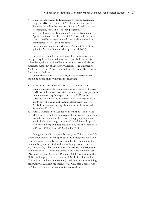- Evaluating Applicants to Emergency Medicine Residency Programs (Balentine et al., 1999). This article reviews the literature related to the selection process of medical students to emergency medicine residency programs.
- Selection Criteria for Emergency Medicine Residency Applicants (Crane and Ferraro, 2000). This article provides criteria used by emergency medicine residency selection committees to select their residents.
- Becoming an Emergency Medicine Resident: A Practical guide for Medical Students (Lotfipour, et al. 2008)

In addition, a number of professional organizations within our specialty have dedicated information available for medical students, which can be of help to review; these include the American Academy of Emergency Medicine, the Emergency Medicine Residents Association, and the Clerkship Directors in Emergency Medicine.

Other resources that students, regardless of career interest, should be aware of, they include the following:

- 1. AMA FREIDA Online is a database with more than 8,200 graduate medical education programs accredited by the AC-GME, as well as more than 200 combined specialty programs (www.ama-assn.org/ama/pub/category/2997.html).
- 2. Charting Outcomes in the Match, 2009. This report documents how applicant qualifications affect match success. Available at: www.nrmp.org/data/index.html. Accessed September 23, 2010.
- 3. AAMC Roadmap to Residency: From Application to the Match and Beyond is a publication that provides comprehensive information about the process of applying to graduate medical education programs in the United States (https:// services.aamc.org/Publications/showfile.cfm?file=version78. pdf&prd\_id=183&prv\_id=222&pdf\_id=78).

Emergency medicine is not for everyone. This can be said for every other medical and surgical specialty. Emergency medicine is an increasingly popular specialty sought after by some of the best and brightest medical students. Although not exclusionary, the specialty is becoming more competitive. In 2008, more than 98% of PGY-1 positions offered were filled on match day (National Resident Matching Program, 2008). Results from the 2007 match reported that the mean USMLE Step 1 score for U.S. seniors matching in emergency medicine residency training programs was 220, and the mean for USMLE step 2 scores was 227. Each of these scores is above the national mean.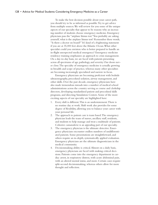To make the best decision possible about your career path, you should try to be as informed as possible. Try to get advice from multiple sources. We will review for you some of the unique aspects of our specialty that appear to be reasons why an increasing number of students choose emergency medicine. Emergency physicians pass the "airplane litmus test." You probably are asking yourself, what is the airplane litmus test? Remember these words, "Is there a doctor on board?" It's kind of a frightening statement if you are at 35,000 feet above the Atlantic Ocean. What other specialist could you envision who is better prepared to handle an in-flight unexpected medical emergency? Emergency medicine residency training emphasizes an approach to crisis management. On a day-to-day basis, we are faced with patients presenting across all spectrums of age, pathology, and severity. Our doors never close. The specialty of emergency medicine is actually growing in breadth and scope of practice, whereas many other specialties are becoming increasingly specialized and narrow in focus.

Emergency physicians are becoming proficient with bedside ultrasonography, procedural sedation, airway management, and other skills. Over the past decade, emergency physicians have also made tremendous inroads into a number of medical school administrations across the country serving as course and clerkship directors, developing standardized patient and procedural skills programs, and directing Simulation Centers. Some of the more exciting aspects of our specialty are highlighted here:

- 1. Every shift is different. This is an understatement. There is no routine day at work. Shift work also provides for some degree of flexibility, allowing you to balance your career with your personal life.
- 2. The approach to patient care is team based. The emergency physician leads the team of nurses, ancillary staff, residents, and students to help manage and treat a multitude of patients. Cohesive camaraderie is an appealing part of our specialty.
- 3. The emergency physician is the ultimate detective. Emergency physicians encounter endless numbers of undifferentiated patients. Some presentations are straightforward, and others require an in-depth, systematically applied evaluation. Emergency physicians are the ultimate diagnosticians in the medical community.
- 4. Decisionmaking ability is critical. Almost on a daily basis, emergency physicians are faced with making critical decisions. Patients come into the emergency department in cardiac arrest, in respiratory distress, with acute abdominal pain, with an altered mental status, and more. Certain cases require split-second decisionmaking, whereas others allow for more thought and reflection.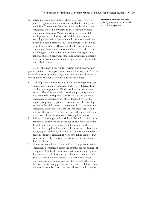5. Varied practice opportunities. There are a wide variety of practice opportunities and models available for emergency physicians. These range from the university-based academic emergency medicine physician to the community-based emergency physicians. Many opportunities exist for fellowship training, including EMS and disaster medicine, toxicology, pediatric emergency medicine, sports medicine, ultrasound, administration, education, hyperbaric medicine, critical care, and more. Because of the diversity of training, emergency physicians can also branch out into other venues, including practicing cruise ship medicine, managing international outreach programs, managing largevenue domestic events, or providing medical command for citywide or statewide EMS systems.

Despite the many opportunities within our specialty, emergency medicine is not a good career choice for everyone. As with any medical or surgical specialty, there are some perceived negative aspects to the field. These include the following:

- 1. Lack of patient continuity and follow-up: Emergency physicians practice in an environment that is very different from an office-based physician. We do not have our own private patients. Therefore, we rarely have the opportunity for any long-term relationship with our patients. Although many emergency departments have their "frequent flyers," the majority of physician–patient encounters are like two ships passing in the night, never to be seen again. However, some emergency physicians call a patient after discharge to find out how the patient is feeling or contact the inpatient team or primary physician to obtain follow-up information.
- 2. Shift work. Although shift work has its benefits, it also has its drawbacks. Shift work can be taxing on the body and cause disruption in the sleep–wake cycle because of its effect on the circadian rhythm. Emergency physicians work days, evenings, nights, weekends, and holidays. Because the emergency department never closes, shift work scheduling requires that someone always be working, sometimes during less-thandesirable times.
- 3. Nonurgent complaints. Close to 50% of the patients seen in emergency departments across the country are for nonurgent complaints. Unlike the overdramatization of the emergency department on television, many patients we encounter will have low-acuity complaints such as a sore throat, cough, congestion, minor trauma, and the like. In reality, this is not the case because many patients we encounter will have runof-the-mill complaints such as a sore throat, cough, conges-

Emergency medicine residency training emphasizes an approach to crisis management.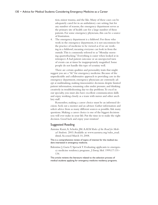tion, minor trauma, and the like. Many of these cases can be adequately cared for in an ambulatory care setting, but for any number of reasons, the emergency department serves as the primary site of health care for a large number of these patients. For some emergency physicians, this can be a source of frustration.

4. The emergency department is a fishbowl. For those who work in the emergency department, it is not uncommon for the practice of medicine to be viewed as if we are working in a fishbowl, meaning everyone can look in from the outside. This is commonly referred to as "Monday morning quarterbacking." Everything is easier when looked at in retrospect. A bad patient outcome or an unexpected turn of events can at times be inappropriately magnified. Some people do not handle this type of scrutiny well.

There are certain qualities and personality traits that might suggest you are a "fit" for emergency medicine. Because of the unpredictable and collaborative approach to providing care in the emergency department, emergency physicians are extremely adept at multitasking, making timesensitive decisions despite limited patient information, remaining calm under pressure, and thinking creatively in troubleshooting day-to-day problems. To excel in our specialty, you must also have excellent communication skills and enjoy working closely as a team with nurses and other ancillary staff.

Remember, making a career choice must be an informed decision. Seek out a mentor and an advisor. Gather information and solicit advice from as many different sources as possible. Ask many questions. Making a career choice is one of the biggest decisions you will ever make in your life. Put the time in to make the right decision. Good luck and enjoy your rotation!

## Suggested Reading

Antoine Kazzi, A, Schofer, JM. A*AEM Rules of the Road for Medical Students.* 2003. Available at: www.aaemrsa.org/rules\_road. shtml. Accessed March 10, 2008.

This is a comprehensive review of topics of interest for the medical student interested in emergency medicine.

Balentine J, Gaeta T, Spevack T. Evaluating applicants to emergency medicine residency programs. *J Emerg Med.* 1999;17:131– 134.

This article reviews the literature related to the selection process of medical students applying for emergency medicine residency programs.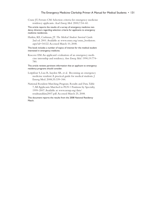Crane JT, Ferraro CM. Selection criteria for emergency medicine residency applicants. *Acad Emerg Med.* 2000;7:54–60.

This article reports the results of a survey of emergency medicine residency directors regarding selection criteria for applicants to emergency medicine residencies.

Harkin, KE, Cushman, JT. *The Medical Student Survival Guide.*  2nd ed. 2001. Available at: www.emra.org/emra\_bookstore. aspx?id=34122. Accessed March 10, 2008.

This book includes a number of topics of interest for the medical student interested in emergency medicine.

Koscove EM. An applicant's evaluation of an emergency medicine internship and residency. *Ann Emerg Med.* 1990;19:774– 780.

This article reviews pertinent information that an applicant to emergency residency programs should consider.

- Lotpifour S, Luu R, hayden SR, et al. Becoming an emergency medicine resident: A practical guide for medical students. J Emerg Med. 2008;35:339–344.
- National Resident Matching Program. Results and Data. Table 7, All Applicants Matched to PGY-1 Positions by Specialty, 1999–2007. Available at: www.nrmp.org/data/ resultsanddata2007.pdf. Accessed March 25, 2008.

This document reports the results from the 2008 National Residency Match.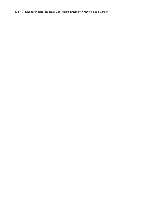# 132 • Advice for Medical Students Considering Emergency Medicine as a Career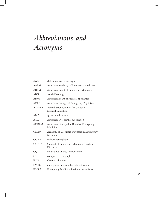# *Abbreviations and Acronyms*

| AAA          | abdominal aortic aneurysm                               |
|--------------|---------------------------------------------------------|
| AAEM         | American Academy of Emergency Medicine                  |
| ABEM         | American Board of Emergency Medicine                    |
| ABG          | arterial blood gas                                      |
| ABMS         | American Board of Medical Specialties                   |
| ACEP         | American College of Emergency Physicians                |
| <b>ACGME</b> | Accreditation Council for Graduate<br>Medical Education |
| AMA          | against medical advice                                  |
| AOA          | American Osteopathic Association                        |
| AOBEM        | American Osteopathic Board of Emergency<br>Medicine     |
| <b>CDEM</b>  | Academy of Clerkship Directors in Emergency<br>Medicine |
| COHb         | carboxyhemoglobin                                       |
| <b>CORD</b>  | Council of Emergency Medicine Residency<br>Directors    |
| <b>CQI</b>   | continuous quality improvement                          |
| <b>CT</b>    | computed tomography                                     |
| ECG          | electrocardiogram                                       |
| <b>EMBU</b>  | emergency medicine bedside ultrasound                   |
| <b>EMRA</b>  | <b>Emergency Medicine Residents Association</b>         |
|              |                                                         |